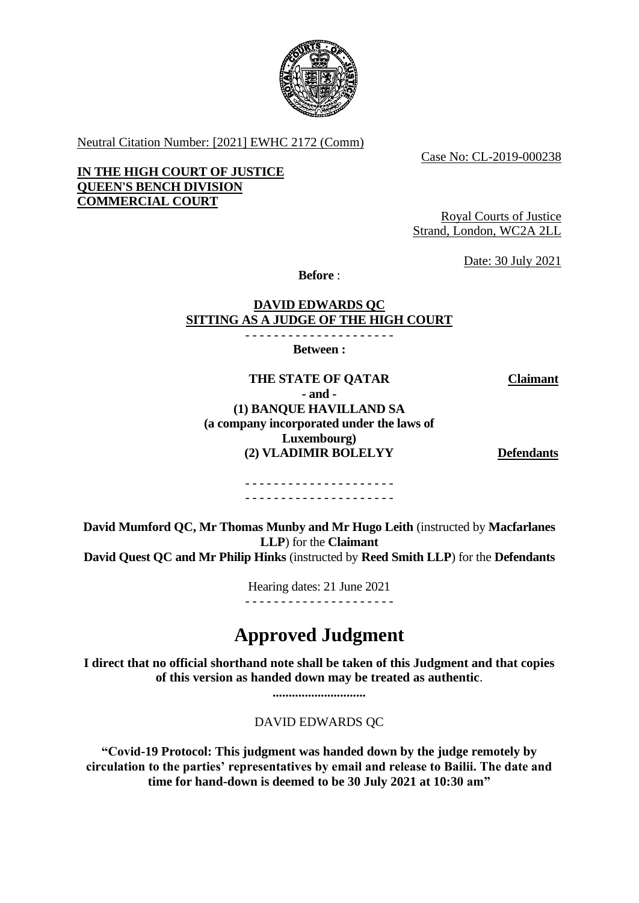

Neutral Citation Number: [2021] EWHC 2172 (Comm)

Case No: CL-2019-000238

**IN THE HIGH COURT OF JUSTICE QUEEN'S BENCH DIVISION COMMERCIAL COURT**

Royal Courts of Justice Strand, London, WC2A 2LL

Date: 30 July 2021

**Before** :

## **DAVID EDWARDS QC SITTING AS A JUDGE OF THE HIGH COURT**

- - - - - - - - - - - - - - - - - - - - - **Between :**

**THE STATE OF QATAR Claimant - and - (1) BANQUE HAVILLAND SA (a company incorporated under the laws of Luxembourg) (2) VLADIMIR BOLELYY Defendants**

- - - - - - - - - - - - - - - - - - - - - - - - - - - - - - - - - - - - - - - - - -

**David Mumford QC, Mr Thomas Munby and Mr Hugo Leith** (instructed by **Macfarlanes LLP**) for the **Claimant David Quest QC and Mr Philip Hinks** (instructed by **Reed Smith LLP**) for the **Defendants**

Hearing dates: 21 June 2021

- - - - - - - - - - - - - - - - - - - - -

# **Approved Judgment**

**I direct that no official shorthand note shall be taken of this Judgment and that copies of this version as handed down may be treated as authentic**.

**.............................**

DAVID EDWARDS QC

**"Covid-19 Protocol: This judgment was handed down by the judge remotely by circulation to the parties' representatives by email and release to Bailii. The date and time for hand-down is deemed to be 30 July 2021 at 10:30 am"**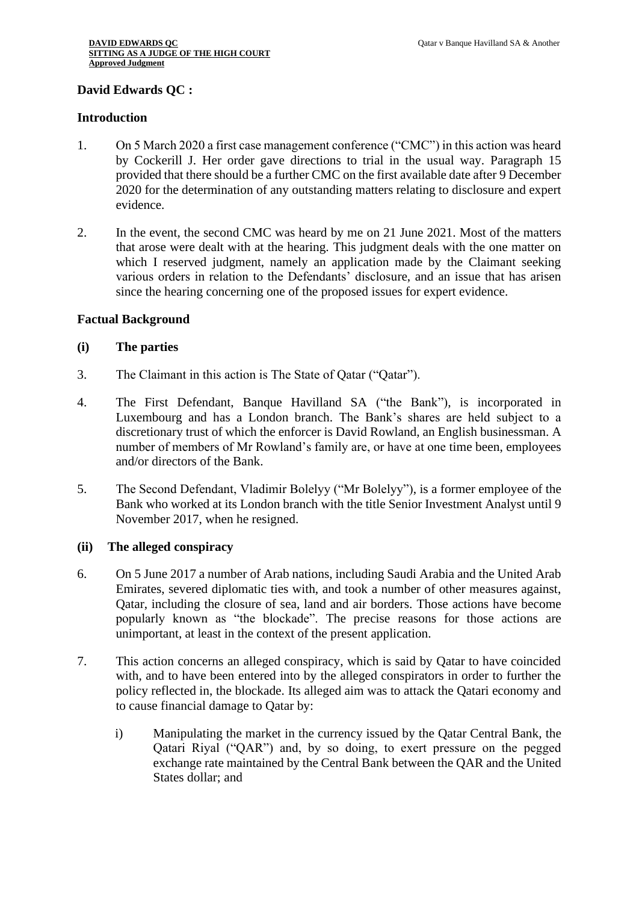## **David Edwards QC :**

#### **Introduction**

- 1. On 5 March 2020 a first case management conference ("CMC") in this action was heard by Cockerill J. Her order gave directions to trial in the usual way. Paragraph 15 provided that there should be a further CMC on the first available date after 9 December 2020 for the determination of any outstanding matters relating to disclosure and expert evidence.
- 2. In the event, the second CMC was heard by me on 21 June 2021. Most of the matters that arose were dealt with at the hearing. This judgment deals with the one matter on which I reserved judgment, namely an application made by the Claimant seeking various orders in relation to the Defendants' disclosure, and an issue that has arisen since the hearing concerning one of the proposed issues for expert evidence.

#### **Factual Background**

#### **(i) The parties**

- 3. The Claimant in this action is The State of Qatar ("Qatar").
- 4. The First Defendant, Banque Havilland SA ("the Bank"), is incorporated in Luxembourg and has a London branch. The Bank's shares are held subject to a discretionary trust of which the enforcer is David Rowland, an English businessman. A number of members of Mr Rowland's family are, or have at one time been, employees and/or directors of the Bank.
- 5. The Second Defendant, Vladimir Bolelyy ("Mr Bolelyy"), is a former employee of the Bank who worked at its London branch with the title Senior Investment Analyst until 9 November 2017, when he resigned.

#### **(ii) The alleged conspiracy**

- 6. On 5 June 2017 a number of Arab nations, including Saudi Arabia and the United Arab Emirates, severed diplomatic ties with, and took a number of other measures against, Qatar, including the closure of sea, land and air borders. Those actions have become popularly known as "the blockade". The precise reasons for those actions are unimportant, at least in the context of the present application.
- 7. This action concerns an alleged conspiracy, which is said by Qatar to have coincided with, and to have been entered into by the alleged conspirators in order to further the policy reflected in, the blockade. Its alleged aim was to attack the Qatari economy and to cause financial damage to Qatar by:
	- i) Manipulating the market in the currency issued by the Qatar Central Bank, the Qatari Riyal ("QAR") and, by so doing, to exert pressure on the pegged exchange rate maintained by the Central Bank between the QAR and the United States dollar; and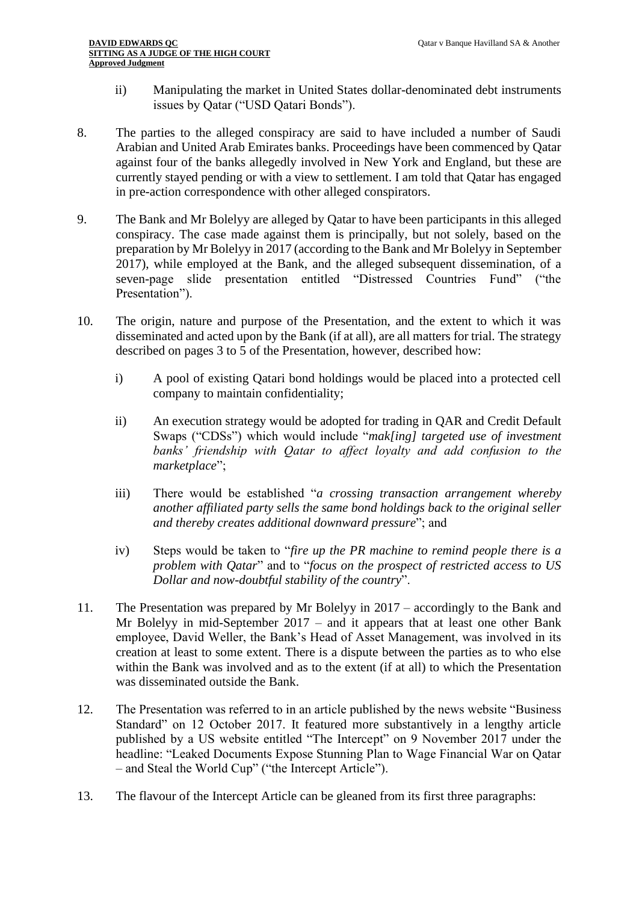- ii) Manipulating the market in United States dollar-denominated debt instruments issues by Qatar ("USD Qatari Bonds").
- 8. The parties to the alleged conspiracy are said to have included a number of Saudi Arabian and United Arab Emirates banks. Proceedings have been commenced by Qatar against four of the banks allegedly involved in New York and England, but these are currently stayed pending or with a view to settlement. I am told that Qatar has engaged in pre-action correspondence with other alleged conspirators.
- 9. The Bank and Mr Bolelyy are alleged by Qatar to have been participants in this alleged conspiracy. The case made against them is principally, but not solely, based on the preparation by Mr Bolelyy in 2017 (according to the Bank and Mr Bolelyy in September 2017), while employed at the Bank, and the alleged subsequent dissemination, of a seven-page slide presentation entitled "Distressed Countries Fund" ("the Presentation").
- 10. The origin, nature and purpose of the Presentation, and the extent to which it was disseminated and acted upon by the Bank (if at all), are all matters for trial. The strategy described on pages 3 to 5 of the Presentation, however, described how:
	- i) A pool of existing Qatari bond holdings would be placed into a protected cell company to maintain confidentiality;
	- ii) An execution strategy would be adopted for trading in QAR and Credit Default Swaps ("CDSs") which would include "*mak[ing] targeted use of investment banks' friendship with Qatar to affect loyalty and add confusion to the marketplace*";
	- iii) There would be established "*a crossing transaction arrangement whereby another affiliated party sells the same bond holdings back to the original seller and thereby creates additional downward pressure*"; and
	- iv) Steps would be taken to "*fire up the PR machine to remind people there is a problem with Qatar*" and to "*focus on the prospect of restricted access to US Dollar and now-doubtful stability of the country*".
- 11. The Presentation was prepared by Mr Bolelyy in 2017 accordingly to the Bank and Mr Bolelyy in mid-September 2017 – and it appears that at least one other Bank employee, David Weller, the Bank's Head of Asset Management, was involved in its creation at least to some extent. There is a dispute between the parties as to who else within the Bank was involved and as to the extent (if at all) to which the Presentation was disseminated outside the Bank.
- 12. The Presentation was referred to in an article published by the news website "Business Standard" on 12 October 2017. It featured more substantively in a lengthy article published by a US website entitled "The Intercept" on 9 November 2017 under the headline: "Leaked Documents Expose Stunning Plan to Wage Financial War on Qatar – and Steal the World Cup" ("the Intercept Article").
- 13. The flavour of the Intercept Article can be gleaned from its first three paragraphs: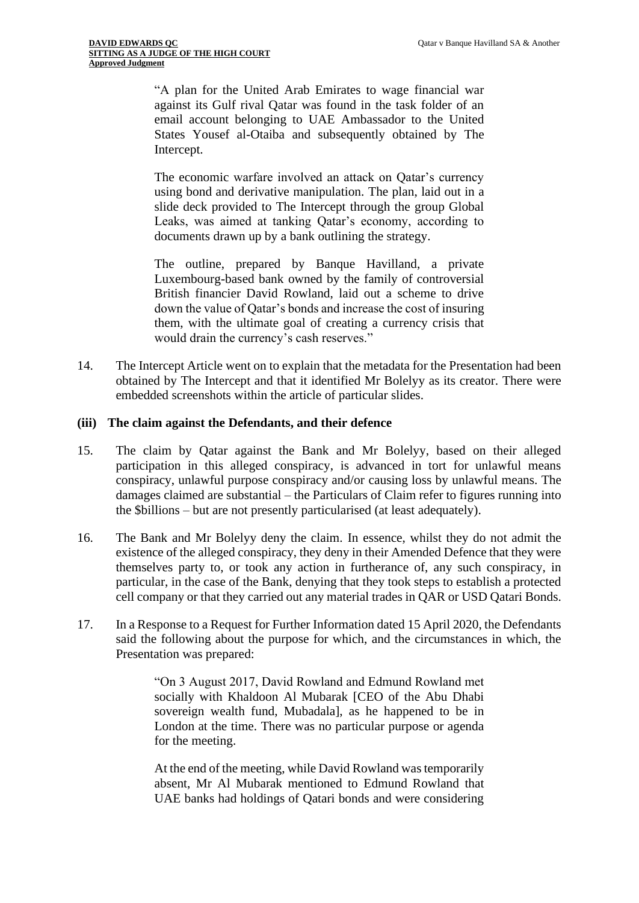"A plan for the United Arab Emirates to wage financial war against its Gulf rival Qatar was found in the task folder of an email account belonging to UAE Ambassador to the United States Yousef al-Otaiba and subsequently obtained by The Intercept.

The economic warfare involved an attack on Qatar's currency using bond and derivative manipulation. The plan, laid out in a slide deck provided to The Intercept through the group Global Leaks, was aimed at tanking Qatar's economy, according to documents drawn up by a bank outlining the strategy.

The outline, prepared by Banque Havilland, a private Luxembourg-based bank owned by the family of controversial British financier David Rowland, laid out a scheme to drive down the value of Qatar's bonds and increase the cost of insuring them, with the ultimate goal of creating a currency crisis that would drain the currency's cash reserves."

14. The Intercept Article went on to explain that the metadata for the Presentation had been obtained by The Intercept and that it identified Mr Bolelyy as its creator. There were embedded screenshots within the article of particular slides.

#### **(iii) The claim against the Defendants, and their defence**

- 15. The claim by Qatar against the Bank and Mr Bolelyy, based on their alleged participation in this alleged conspiracy, is advanced in tort for unlawful means conspiracy, unlawful purpose conspiracy and/or causing loss by unlawful means. The damages claimed are substantial – the Particulars of Claim refer to figures running into the \$billions – but are not presently particularised (at least adequately).
- 16. The Bank and Mr Bolelyy deny the claim. In essence, whilst they do not admit the existence of the alleged conspiracy, they deny in their Amended Defence that they were themselves party to, or took any action in furtherance of, any such conspiracy, in particular, in the case of the Bank, denying that they took steps to establish a protected cell company or that they carried out any material trades in QAR or USD Qatari Bonds.
- 17. In a Response to a Request for Further Information dated 15 April 2020, the Defendants said the following about the purpose for which, and the circumstances in which, the Presentation was prepared:

"On 3 August 2017, David Rowland and Edmund Rowland met socially with Khaldoon Al Mubarak [CEO of the Abu Dhabi sovereign wealth fund, Mubadala], as he happened to be in London at the time. There was no particular purpose or agenda for the meeting.

At the end of the meeting, while David Rowland was temporarily absent, Mr Al Mubarak mentioned to Edmund Rowland that UAE banks had holdings of Qatari bonds and were considering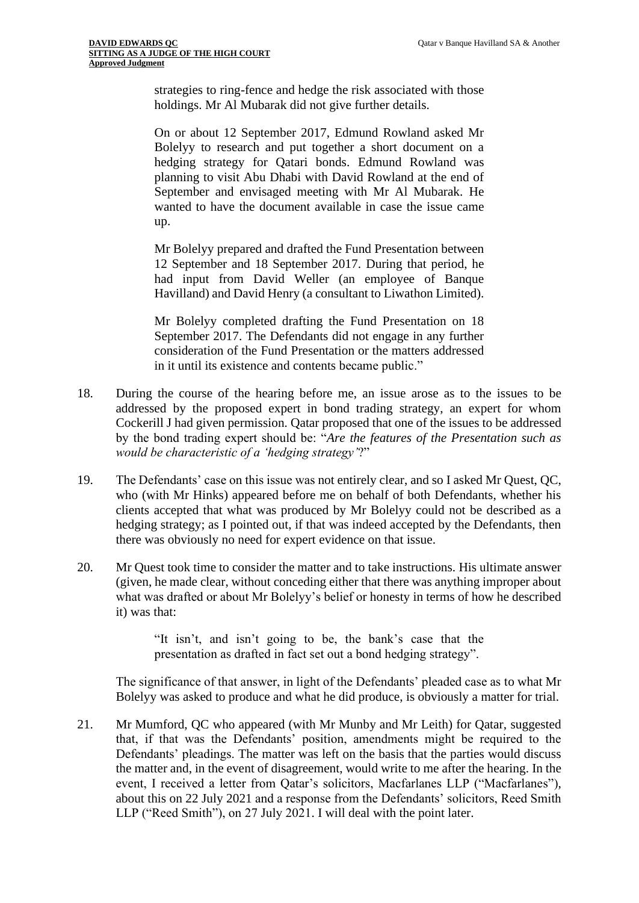strategies to ring-fence and hedge the risk associated with those holdings. Mr Al Mubarak did not give further details.

On or about 12 September 2017, Edmund Rowland asked Mr Bolelyy to research and put together a short document on a hedging strategy for Qatari bonds. Edmund Rowland was planning to visit Abu Dhabi with David Rowland at the end of September and envisaged meeting with Mr Al Mubarak. He wanted to have the document available in case the issue came up.

Mr Bolelyy prepared and drafted the Fund Presentation between 12 September and 18 September 2017. During that period, he had input from David Weller (an employee of Banque Havilland) and David Henry (a consultant to Liwathon Limited).

Mr Bolelyy completed drafting the Fund Presentation on 18 September 2017. The Defendants did not engage in any further consideration of the Fund Presentation or the matters addressed in it until its existence and contents became public."

- 18. During the course of the hearing before me, an issue arose as to the issues to be addressed by the proposed expert in bond trading strategy, an expert for whom Cockerill J had given permission. Qatar proposed that one of the issues to be addressed by the bond trading expert should be: "*Are the features of the Presentation such as would be characteristic of a 'hedging strategy'*?"
- 19. The Defendants' case on this issue was not entirely clear, and so I asked Mr Quest, QC, who (with Mr Hinks) appeared before me on behalf of both Defendants, whether his clients accepted that what was produced by Mr Bolelyy could not be described as a hedging strategy; as I pointed out, if that was indeed accepted by the Defendants, then there was obviously no need for expert evidence on that issue.
- 20. Mr Quest took time to consider the matter and to take instructions. His ultimate answer (given, he made clear, without conceding either that there was anything improper about what was drafted or about Mr Bolelyy's belief or honesty in terms of how he described it) was that:

"It isn't, and isn't going to be, the bank's case that the presentation as drafted in fact set out a bond hedging strategy".

The significance of that answer, in light of the Defendants' pleaded case as to what Mr Bolelyy was asked to produce and what he did produce, is obviously a matter for trial.

21. Mr Mumford, QC who appeared (with Mr Munby and Mr Leith) for Qatar, suggested that, if that was the Defendants' position, amendments might be required to the Defendants' pleadings. The matter was left on the basis that the parties would discuss the matter and, in the event of disagreement, would write to me after the hearing. In the event, I received a letter from Qatar's solicitors, Macfarlanes LLP ("Macfarlanes"), about this on 22 July 2021 and a response from the Defendants' solicitors, Reed Smith LLP ("Reed Smith"), on 27 July 2021. I will deal with the point later.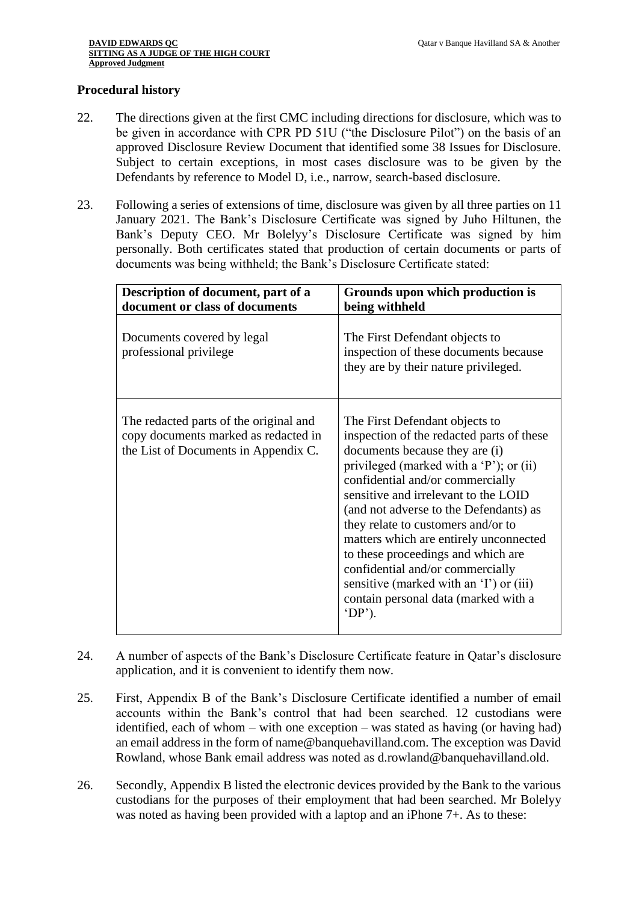#### **Procedural history**

- 22. The directions given at the first CMC including directions for disclosure, which was to be given in accordance with CPR PD 51U ("the Disclosure Pilot") on the basis of an approved Disclosure Review Document that identified some 38 Issues for Disclosure. Subject to certain exceptions, in most cases disclosure was to be given by the Defendants by reference to Model D, i.e., narrow, search-based disclosure.
- 23. Following a series of extensions of time, disclosure was given by all three parties on 11 January 2021. The Bank's Disclosure Certificate was signed by Juho Hiltunen, the Bank's Deputy CEO. Mr Bolelyy's Disclosure Certificate was signed by him personally. Both certificates stated that production of certain documents or parts of documents was being withheld; the Bank's Disclosure Certificate stated:

| Description of document, part of a<br>document or class of documents                                                   | Grounds upon which production is<br>being withheld                                                                                                                                                                                                                                                                                                                                                                                                                                                                                             |
|------------------------------------------------------------------------------------------------------------------------|------------------------------------------------------------------------------------------------------------------------------------------------------------------------------------------------------------------------------------------------------------------------------------------------------------------------------------------------------------------------------------------------------------------------------------------------------------------------------------------------------------------------------------------------|
| Documents covered by legal<br>professional privilege                                                                   | The First Defendant objects to<br>inspection of these documents because<br>they are by their nature privileged.                                                                                                                                                                                                                                                                                                                                                                                                                                |
| The redacted parts of the original and<br>copy documents marked as redacted in<br>the List of Documents in Appendix C. | The First Defendant objects to<br>inspection of the redacted parts of these<br>documents because they are (i)<br>privileged (marked with a 'P'); or (ii)<br>confidential and/or commercially<br>sensitive and irrelevant to the LOID<br>(and not adverse to the Defendants) as<br>they relate to customers and/or to<br>matters which are entirely unconnected<br>to these proceedings and which are<br>confidential and/or commercially<br>sensitive (marked with an 'I') or (iii)<br>contain personal data (marked with a<br>$^{\circ}DP$ ). |

- 24. A number of aspects of the Bank's Disclosure Certificate feature in Qatar's disclosure application, and it is convenient to identify them now.
- 25. First, Appendix B of the Bank's Disclosure Certificate identified a number of email accounts within the Bank's control that had been searched. 12 custodians were identified, each of whom – with one exception – was stated as having (or having had) an email address in the form of name@banquehavilland.com. The exception was David Rowland, whose Bank email address was noted as d.rowland@banquehavilland.old.
- 26. Secondly, Appendix B listed the electronic devices provided by the Bank to the various custodians for the purposes of their employment that had been searched. Mr Bolelyy was noted as having been provided with a laptop and an iPhone 7+. As to these: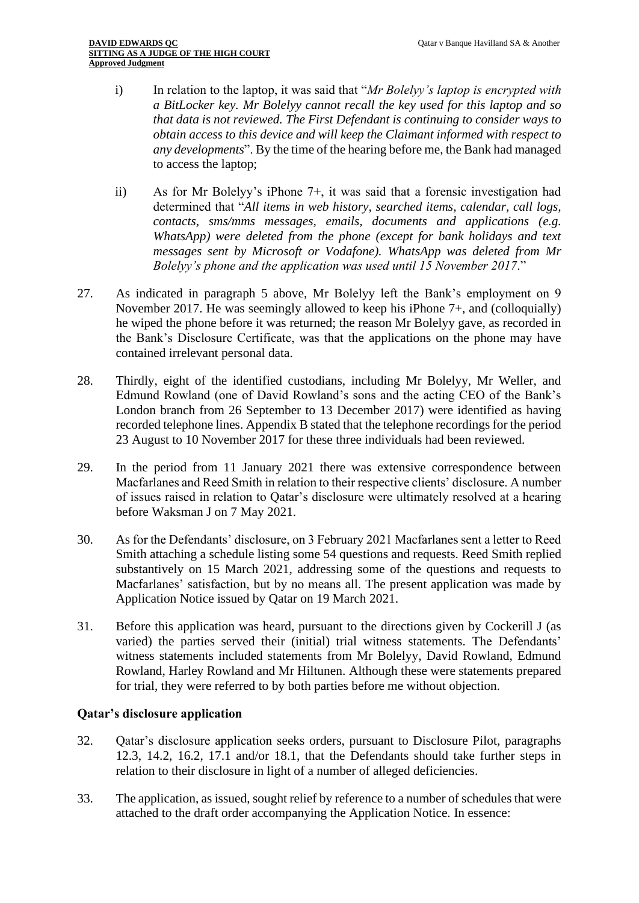- i) In relation to the laptop, it was said that "*Mr Bolelyy's laptop is encrypted with a BitLocker key. Mr Bolelyy cannot recall the key used for this laptop and so that data is not reviewed. The First Defendant is continuing to consider ways to obtain access to this device and will keep the Claimant informed with respect to any developments*". By the time of the hearing before me, the Bank had managed to access the laptop;
- ii) As for Mr Bolelyy's iPhone 7+, it was said that a forensic investigation had determined that "*All items in web history, searched items, calendar, call logs, contacts, sms/mms messages, emails, documents and applications (e.g. WhatsApp) were deleted from the phone (except for bank holidays and text messages sent by Microsoft or Vodafone). WhatsApp was deleted from Mr Bolelyy's phone and the application was used until 15 November 2017*."
- 27. As indicated in paragraph 5 above, Mr Bolelyy left the Bank's employment on 9 November 2017. He was seemingly allowed to keep his iPhone 7+, and (colloquially) he wiped the phone before it was returned; the reason Mr Bolelyy gave, as recorded in the Bank's Disclosure Certificate, was that the applications on the phone may have contained irrelevant personal data.
- 28. Thirdly, eight of the identified custodians, including Mr Bolelyy, Mr Weller, and Edmund Rowland (one of David Rowland's sons and the acting CEO of the Bank's London branch from 26 September to 13 December 2017) were identified as having recorded telephone lines. Appendix B stated that the telephone recordings for the period 23 August to 10 November 2017 for these three individuals had been reviewed.
- 29. In the period from 11 January 2021 there was extensive correspondence between Macfarlanes and Reed Smith in relation to their respective clients' disclosure. A number of issues raised in relation to Qatar's disclosure were ultimately resolved at a hearing before Waksman J on 7 May 2021.
- 30. As for the Defendants' disclosure, on 3 February 2021 Macfarlanes sent a letter to Reed Smith attaching a schedule listing some 54 questions and requests. Reed Smith replied substantively on 15 March 2021, addressing some of the questions and requests to Macfarlanes' satisfaction, but by no means all. The present application was made by Application Notice issued by Qatar on 19 March 2021.
- 31. Before this application was heard, pursuant to the directions given by Cockerill J (as varied) the parties served their (initial) trial witness statements. The Defendants' witness statements included statements from Mr Bolelyy, David Rowland, Edmund Rowland, Harley Rowland and Mr Hiltunen. Although these were statements prepared for trial, they were referred to by both parties before me without objection.

# **Qatar's disclosure application**

- 32. Qatar's disclosure application seeks orders, pursuant to Disclosure Pilot, paragraphs 12.3, 14.2, 16.2, 17.1 and/or 18.1, that the Defendants should take further steps in relation to their disclosure in light of a number of alleged deficiencies.
- 33. The application, as issued, sought relief by reference to a number of schedules that were attached to the draft order accompanying the Application Notice. In essence: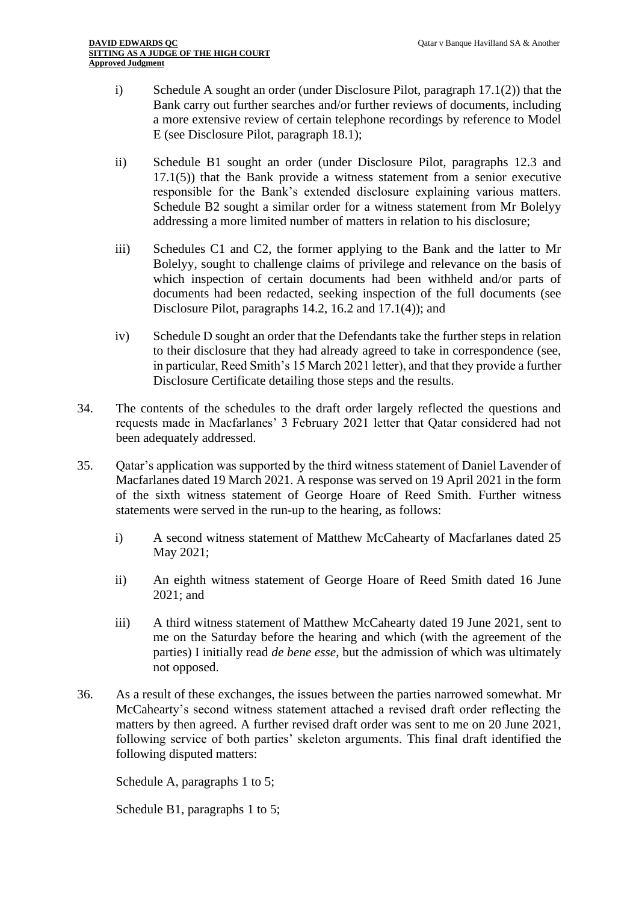- i) Schedule A sought an order (under Disclosure Pilot, paragraph 17.1(2)) that the Bank carry out further searches and/or further reviews of documents, including a more extensive review of certain telephone recordings by reference to Model E (see Disclosure Pilot, paragraph 18.1);
- ii) Schedule B1 sought an order (under Disclosure Pilot, paragraphs 12.3 and 17.1(5)) that the Bank provide a witness statement from a senior executive responsible for the Bank's extended disclosure explaining various matters. Schedule B2 sought a similar order for a witness statement from Mr Bolelyy addressing a more limited number of matters in relation to his disclosure;
- iii) Schedules C1 and C2, the former applying to the Bank and the latter to Mr Bolelyy, sought to challenge claims of privilege and relevance on the basis of which inspection of certain documents had been withheld and/or parts of documents had been redacted, seeking inspection of the full documents (see Disclosure Pilot, paragraphs 14.2, 16.2 and 17.1(4)); and
- iv) Schedule D sought an order that the Defendants take the further steps in relation to their disclosure that they had already agreed to take in correspondence (see, in particular, Reed Smith's 15 March 2021 letter), and that they provide a further Disclosure Certificate detailing those steps and the results.
- 34. The contents of the schedules to the draft order largely reflected the questions and requests made in Macfarlanes' 3 February 2021 letter that Qatar considered had not been adequately addressed.
- 35. Qatar's application was supported by the third witness statement of Daniel Lavender of Macfarlanes dated 19 March 2021. A response was served on 19 April 2021 in the form of the sixth witness statement of George Hoare of Reed Smith. Further witness statements were served in the run-up to the hearing, as follows:
	- i) A second witness statement of Matthew McCahearty of Macfarlanes dated 25 May 2021;
	- ii) An eighth witness statement of George Hoare of Reed Smith dated 16 June 2021; and
	- iii) A third witness statement of Matthew McCahearty dated 19 June 2021, sent to me on the Saturday before the hearing and which (with the agreement of the parties) I initially read *de bene esse*, but the admission of which was ultimately not opposed.
- 36. As a result of these exchanges, the issues between the parties narrowed somewhat. Mr McCahearty's second witness statement attached a revised draft order reflecting the matters by then agreed. A further revised draft order was sent to me on 20 June 2021, following service of both parties' skeleton arguments. This final draft identified the following disputed matters:

Schedule A, paragraphs 1 to 5;

Schedule B1, paragraphs 1 to 5;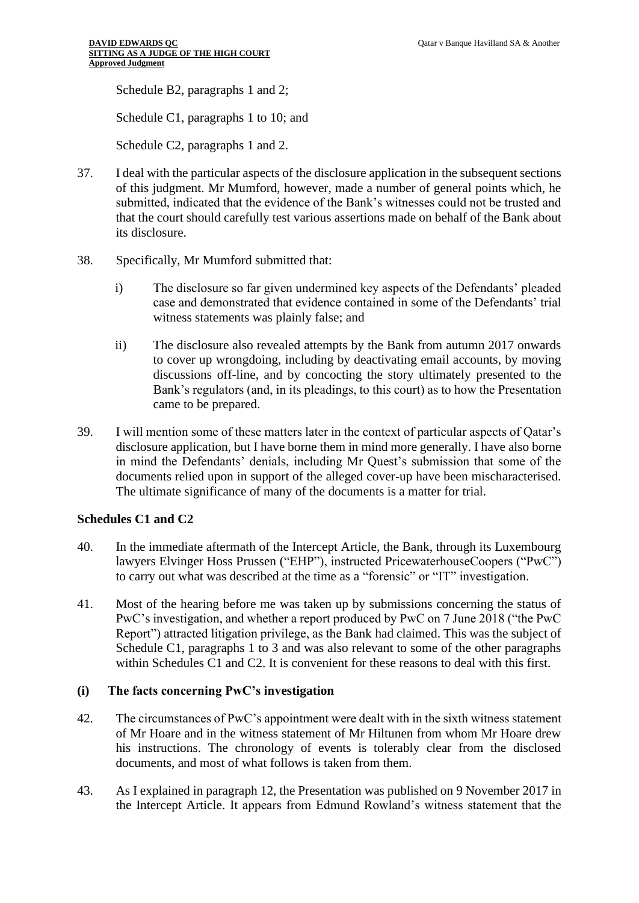Schedule B2, paragraphs 1 and 2;

Schedule C1, paragraphs 1 to 10; and

Schedule C2, paragraphs 1 and 2.

- 37. I deal with the particular aspects of the disclosure application in the subsequent sections of this judgment. Mr Mumford, however, made a number of general points which, he submitted, indicated that the evidence of the Bank's witnesses could not be trusted and that the court should carefully test various assertions made on behalf of the Bank about its disclosure.
- 38. Specifically, Mr Mumford submitted that:
	- i) The disclosure so far given undermined key aspects of the Defendants' pleaded case and demonstrated that evidence contained in some of the Defendants' trial witness statements was plainly false; and
	- ii) The disclosure also revealed attempts by the Bank from autumn 2017 onwards to cover up wrongdoing, including by deactivating email accounts, by moving discussions off-line, and by concocting the story ultimately presented to the Bank's regulators (and, in its pleadings, to this court) as to how the Presentation came to be prepared.
- 39. I will mention some of these matters later in the context of particular aspects of Qatar's disclosure application, but I have borne them in mind more generally. I have also borne in mind the Defendants' denials, including Mr Quest's submission that some of the documents relied upon in support of the alleged cover-up have been mischaracterised. The ultimate significance of many of the documents is a matter for trial.

## **Schedules C1 and C2**

- 40. In the immediate aftermath of the Intercept Article, the Bank, through its Luxembourg lawyers Elvinger Hoss Prussen ("EHP"), instructed PricewaterhouseCoopers ("PwC") to carry out what was described at the time as a "forensic" or "IT" investigation.
- 41. Most of the hearing before me was taken up by submissions concerning the status of PwC's investigation, and whether a report produced by PwC on 7 June 2018 ("the PwC Report") attracted litigation privilege, as the Bank had claimed. This was the subject of Schedule C1, paragraphs 1 to 3 and was also relevant to some of the other paragraphs within Schedules C1 and C2. It is convenient for these reasons to deal with this first.

# **(i) The facts concerning PwC's investigation**

- 42. The circumstances of PwC's appointment were dealt with in the sixth witness statement of Mr Hoare and in the witness statement of Mr Hiltunen from whom Mr Hoare drew his instructions. The chronology of events is tolerably clear from the disclosed documents, and most of what follows is taken from them.
- 43. As I explained in paragraph 12, the Presentation was published on 9 November 2017 in the Intercept Article. It appears from Edmund Rowland's witness statement that the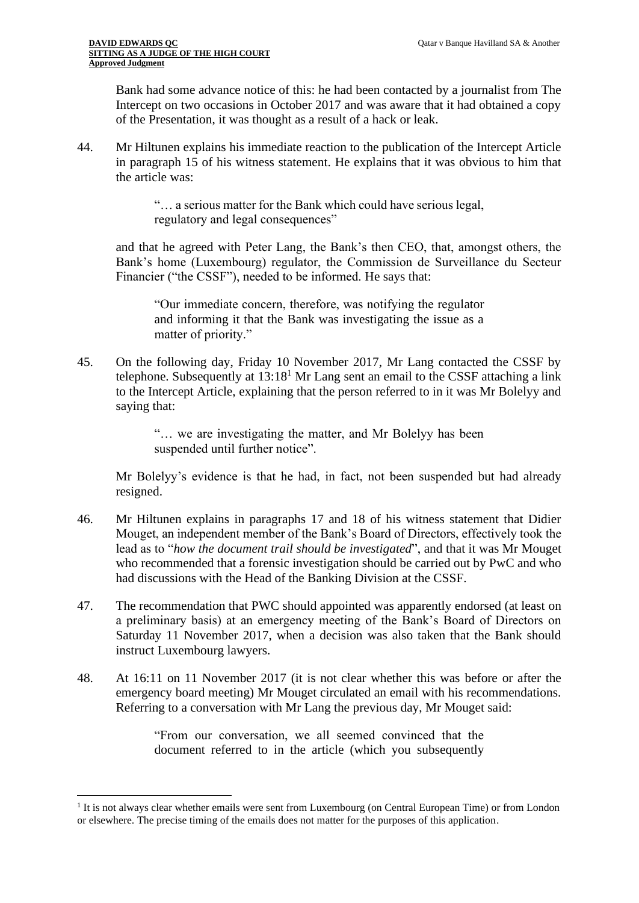Bank had some advance notice of this: he had been contacted by a journalist from The Intercept on two occasions in October 2017 and was aware that it had obtained a copy of the Presentation, it was thought as a result of a hack or leak.

44. Mr Hiltunen explains his immediate reaction to the publication of the Intercept Article in paragraph 15 of his witness statement. He explains that it was obvious to him that the article was:

> "… a serious matter for the Bank which could have serious legal, regulatory and legal consequences"

and that he agreed with Peter Lang, the Bank's then CEO, that, amongst others, the Bank's home (Luxembourg) regulator, the Commission de Surveillance du Secteur Financier ("the CSSF"), needed to be informed. He says that:

"Our immediate concern, therefore, was notifying the regulator and informing it that the Bank was investigating the issue as a matter of priority."

45. On the following day, Friday 10 November 2017, Mr Lang contacted the CSSF by telephone. Subsequently at  $13:18<sup>1</sup>$  Mr Lang sent an email to the CSSF attaching a link to the Intercept Article, explaining that the person referred to in it was Mr Bolelyy and saying that:

> "… we are investigating the matter, and Mr Bolelyy has been suspended until further notice".

Mr Bolelyy's evidence is that he had, in fact, not been suspended but had already resigned.

- 46. Mr Hiltunen explains in paragraphs 17 and 18 of his witness statement that Didier Mouget, an independent member of the Bank's Board of Directors, effectively took the lead as to "*how the document trail should be investigated*", and that it was Mr Mouget who recommended that a forensic investigation should be carried out by PwC and who had discussions with the Head of the Banking Division at the CSSF.
- 47. The recommendation that PWC should appointed was apparently endorsed (at least on a preliminary basis) at an emergency meeting of the Bank's Board of Directors on Saturday 11 November 2017, when a decision was also taken that the Bank should instruct Luxembourg lawyers.
- 48. At 16:11 on 11 November 2017 (it is not clear whether this was before or after the emergency board meeting) Mr Mouget circulated an email with his recommendations. Referring to a conversation with Mr Lang the previous day, Mr Mouget said:

"From our conversation, we all seemed convinced that the document referred to in the article (which you subsequently

<sup>&</sup>lt;sup>1</sup> It is not always clear whether emails were sent from Luxembourg (on Central European Time) or from London or elsewhere. The precise timing of the emails does not matter for the purposes of this application.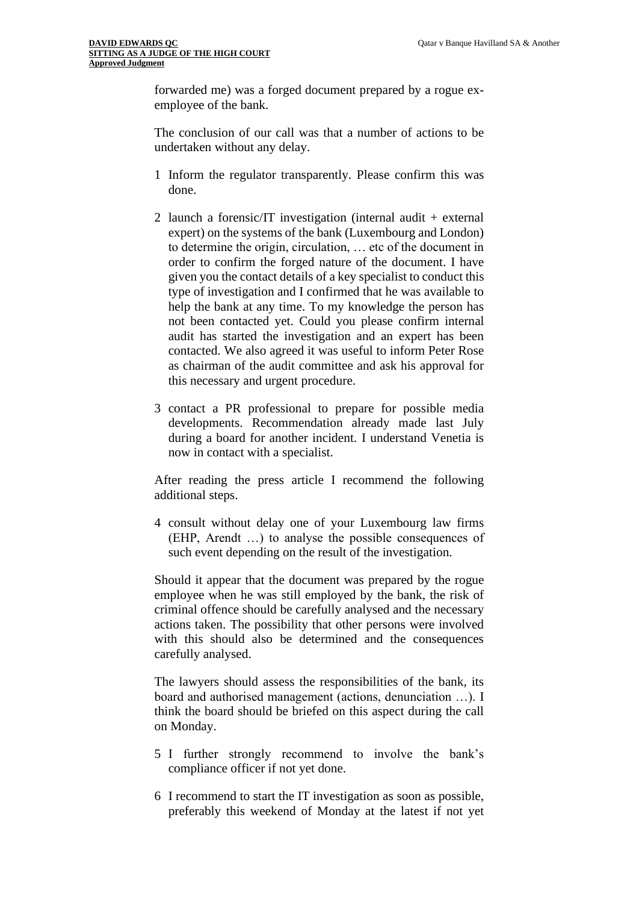forwarded me) was a forged document prepared by a rogue exemployee of the bank.

The conclusion of our call was that a number of actions to be undertaken without any delay.

- 1 Inform the regulator transparently. Please confirm this was done.
- 2 launch a forensic/IT investigation (internal audit + external expert) on the systems of the bank (Luxembourg and London) to determine the origin, circulation, … etc of the document in order to confirm the forged nature of the document. I have given you the contact details of a key specialist to conduct this type of investigation and I confirmed that he was available to help the bank at any time. To my knowledge the person has not been contacted yet. Could you please confirm internal audit has started the investigation and an expert has been contacted. We also agreed it was useful to inform Peter Rose as chairman of the audit committee and ask his approval for this necessary and urgent procedure.
- 3 contact a PR professional to prepare for possible media developments. Recommendation already made last July during a board for another incident. I understand Venetia is now in contact with a specialist.

After reading the press article I recommend the following additional steps.

4 consult without delay one of your Luxembourg law firms (EHP, Arendt …) to analyse the possible consequences of such event depending on the result of the investigation.

Should it appear that the document was prepared by the rogue employee when he was still employed by the bank, the risk of criminal offence should be carefully analysed and the necessary actions taken. The possibility that other persons were involved with this should also be determined and the consequences carefully analysed.

The lawyers should assess the responsibilities of the bank, its board and authorised management (actions, denunciation …). I think the board should be briefed on this aspect during the call on Monday.

- 5 I further strongly recommend to involve the bank's compliance officer if not yet done.
- 6 I recommend to start the IT investigation as soon as possible, preferably this weekend of Monday at the latest if not yet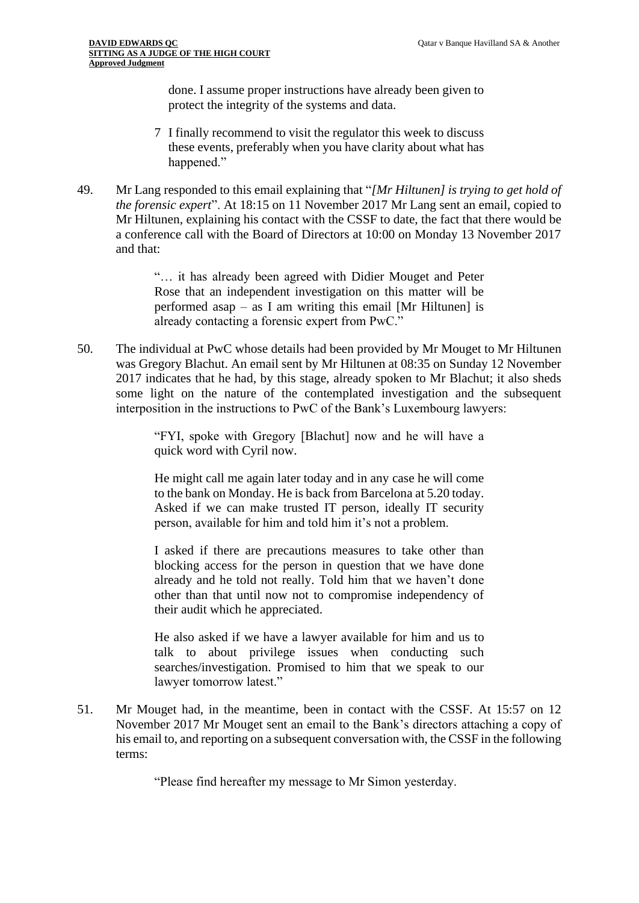done. I assume proper instructions have already been given to protect the integrity of the systems and data.

- 7 I finally recommend to visit the regulator this week to discuss these events, preferably when you have clarity about what has happened."
- 49. Mr Lang responded to this email explaining that "*[Mr Hiltunen] is trying to get hold of the forensic expert*". At 18:15 on 11 November 2017 Mr Lang sent an email, copied to Mr Hiltunen, explaining his contact with the CSSF to date, the fact that there would be a conference call with the Board of Directors at 10:00 on Monday 13 November 2017 and that:

"… it has already been agreed with Didier Mouget and Peter Rose that an independent investigation on this matter will be performed asap – as I am writing this email [Mr Hiltunen] is already contacting a forensic expert from PwC."

50. The individual at PwC whose details had been provided by Mr Mouget to Mr Hiltunen was Gregory Blachut. An email sent by Mr Hiltunen at 08:35 on Sunday 12 November 2017 indicates that he had, by this stage, already spoken to Mr Blachut; it also sheds some light on the nature of the contemplated investigation and the subsequent interposition in the instructions to PwC of the Bank's Luxembourg lawyers:

> "FYI, spoke with Gregory [Blachut] now and he will have a quick word with Cyril now.

> He might call me again later today and in any case he will come to the bank on Monday. He is back from Barcelona at 5.20 today. Asked if we can make trusted IT person, ideally IT security person, available for him and told him it's not a problem.

> I asked if there are precautions measures to take other than blocking access for the person in question that we have done already and he told not really. Told him that we haven't done other than that until now not to compromise independency of their audit which he appreciated.

> He also asked if we have a lawyer available for him and us to talk to about privilege issues when conducting such searches/investigation. Promised to him that we speak to our lawyer tomorrow latest."

51. Mr Mouget had, in the meantime, been in contact with the CSSF. At 15:57 on 12 November 2017 Mr Mouget sent an email to the Bank's directors attaching a copy of his email to, and reporting on a subsequent conversation with, the CSSF in the following terms:

"Please find hereafter my message to Mr Simon yesterday.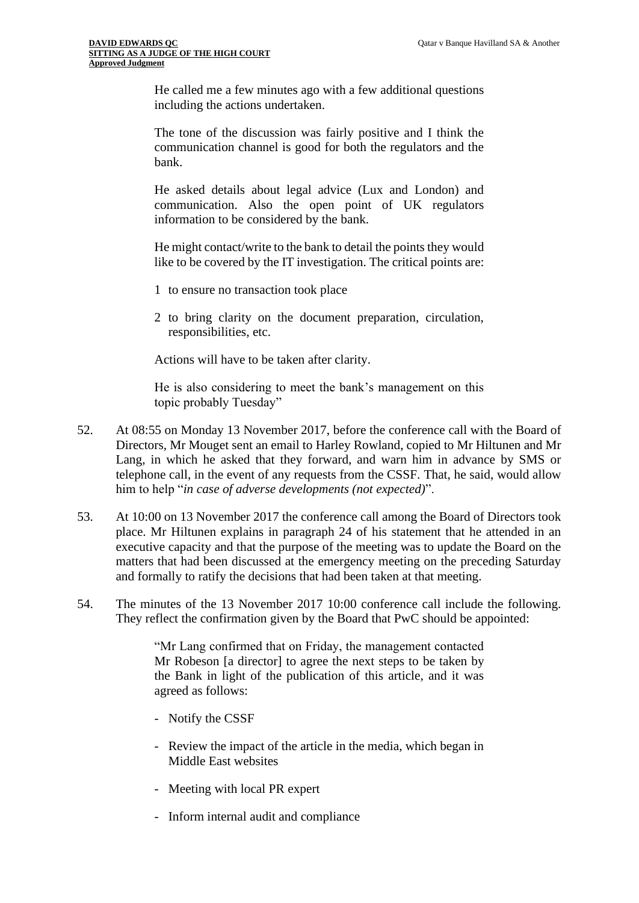He called me a few minutes ago with a few additional questions including the actions undertaken.

The tone of the discussion was fairly positive and I think the communication channel is good for both the regulators and the bank.

He asked details about legal advice (Lux and London) and communication. Also the open point of UK regulators information to be considered by the bank.

He might contact/write to the bank to detail the points they would like to be covered by the IT investigation. The critical points are:

- 1 to ensure no transaction took place
- 2 to bring clarity on the document preparation, circulation, responsibilities, etc.

Actions will have to be taken after clarity.

He is also considering to meet the bank's management on this topic probably Tuesday"

- 52. At 08:55 on Monday 13 November 2017, before the conference call with the Board of Directors, Mr Mouget sent an email to Harley Rowland, copied to Mr Hiltunen and Mr Lang, in which he asked that they forward, and warn him in advance by SMS or telephone call, in the event of any requests from the CSSF. That, he said, would allow him to help "*in case of adverse developments (not expected)*".
- 53. At 10:00 on 13 November 2017 the conference call among the Board of Directors took place. Mr Hiltunen explains in paragraph 24 of his statement that he attended in an executive capacity and that the purpose of the meeting was to update the Board on the matters that had been discussed at the emergency meeting on the preceding Saturday and formally to ratify the decisions that had been taken at that meeting.
- 54. The minutes of the 13 November 2017 10:00 conference call include the following. They reflect the confirmation given by the Board that PwC should be appointed:

"Mr Lang confirmed that on Friday, the management contacted Mr Robeson [a director] to agree the next steps to be taken by the Bank in light of the publication of this article, and it was agreed as follows:

- Notify the CSSF
- Review the impact of the article in the media, which began in Middle East websites
- Meeting with local PR expert
- Inform internal audit and compliance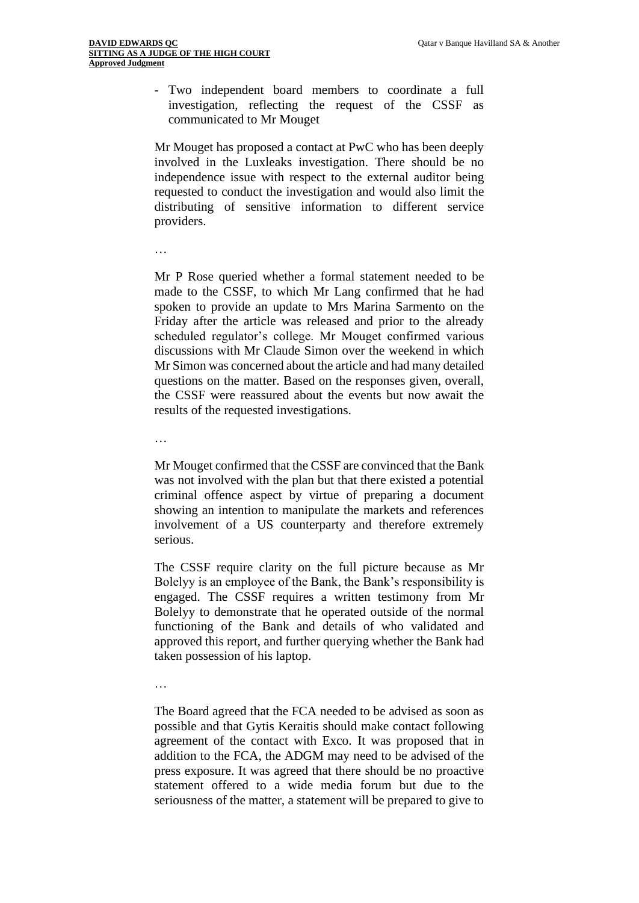- Two independent board members to coordinate a full investigation, reflecting the request of the CSSF as communicated to Mr Mouget

Mr Mouget has proposed a contact at PwC who has been deeply involved in the Luxleaks investigation. There should be no independence issue with respect to the external auditor being requested to conduct the investigation and would also limit the distributing of sensitive information to different service providers.

…

Mr P Rose queried whether a formal statement needed to be made to the CSSF, to which Mr Lang confirmed that he had spoken to provide an update to Mrs Marina Sarmento on the Friday after the article was released and prior to the already scheduled regulator's college. Mr Mouget confirmed various discussions with Mr Claude Simon over the weekend in which Mr Simon was concerned about the article and had many detailed questions on the matter. Based on the responses given, overall, the CSSF were reassured about the events but now await the results of the requested investigations.

…

Mr Mouget confirmed that the CSSF are convinced that the Bank was not involved with the plan but that there existed a potential criminal offence aspect by virtue of preparing a document showing an intention to manipulate the markets and references involvement of a US counterparty and therefore extremely serious.

The CSSF require clarity on the full picture because as Mr Bolelyy is an employee of the Bank, the Bank's responsibility is engaged. The CSSF requires a written testimony from Mr Bolelyy to demonstrate that he operated outside of the normal functioning of the Bank and details of who validated and approved this report, and further querying whether the Bank had taken possession of his laptop.

…

The Board agreed that the FCA needed to be advised as soon as possible and that Gytis Keraitis should make contact following agreement of the contact with Exco. It was proposed that in addition to the FCA, the ADGM may need to be advised of the press exposure. It was agreed that there should be no proactive statement offered to a wide media forum but due to the seriousness of the matter, a statement will be prepared to give to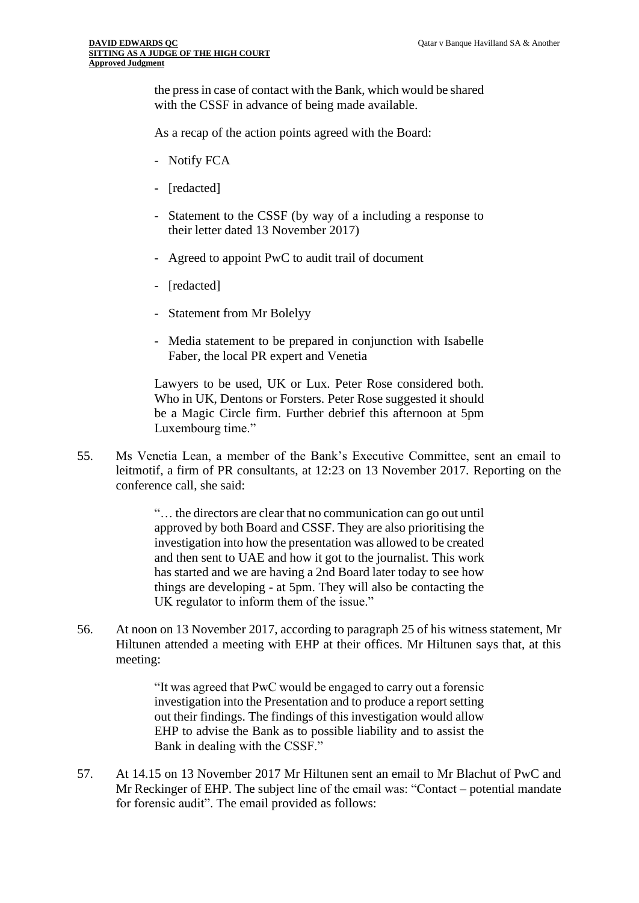the press in case of contact with the Bank, which would be shared with the CSSF in advance of being made available.

As a recap of the action points agreed with the Board:

- Notify FCA
- [redacted]
- Statement to the CSSF (by way of a including a response to their letter dated 13 November 2017)
- Agreed to appoint PwC to audit trail of document
- [redacted]
- Statement from Mr Bolelyy
- Media statement to be prepared in conjunction with Isabelle Faber, the local PR expert and Venetia

Lawyers to be used, UK or Lux. Peter Rose considered both. Who in UK, Dentons or Forsters. Peter Rose suggested it should be a Magic Circle firm. Further debrief this afternoon at 5pm Luxembourg time."

55. Ms Venetia Lean, a member of the Bank's Executive Committee, sent an email to leitmotif, a firm of PR consultants, at 12:23 on 13 November 2017. Reporting on the conference call, she said:

> "… the directors are clear that no communication can go out until approved by both Board and CSSF. They are also prioritising the investigation into how the presentation was allowed to be created and then sent to UAE and how it got to the journalist. This work has started and we are having a 2nd Board later today to see how things are developing - at 5pm. They will also be contacting the UK regulator to inform them of the issue."

56. At noon on 13 November 2017, according to paragraph 25 of his witness statement, Mr Hiltunen attended a meeting with EHP at their offices. Mr Hiltunen says that, at this meeting:

> "It was agreed that PwC would be engaged to carry out a forensic investigation into the Presentation and to produce a report setting out their findings. The findings of this investigation would allow EHP to advise the Bank as to possible liability and to assist the Bank in dealing with the CSSF."

57. At 14.15 on 13 November 2017 Mr Hiltunen sent an email to Mr Blachut of PwC and Mr Reckinger of EHP. The subject line of the email was: "Contact – potential mandate for forensic audit". The email provided as follows: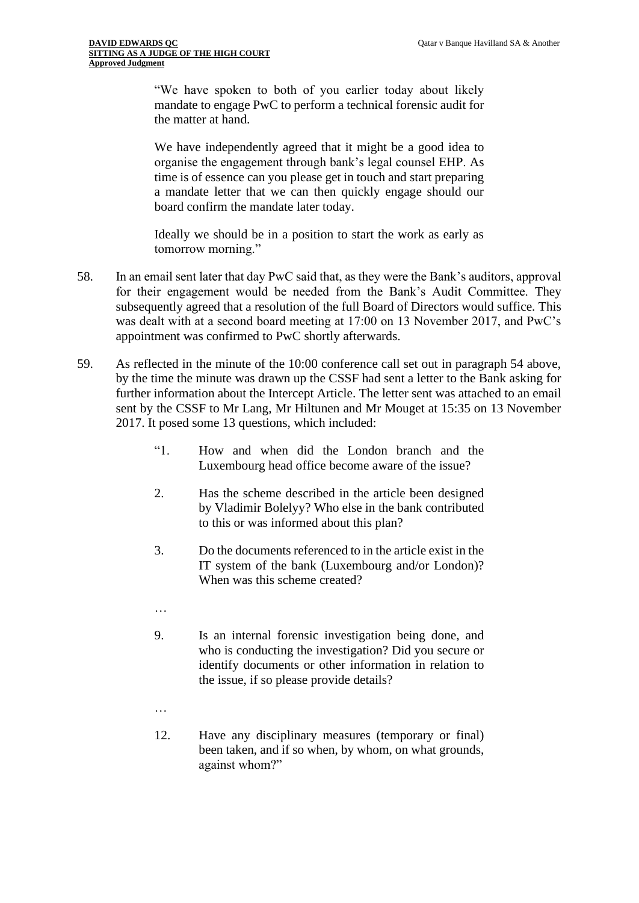"We have spoken to both of you earlier today about likely mandate to engage PwC to perform a technical forensic audit for the matter at hand.

We have independently agreed that it might be a good idea to organise the engagement through bank's legal counsel EHP. As time is of essence can you please get in touch and start preparing a mandate letter that we can then quickly engage should our board confirm the mandate later today.

Ideally we should be in a position to start the work as early as tomorrow morning."

- 58. In an email sent later that day PwC said that, as they were the Bank's auditors, approval for their engagement would be needed from the Bank's Audit Committee. They subsequently agreed that a resolution of the full Board of Directors would suffice. This was dealt with at a second board meeting at 17:00 on 13 November 2017, and PwC's appointment was confirmed to PwC shortly afterwards.
- 59. As reflected in the minute of the 10:00 conference call set out in paragraph 54 above, by the time the minute was drawn up the CSSF had sent a letter to the Bank asking for further information about the Intercept Article. The letter sent was attached to an email sent by the CSSF to Mr Lang, Mr Hiltunen and Mr Mouget at 15:35 on 13 November 2017. It posed some 13 questions, which included:
	- "1. How and when did the London branch and the Luxembourg head office become aware of the issue?
	- 2. Has the scheme described in the article been designed by Vladimir Bolelyy? Who else in the bank contributed to this or was informed about this plan?
	- 3. Do the documents referenced to in the article exist in the IT system of the bank (Luxembourg and/or London)? When was this scheme created?
	- …
	- 9. Is an internal forensic investigation being done, and who is conducting the investigation? Did you secure or identify documents or other information in relation to the issue, if so please provide details?
	- …
	- 12. Have any disciplinary measures (temporary or final) been taken, and if so when, by whom, on what grounds, against whom?"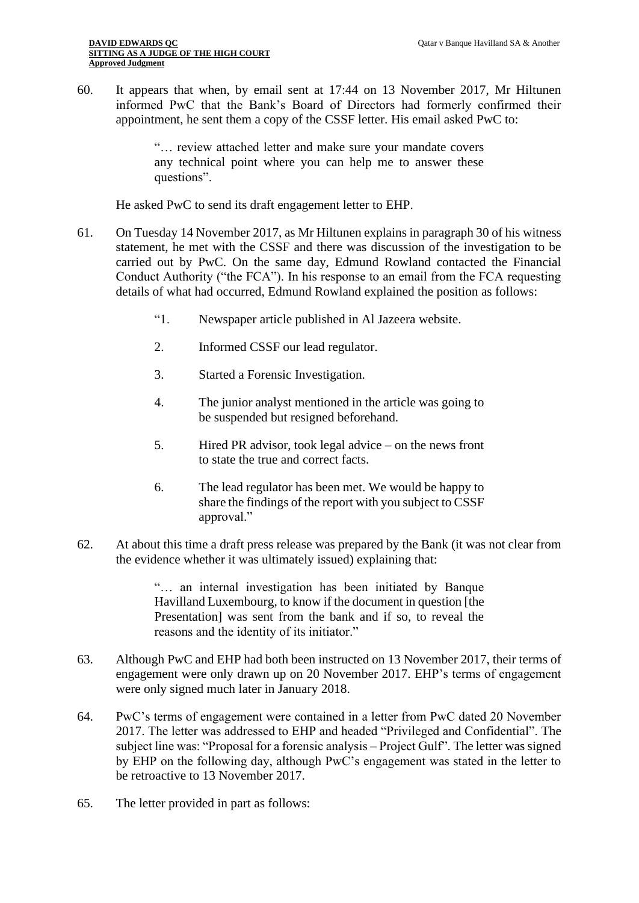60. It appears that when, by email sent at 17:44 on 13 November 2017, Mr Hiltunen informed PwC that the Bank's Board of Directors had formerly confirmed their appointment, he sent them a copy of the CSSF letter. His email asked PwC to:

> "… review attached letter and make sure your mandate covers any technical point where you can help me to answer these questions".

He asked PwC to send its draft engagement letter to EHP.

- 61. On Tuesday 14 November 2017, as Mr Hiltunen explains in paragraph 30 of his witness statement, he met with the CSSF and there was discussion of the investigation to be carried out by PwC. On the same day, Edmund Rowland contacted the Financial Conduct Authority ("the FCA"). In his response to an email from the FCA requesting details of what had occurred, Edmund Rowland explained the position as follows:
	- "1. Newspaper article published in Al Jazeera website.
	- 2. Informed CSSF our lead regulator.
	- 3. Started a Forensic Investigation.
	- 4. The junior analyst mentioned in the article was going to be suspended but resigned beforehand.
	- 5. Hired PR advisor, took legal advice on the news front to state the true and correct facts.
	- 6. The lead regulator has been met. We would be happy to share the findings of the report with you subject to CSSF approval."
- 62. At about this time a draft press release was prepared by the Bank (it was not clear from the evidence whether it was ultimately issued) explaining that:

"… an internal investigation has been initiated by Banque Havilland Luxembourg, to know if the document in question [the Presentation] was sent from the bank and if so, to reveal the reasons and the identity of its initiator."

- 63. Although PwC and EHP had both been instructed on 13 November 2017, their terms of engagement were only drawn up on 20 November 2017. EHP's terms of engagement were only signed much later in January 2018.
- 64. PwC's terms of engagement were contained in a letter from PwC dated 20 November 2017. The letter was addressed to EHP and headed "Privileged and Confidential". The subject line was: "Proposal for a forensic analysis – Project Gulf". The letter was signed by EHP on the following day, although PwC's engagement was stated in the letter to be retroactive to 13 November 2017.
- 65. The letter provided in part as follows: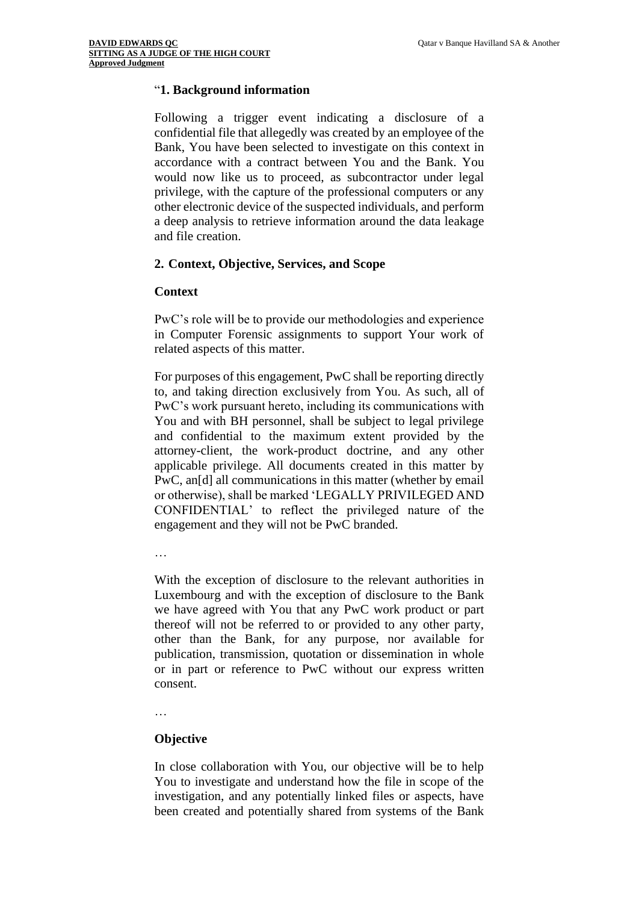#### "**1. Background information**

Following a trigger event indicating a disclosure of a confidential file that allegedly was created by an employee of the Bank, You have been selected to investigate on this context in accordance with a contract between You and the Bank. You would now like us to proceed, as subcontractor under legal privilege, with the capture of the professional computers or any other electronic device of the suspected individuals, and perform a deep analysis to retrieve information around the data leakage and file creation.

#### **2. Context, Objective, Services, and Scope**

#### **Context**

PwC's role will be to provide our methodologies and experience in Computer Forensic assignments to support Your work of related aspects of this matter.

For purposes of this engagement, PwC shall be reporting directly to, and taking direction exclusively from You. As such, all of PwC's work pursuant hereto, including its communications with You and with BH personnel, shall be subject to legal privilege and confidential to the maximum extent provided by the attorney-client, the work-product doctrine, and any other applicable privilege. All documents created in this matter by PwC, an<sup>[d]</sup> all communications in this matter (whether by email or otherwise), shall be marked 'LEGALLY PRIVILEGED AND CONFIDENTIAL' to reflect the privileged nature of the engagement and they will not be PwC branded.

…

With the exception of disclosure to the relevant authorities in Luxembourg and with the exception of disclosure to the Bank we have agreed with You that any PwC work product or part thereof will not be referred to or provided to any other party, other than the Bank, for any purpose, nor available for publication, transmission, quotation or dissemination in whole or in part or reference to PwC without our express written consent.

…

#### **Objective**

In close collaboration with You, our objective will be to help You to investigate and understand how the file in scope of the investigation, and any potentially linked files or aspects, have been created and potentially shared from systems of the Bank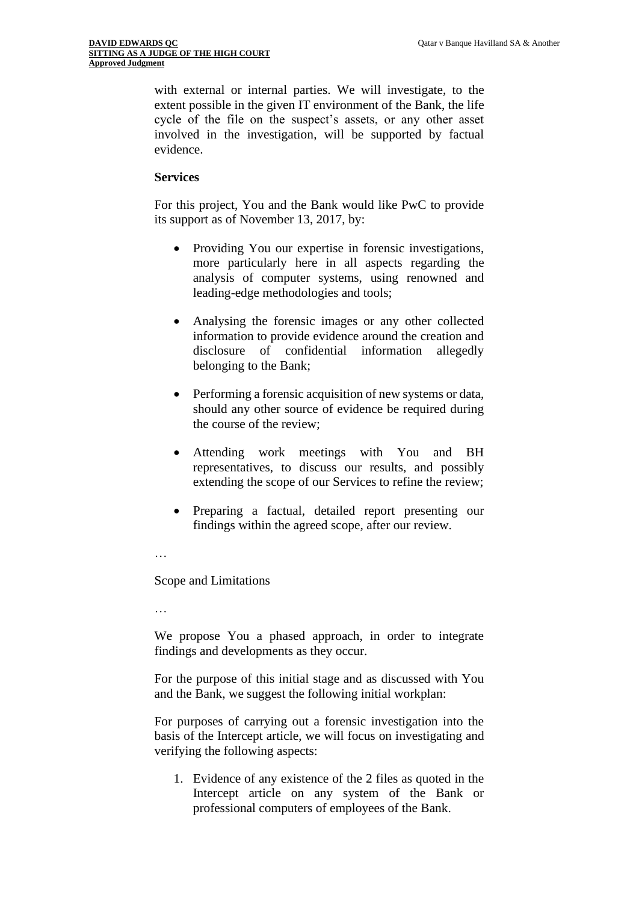with external or internal parties. We will investigate, to the extent possible in the given IT environment of the Bank, the life cycle of the file on the suspect's assets, or any other asset involved in the investigation, will be supported by factual evidence.

#### **Services**

For this project, You and the Bank would like PwC to provide its support as of November 13, 2017, by:

- Providing You our expertise in forensic investigations, more particularly here in all aspects regarding the analysis of computer systems, using renowned and leading-edge methodologies and tools;
- Analysing the forensic images or any other collected information to provide evidence around the creation and disclosure of confidential information allegedly belonging to the Bank;
- Performing a forensic acquisition of new systems or data, should any other source of evidence be required during the course of the review;
- Attending work meetings with You and BH representatives, to discuss our results, and possibly extending the scope of our Services to refine the review;
- Preparing a factual, detailed report presenting our findings within the agreed scope, after our review.
- …

Scope and Limitations

…

We propose You a phased approach, in order to integrate findings and developments as they occur.

For the purpose of this initial stage and as discussed with You and the Bank, we suggest the following initial workplan:

For purposes of carrying out a forensic investigation into the basis of the Intercept article, we will focus on investigating and verifying the following aspects:

1. Evidence of any existence of the 2 files as quoted in the Intercept article on any system of the Bank or professional computers of employees of the Bank.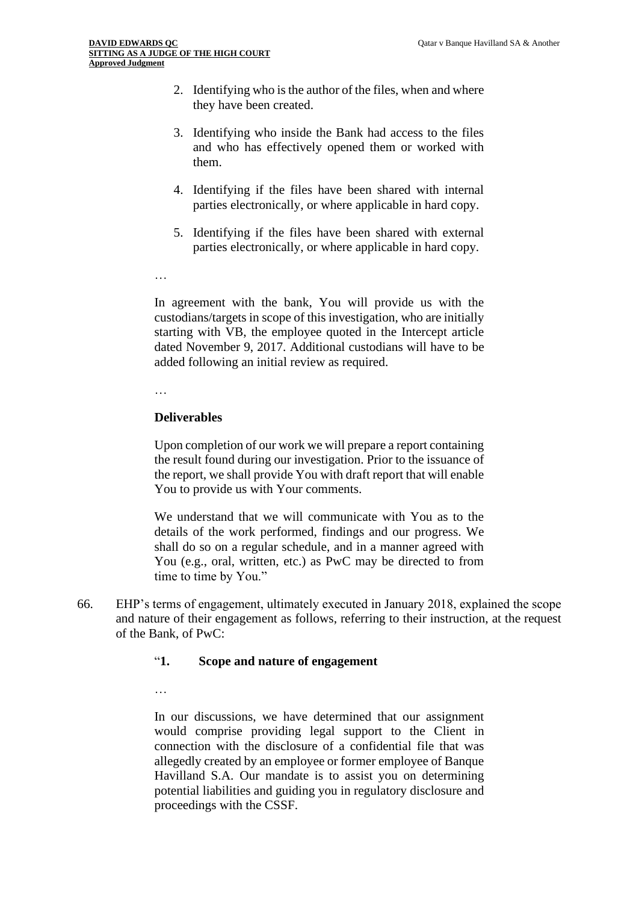- 2. Identifying who is the author of the files, when and where they have been created.
- 3. Identifying who inside the Bank had access to the files and who has effectively opened them or worked with them.
- 4. Identifying if the files have been shared with internal parties electronically, or where applicable in hard copy.
- 5. Identifying if the files have been shared with external parties electronically, or where applicable in hard copy.
- …

In agreement with the bank, You will provide us with the custodians/targets in scope of this investigation, who are initially starting with VB, the employee quoted in the Intercept article dated November 9, 2017. Additional custodians will have to be added following an initial review as required.

…

## **Deliverables**

Upon completion of our work we will prepare a report containing the result found during our investigation. Prior to the issuance of the report, we shall provide You with draft report that will enable You to provide us with Your comments.

We understand that we will communicate with You as to the details of the work performed, findings and our progress. We shall do so on a regular schedule, and in a manner agreed with You (e.g., oral, written, etc.) as PwC may be directed to from time to time by You."

66. EHP's terms of engagement, ultimately executed in January 2018, explained the scope and nature of their engagement as follows, referring to their instruction, at the request of the Bank, of PwC:

## "**1. Scope and nature of engagement**

…

In our discussions, we have determined that our assignment would comprise providing legal support to the Client in connection with the disclosure of a confidential file that was allegedly created by an employee or former employee of Banque Havilland S.A. Our mandate is to assist you on determining potential liabilities and guiding you in regulatory disclosure and proceedings with the CSSF.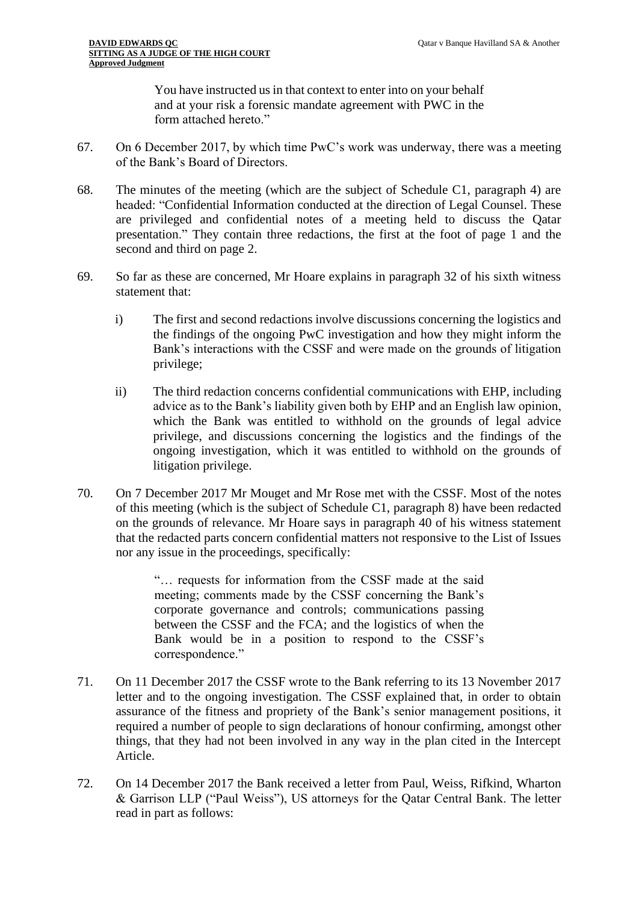You have instructed us in that context to enter into on your behalf and at your risk a forensic mandate agreement with PWC in the form attached hereto."

- 67. On 6 December 2017, by which time PwC's work was underway, there was a meeting of the Bank's Board of Directors.
- 68. The minutes of the meeting (which are the subject of Schedule C1, paragraph 4) are headed: "Confidential Information conducted at the direction of Legal Counsel. These are privileged and confidential notes of a meeting held to discuss the Qatar presentation." They contain three redactions, the first at the foot of page 1 and the second and third on page 2.
- 69. So far as these are concerned, Mr Hoare explains in paragraph 32 of his sixth witness statement that:
	- i) The first and second redactions involve discussions concerning the logistics and the findings of the ongoing PwC investigation and how they might inform the Bank's interactions with the CSSF and were made on the grounds of litigation privilege;
	- ii) The third redaction concerns confidential communications with EHP, including advice as to the Bank's liability given both by EHP and an English law opinion, which the Bank was entitled to withhold on the grounds of legal advice privilege, and discussions concerning the logistics and the findings of the ongoing investigation, which it was entitled to withhold on the grounds of litigation privilege.
- 70. On 7 December 2017 Mr Mouget and Mr Rose met with the CSSF. Most of the notes of this meeting (which is the subject of Schedule C1, paragraph 8) have been redacted on the grounds of relevance. Mr Hoare says in paragraph 40 of his witness statement that the redacted parts concern confidential matters not responsive to the List of Issues nor any issue in the proceedings, specifically:

"… requests for information from the CSSF made at the said meeting; comments made by the CSSF concerning the Bank's corporate governance and controls; communications passing between the CSSF and the FCA; and the logistics of when the Bank would be in a position to respond to the CSSF's correspondence."

- 71. On 11 December 2017 the CSSF wrote to the Bank referring to its 13 November 2017 letter and to the ongoing investigation. The CSSF explained that, in order to obtain assurance of the fitness and propriety of the Bank's senior management positions, it required a number of people to sign declarations of honour confirming, amongst other things, that they had not been involved in any way in the plan cited in the Intercept Article.
- 72. On 14 December 2017 the Bank received a letter from Paul, Weiss, Rifkind, Wharton & Garrison LLP ("Paul Weiss"), US attorneys for the Qatar Central Bank. The letter read in part as follows: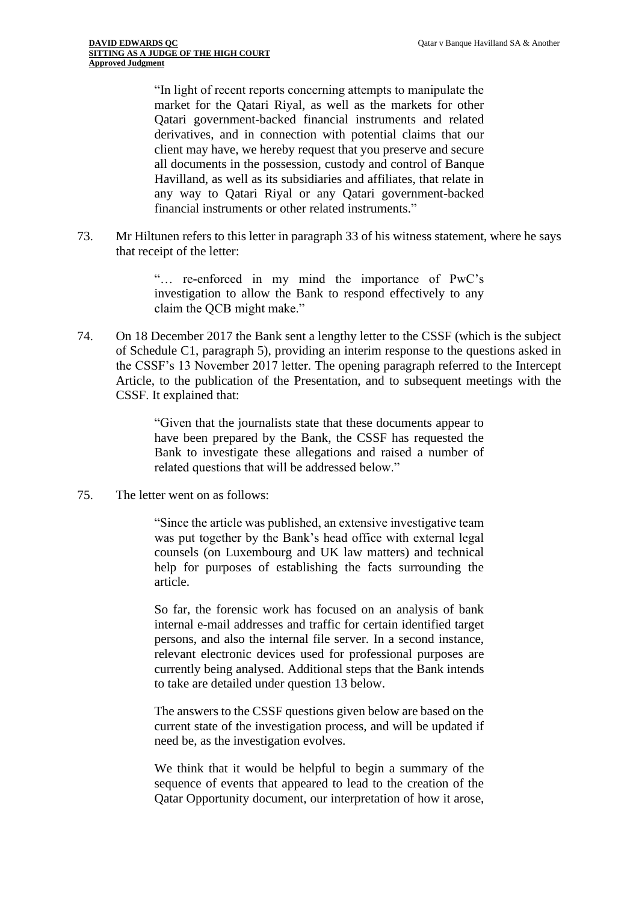"In light of recent reports concerning attempts to manipulate the market for the Qatari Riyal, as well as the markets for other Qatari government-backed financial instruments and related derivatives, and in connection with potential claims that our client may have, we hereby request that you preserve and secure all documents in the possession, custody and control of Banque Havilland, as well as its subsidiaries and affiliates, that relate in any way to Qatari Riyal or any Qatari government-backed financial instruments or other related instruments."

73. Mr Hiltunen refers to this letter in paragraph 33 of his witness statement, where he says that receipt of the letter:

> "… re-enforced in my mind the importance of PwC's investigation to allow the Bank to respond effectively to any claim the QCB might make."

74. On 18 December 2017 the Bank sent a lengthy letter to the CSSF (which is the subject of Schedule C1, paragraph 5), providing an interim response to the questions asked in the CSSF's 13 November 2017 letter. The opening paragraph referred to the Intercept Article, to the publication of the Presentation, and to subsequent meetings with the CSSF. It explained that:

> "Given that the journalists state that these documents appear to have been prepared by the Bank, the CSSF has requested the Bank to investigate these allegations and raised a number of related questions that will be addressed below."

75. The letter went on as follows:

"Since the article was published, an extensive investigative team was put together by the Bank's head office with external legal counsels (on Luxembourg and UK law matters) and technical help for purposes of establishing the facts surrounding the article.

So far, the forensic work has focused on an analysis of bank internal e-mail addresses and traffic for certain identified target persons, and also the internal file server. In a second instance, relevant electronic devices used for professional purposes are currently being analysed. Additional steps that the Bank intends to take are detailed under question 13 below.

The answers to the CSSF questions given below are based on the current state of the investigation process, and will be updated if need be, as the investigation evolves.

We think that it would be helpful to begin a summary of the sequence of events that appeared to lead to the creation of the Qatar Opportunity document, our interpretation of how it arose,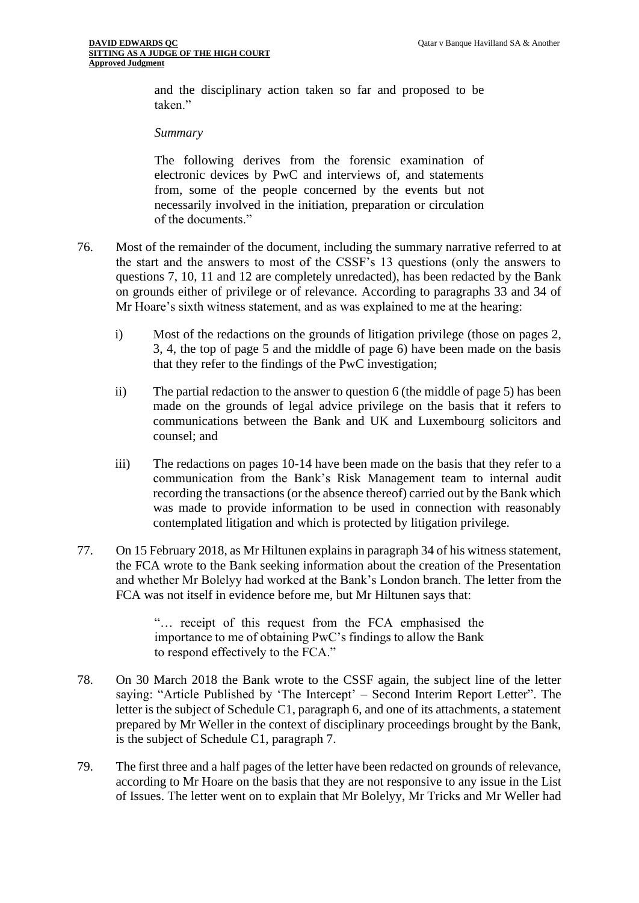and the disciplinary action taken so far and proposed to be taken."

#### *Summary*

The following derives from the forensic examination of electronic devices by PwC and interviews of, and statements from, some of the people concerned by the events but not necessarily involved in the initiation, preparation or circulation of the documents."

- 76. Most of the remainder of the document, including the summary narrative referred to at the start and the answers to most of the CSSF's 13 questions (only the answers to questions 7, 10, 11 and 12 are completely unredacted), has been redacted by the Bank on grounds either of privilege or of relevance. According to paragraphs 33 and 34 of Mr Hoare's sixth witness statement, and as was explained to me at the hearing:
	- i) Most of the redactions on the grounds of litigation privilege (those on pages 2, 3, 4, the top of page 5 and the middle of page 6) have been made on the basis that they refer to the findings of the PwC investigation;
	- ii) The partial redaction to the answer to question 6 (the middle of page 5) has been made on the grounds of legal advice privilege on the basis that it refers to communications between the Bank and UK and Luxembourg solicitors and counsel; and
	- iii) The redactions on pages 10-14 have been made on the basis that they refer to a communication from the Bank's Risk Management team to internal audit recording the transactions (or the absence thereof) carried out by the Bank which was made to provide information to be used in connection with reasonably contemplated litigation and which is protected by litigation privilege.
- 77. On 15 February 2018, as Mr Hiltunen explains in paragraph 34 of his witness statement, the FCA wrote to the Bank seeking information about the creation of the Presentation and whether Mr Bolelyy had worked at the Bank's London branch. The letter from the FCA was not itself in evidence before me, but Mr Hiltunen says that:

"… receipt of this request from the FCA emphasised the importance to me of obtaining PwC's findings to allow the Bank to respond effectively to the FCA."

- 78. On 30 March 2018 the Bank wrote to the CSSF again, the subject line of the letter saying: "Article Published by 'The Intercept' – Second Interim Report Letter". The letter is the subject of Schedule C1, paragraph 6, and one of its attachments, a statement prepared by Mr Weller in the context of disciplinary proceedings brought by the Bank, is the subject of Schedule C1, paragraph 7.
- 79. The first three and a half pages of the letter have been redacted on grounds of relevance, according to Mr Hoare on the basis that they are not responsive to any issue in the List of Issues. The letter went on to explain that Mr Bolelyy, Mr Tricks and Mr Weller had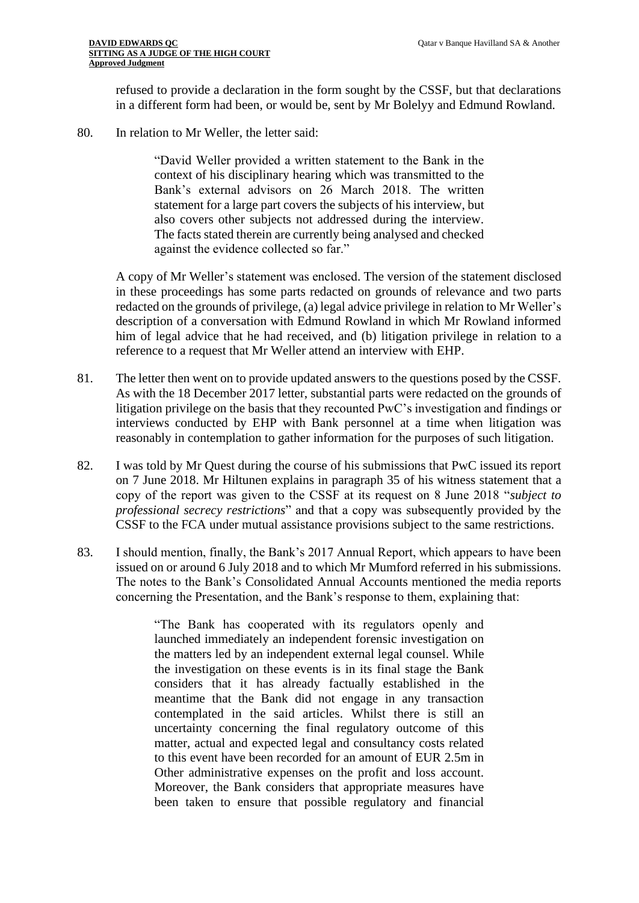refused to provide a declaration in the form sought by the CSSF, but that declarations in a different form had been, or would be, sent by Mr Bolelyy and Edmund Rowland.

80. In relation to Mr Weller, the letter said:

"David Weller provided a written statement to the Bank in the context of his disciplinary hearing which was transmitted to the Bank's external advisors on 26 March 2018. The written statement for a large part covers the subjects of his interview, but also covers other subjects not addressed during the interview. The facts stated therein are currently being analysed and checked against the evidence collected so far."

A copy of Mr Weller's statement was enclosed. The version of the statement disclosed in these proceedings has some parts redacted on grounds of relevance and two parts redacted on the grounds of privilege, (a) legal advice privilege in relation to Mr Weller's description of a conversation with Edmund Rowland in which Mr Rowland informed him of legal advice that he had received, and (b) litigation privilege in relation to a reference to a request that Mr Weller attend an interview with EHP.

- 81. The letter then went on to provide updated answers to the questions posed by the CSSF. As with the 18 December 2017 letter, substantial parts were redacted on the grounds of litigation privilege on the basis that they recounted PwC's investigation and findings or interviews conducted by EHP with Bank personnel at a time when litigation was reasonably in contemplation to gather information for the purposes of such litigation.
- 82. I was told by Mr Quest during the course of his submissions that PwC issued its report on 7 June 2018. Mr Hiltunen explains in paragraph 35 of his witness statement that a copy of the report was given to the CSSF at its request on 8 June 2018 "*subject to professional secrecy restrictions*" and that a copy was subsequently provided by the CSSF to the FCA under mutual assistance provisions subject to the same restrictions.
- 83. I should mention, finally, the Bank's 2017 Annual Report, which appears to have been issued on or around 6 July 2018 and to which Mr Mumford referred in his submissions. The notes to the Bank's Consolidated Annual Accounts mentioned the media reports concerning the Presentation, and the Bank's response to them, explaining that:

"The Bank has cooperated with its regulators openly and launched immediately an independent forensic investigation on the matters led by an independent external legal counsel. While the investigation on these events is in its final stage the Bank considers that it has already factually established in the meantime that the Bank did not engage in any transaction contemplated in the said articles. Whilst there is still an uncertainty concerning the final regulatory outcome of this matter, actual and expected legal and consultancy costs related to this event have been recorded for an amount of EUR 2.5m in Other administrative expenses on the profit and loss account. Moreover, the Bank considers that appropriate measures have been taken to ensure that possible regulatory and financial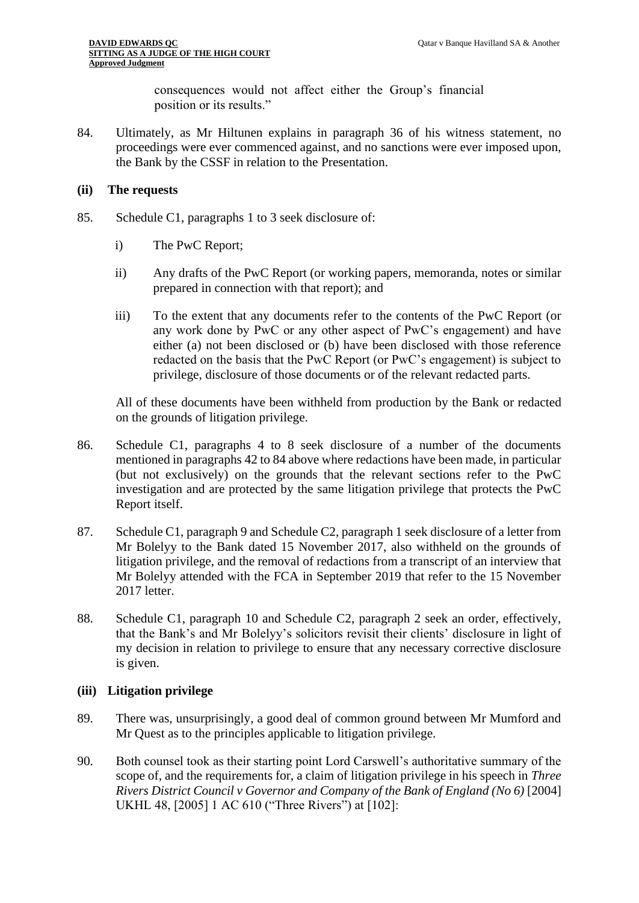consequences would not affect either the Group's financial position or its results."

84. Ultimately, as Mr Hiltunen explains in paragraph 36 of his witness statement, no proceedings were ever commenced against, and no sanctions were ever imposed upon, the Bank by the CSSF in relation to the Presentation.

#### **(ii) The requests**

- 85. Schedule C1, paragraphs 1 to 3 seek disclosure of:
	- i) The PwC Report;
	- ii) Any drafts of the PwC Report (or working papers, memoranda, notes or similar prepared in connection with that report); and
	- iii) To the extent that any documents refer to the contents of the PwC Report (or any work done by PwC or any other aspect of PwC's engagement) and have either (a) not been disclosed or (b) have been disclosed with those reference redacted on the basis that the PwC Report (or PwC's engagement) is subject to privilege, disclosure of those documents or of the relevant redacted parts.

All of these documents have been withheld from production by the Bank or redacted on the grounds of litigation privilege.

- 86. Schedule C1, paragraphs 4 to 8 seek disclosure of a number of the documents mentioned in paragraphs 42 to 84 above where redactions have been made, in particular (but not exclusively) on the grounds that the relevant sections refer to the PwC investigation and are protected by the same litigation privilege that protects the PwC Report itself.
- 87. Schedule C1, paragraph 9 and Schedule C2, paragraph 1 seek disclosure of a letter from Mr Bolelyy to the Bank dated 15 November 2017, also withheld on the grounds of litigation privilege, and the removal of redactions from a transcript of an interview that Mr Bolelyy attended with the FCA in September 2019 that refer to the 15 November 2017 letter.
- 88. Schedule C1, paragraph 10 and Schedule C2, paragraph 2 seek an order, effectively, that the Bank's and Mr Bolelyy's solicitors revisit their clients' disclosure in light of my decision in relation to privilege to ensure that any necessary corrective disclosure is given.

#### **(iii) Litigation privilege**

- 89. There was, unsurprisingly, a good deal of common ground between Mr Mumford and Mr Quest as to the principles applicable to litigation privilege.
- 90. Both counsel took as their starting point Lord Carswell's authoritative summary of the scope of, and the requirements for, a claim of litigation privilege in his speech in *Three Rivers District Council v Governor and Company of the Bank of England (No 6)* [2004] UKHL 48, [2005] 1 AC 610 ("Three Rivers") at [102]: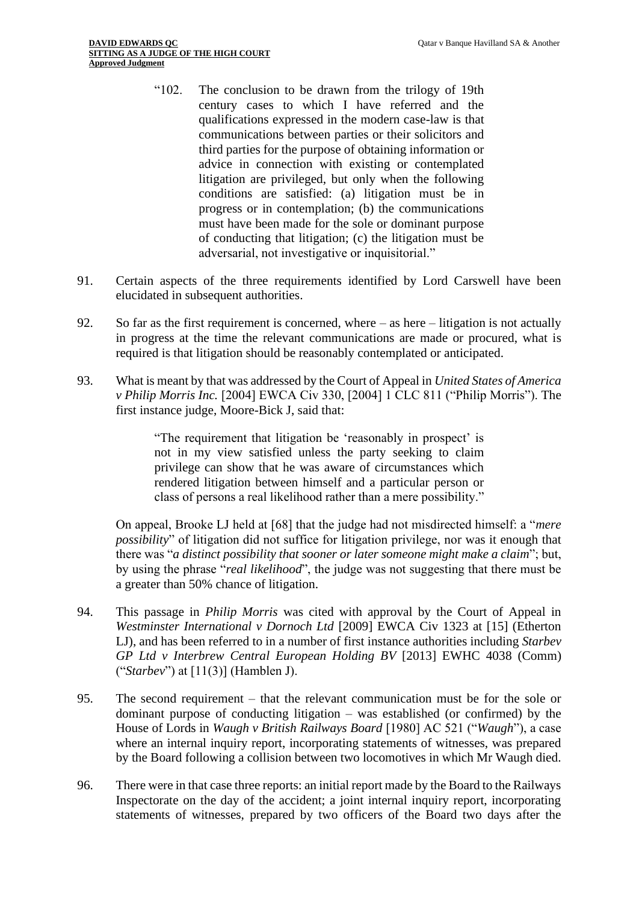- "102. The conclusion to be drawn from the trilogy of 19th century cases to which I have referred and the qualifications expressed in the modern case-law is that communications between parties or their solicitors and third parties for the purpose of obtaining information or advice in connection with existing or contemplated litigation are privileged, but only when the following conditions are satisfied: (a) litigation must be in progress or in contemplation; (b) the communications must have been made for the sole or dominant purpose of conducting that litigation; (c) the litigation must be adversarial, not investigative or inquisitorial."
- 91. Certain aspects of the three requirements identified by Lord Carswell have been elucidated in subsequent authorities.
- 92. So far as the first requirement is concerned, where as here litigation is not actually in progress at the time the relevant communications are made or procured, what is required is that litigation should be reasonably contemplated or anticipated.
- 93. What is meant by that was addressed by the Court of Appeal in *United States of America v Philip Morris Inc.* [2004] EWCA Civ 330, [2004] 1 CLC 811 ("Philip Morris"). The first instance judge, Moore-Bick J, said that:

"The requirement that litigation be 'reasonably in prospect' is not in my view satisfied unless the party seeking to claim privilege can show that he was aware of circumstances which rendered litigation between himself and a particular person or class of persons a real likelihood rather than a mere possibility."

On appeal, Brooke LJ held at [68] that the judge had not misdirected himself: a "*mere possibility*" of litigation did not suffice for litigation privilege, nor was it enough that there was "*a distinct possibility that sooner or later someone might make a claim*"; but, by using the phrase "*real likelihood*", the judge was not suggesting that there must be a greater than 50% chance of litigation.

- 94. This passage in *Philip Morris* was cited with approval by the Court of Appeal in *Westminster International v Dornoch Ltd* [2009] EWCA Civ 1323 at [15] (Etherton LJ), and has been referred to in a number of first instance authorities including *Starbev GP Ltd v Interbrew Central European Holding BV* [2013] EWHC 4038 (Comm) ("*Starbev*") at [11(3)] (Hamblen J).
- 95. The second requirement that the relevant communication must be for the sole or dominant purpose of conducting litigation – was established (or confirmed) by the House of Lords in *Waugh v British Railways Board* [1980] AC 521 ("*Waugh*"), a case where an internal inquiry report, incorporating statements of witnesses, was prepared by the Board following a collision between two locomotives in which Mr Waugh died.
- 96. There were in that case three reports: an initial report made by the Board to the Railways Inspectorate on the day of the accident; a joint internal inquiry report, incorporating statements of witnesses, prepared by two officers of the Board two days after the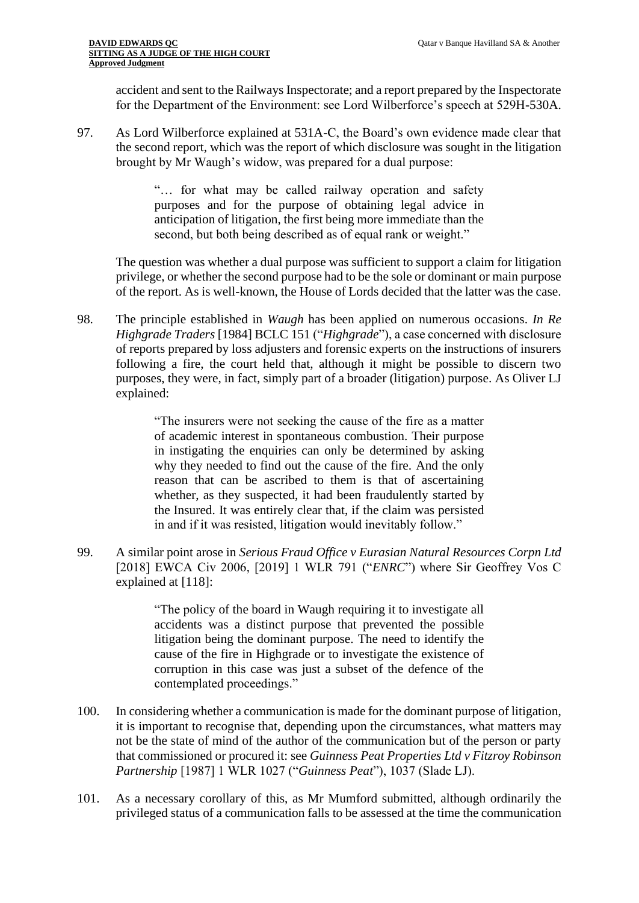accident and sent to the Railways Inspectorate; and a report prepared by the Inspectorate for the Department of the Environment: see Lord Wilberforce's speech at 529H-530A.

97. As Lord Wilberforce explained at 531A-C, the Board's own evidence made clear that the second report, which was the report of which disclosure was sought in the litigation brought by Mr Waugh's widow, was prepared for a dual purpose:

> "… for what may be called railway operation and safety purposes and for the purpose of obtaining legal advice in anticipation of litigation, the first being more immediate than the second, but both being described as of equal rank or weight."

The question was whether a dual purpose was sufficient to support a claim for litigation privilege, or whether the second purpose had to be the sole or dominant or main purpose of the report. As is well-known, the House of Lords decided that the latter was the case.

98. The principle established in *Waugh* has been applied on numerous occasions. *In Re Highgrade Traders* [1984] BCLC 151 ("*Highgrade*"), a case concerned with disclosure of reports prepared by loss adjusters and forensic experts on the instructions of insurers following a fire, the court held that, although it might be possible to discern two purposes, they were, in fact, simply part of a broader (litigation) purpose. As Oliver LJ explained:

> "The insurers were not seeking the cause of the fire as a matter of academic interest in spontaneous combustion. Their purpose in instigating the enquiries can only be determined by asking why they needed to find out the cause of the fire. And the only reason that can be ascribed to them is that of ascertaining whether, as they suspected, it had been fraudulently started by the Insured. It was entirely clear that, if the claim was persisted in and if it was resisted, litigation would inevitably follow."

99. A similar point arose in *Serious Fraud Office v Eurasian Natural Resources Corpn Ltd*  [2018] EWCA Civ 2006, [2019] 1 WLR 791 ("*ENRC*") where Sir Geoffrey Vos C explained at [118]:

> "The policy of the board in Waugh requiring it to investigate all accidents was a distinct purpose that prevented the possible litigation being the dominant purpose. The need to identify the cause of the fire in Highgrade or to investigate the existence of corruption in this case was just a subset of the defence of the contemplated proceedings."

- 100. In considering whether a communication is made for the dominant purpose of litigation, it is important to recognise that, depending upon the circumstances, what matters may not be the state of mind of the author of the communication but of the person or party that commissioned or procured it: see *Guinness Peat Properties Ltd v Fitzroy Robinson Partnership* [1987] 1 WLR 1027 ("*Guinness Peat*"), 1037 (Slade LJ).
- 101. As a necessary corollary of this, as Mr Mumford submitted, although ordinarily the privileged status of a communication falls to be assessed at the time the communication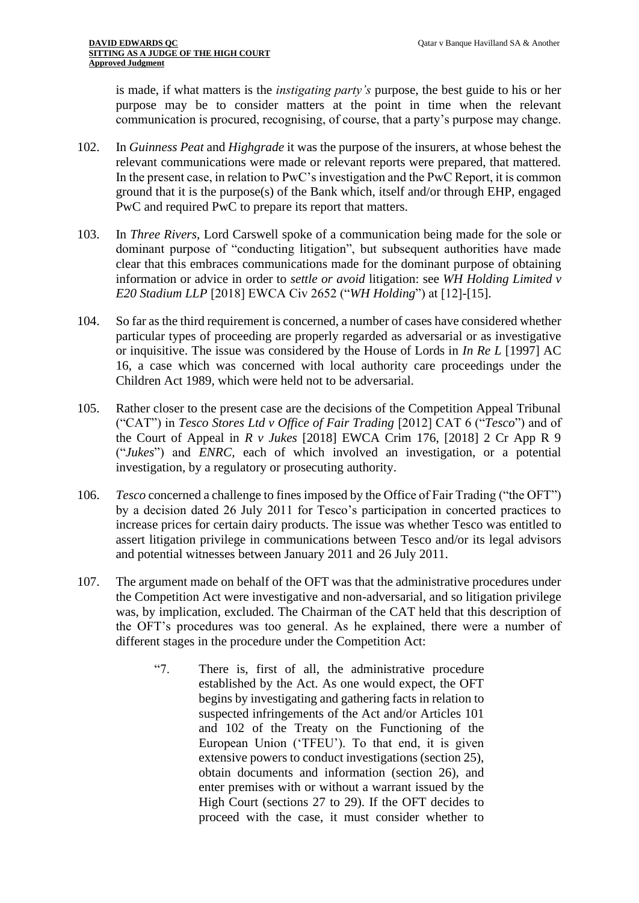is made, if what matters is the *instigating party's* purpose, the best guide to his or her purpose may be to consider matters at the point in time when the relevant communication is procured, recognising, of course, that a party's purpose may change.

- 102. In *Guinness Peat* and *Highgrade* it was the purpose of the insurers, at whose behest the relevant communications were made or relevant reports were prepared, that mattered. In the present case, in relation to PwC's investigation and the PwC Report, it is common ground that it is the purpose(s) of the Bank which, itself and/or through EHP, engaged PwC and required PwC to prepare its report that matters.
- 103. In *Three Rivers*, Lord Carswell spoke of a communication being made for the sole or dominant purpose of "conducting litigation", but subsequent authorities have made clear that this embraces communications made for the dominant purpose of obtaining information or advice in order to *settle or avoid* litigation: see *WH Holding Limited v E20 Stadium LLP* [2018] EWCA Civ 2652 ("*WH Holding*") at [12]-[15].
- 104. So far as the third requirement is concerned, a number of cases have considered whether particular types of proceeding are properly regarded as adversarial or as investigative or inquisitive. The issue was considered by the House of Lords in *In Re L* [1997] AC 16, a case which was concerned with local authority care proceedings under the Children Act 1989, which were held not to be adversarial.
- 105. Rather closer to the present case are the decisions of the Competition Appeal Tribunal ("CAT") in *Tesco Stores Ltd v Office of Fair Trading* [2012] CAT 6 ("*Tesco*") and of the Court of Appeal in *R v Jukes* [2018] EWCA Crim 176, [2018] 2 Cr App R 9 ("*Jukes*") and *ENRC,* each of which involved an investigation, or a potential investigation, by a regulatory or prosecuting authority.
- 106. *Tesco* concerned a challenge to fines imposed by the Office of Fair Trading ("the OFT") by a decision dated 26 July 2011 for Tesco's participation in concerted practices to increase prices for certain dairy products. The issue was whether Tesco was entitled to assert litigation privilege in communications between Tesco and/or its legal advisors and potential witnesses between January 2011 and 26 July 2011.
- 107. The argument made on behalf of the OFT was that the administrative procedures under the Competition Act were investigative and non-adversarial, and so litigation privilege was, by implication, excluded. The Chairman of the CAT held that this description of the OFT's procedures was too general. As he explained, there were a number of different stages in the procedure under the Competition Act:
	- "7. There is, first of all, the administrative procedure established by the Act. As one would expect, the OFT begins by investigating and gathering facts in relation to suspected infringements of the Act and/or Articles 101 and 102 of the Treaty on the Functioning of the European Union ('TFEU'). To that end, it is given extensive powers to conduct investigations (section 25), obtain documents and information (section 26), and enter premises with or without a warrant issued by the High Court (sections 27 to 29). If the OFT decides to proceed with the case, it must consider whether to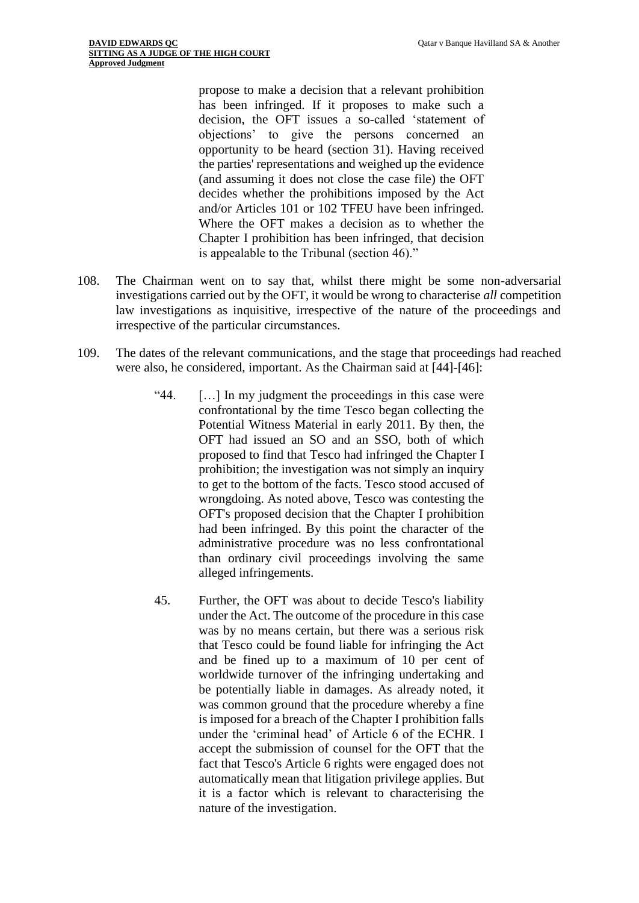propose to make a decision that a relevant prohibition has been infringed. If it proposes to make such a decision, the OFT issues a so-called 'statement of objections' to give the persons concerned an opportunity to be heard (section 31). Having received the parties' representations and weighed up the evidence (and assuming it does not close the case file) the OFT decides whether the prohibitions imposed by the Act and/or Articles 101 or 102 TFEU have been infringed. Where the OFT makes a decision as to whether the Chapter I prohibition has been infringed, that decision is appealable to the Tribunal (section 46)."

- 108. The Chairman went on to say that, whilst there might be some non-adversarial investigations carried out by the OFT, it would be wrong to characterise *all* competition law investigations as inquisitive, irrespective of the nature of the proceedings and irrespective of the particular circumstances.
- 109. The dates of the relevant communications, and the stage that proceedings had reached were also, he considered, important. As the Chairman said at [44]-[46]:
	- "44. […] In my judgment the proceedings in this case were confrontational by the time Tesco began collecting the Potential Witness Material in early 2011. By then, the OFT had issued an SO and an SSO, both of which proposed to find that Tesco had infringed the Chapter I prohibition; the investigation was not simply an inquiry to get to the bottom of the facts. Tesco stood accused of wrongdoing. As noted above, Tesco was contesting the OFT's proposed decision that the Chapter I prohibition had been infringed. By this point the character of the administrative procedure was no less confrontational than ordinary civil proceedings involving the same alleged infringements.
	- 45. Further, the OFT was about to decide Tesco's liability under the Act. The outcome of the procedure in this case was by no means certain, but there was a serious risk that Tesco could be found liable for infringing the Act and be fined up to a maximum of 10 per cent of worldwide turnover of the infringing undertaking and be potentially liable in damages. As already noted, it was common ground that the procedure whereby a fine is imposed for a breach of the Chapter I prohibition falls under the 'criminal head' of Article 6 of the ECHR. I accept the submission of counsel for the OFT that the fact that Tesco's Article 6 rights were engaged does not automatically mean that litigation privilege applies. But it is a factor which is relevant to characterising the nature of the investigation.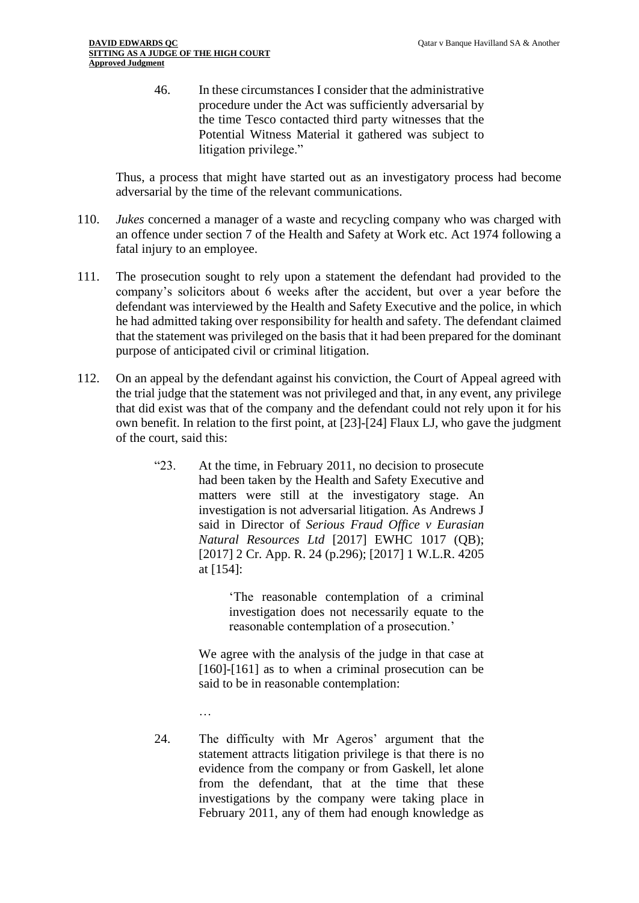46. In these circumstances I consider that the administrative procedure under the Act was sufficiently adversarial by the time Tesco contacted third party witnesses that the Potential Witness Material it gathered was subject to litigation privilege."

Thus, a process that might have started out as an investigatory process had become adversarial by the time of the relevant communications.

- 110. *Jukes* concerned a manager of a waste and recycling company who was charged with an offence under section 7 of the Health and Safety at Work etc. Act 1974 following a fatal injury to an employee.
- 111. The prosecution sought to rely upon a statement the defendant had provided to the company's solicitors about 6 weeks after the accident, but over a year before the defendant was interviewed by the Health and Safety Executive and the police, in which he had admitted taking over responsibility for health and safety. The defendant claimed that the statement was privileged on the basis that it had been prepared for the dominant purpose of anticipated civil or criminal litigation.
- 112. On an appeal by the defendant against his conviction, the Court of Appeal agreed with the trial judge that the statement was not privileged and that, in any event, any privilege that did exist was that of the company and the defendant could not rely upon it for his own benefit. In relation to the first point, at [23]-[24] Flaux LJ, who gave the judgment of the court, said this:
	- "23. At the time, in February 2011, no decision to prosecute had been taken by the Health and Safety Executive and matters were still at the investigatory stage. An investigation is not adversarial litigation. As Andrews J said in Director of *Serious Fraud Office v Eurasian Natural Resources Ltd* [2017] EWHC 1017 (QB); [2017] 2 Cr. App. R. 24 (p.296); [2017] 1 W.L.R. 4205 at [154]:

'The reasonable contemplation of a criminal investigation does not necessarily equate to the reasonable contemplation of a prosecution.'

We agree with the analysis of the judge in that case at [160]-[161] as to when a criminal prosecution can be said to be in reasonable contemplation:

…

24. The difficulty with Mr Ageros' argument that the statement attracts litigation privilege is that there is no evidence from the company or from Gaskell, let alone from the defendant, that at the time that these investigations by the company were taking place in February 2011, any of them had enough knowledge as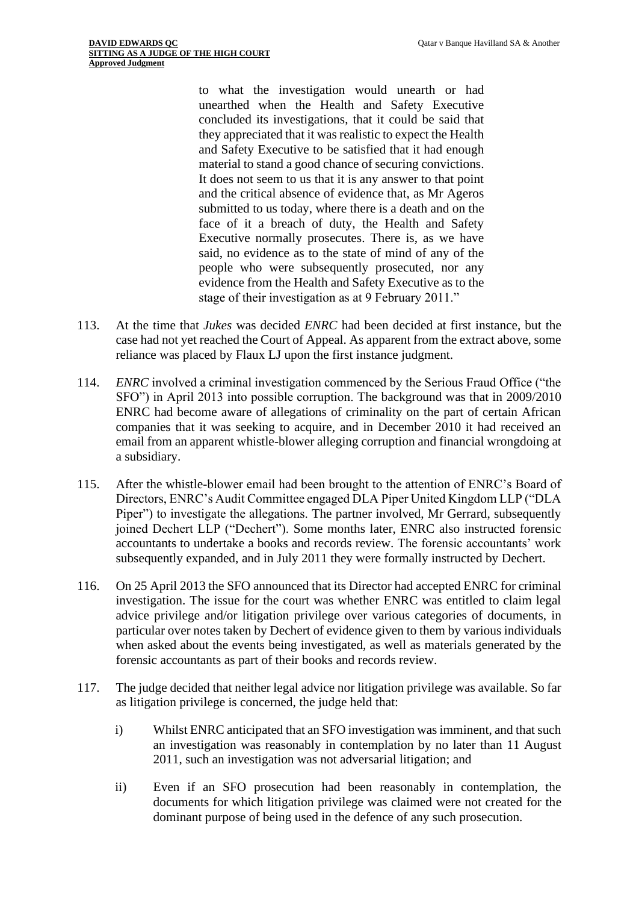to what the investigation would unearth or had unearthed when the Health and Safety Executive concluded its investigations, that it could be said that they appreciated that it was realistic to expect the Health and Safety Executive to be satisfied that it had enough material to stand a good chance of securing convictions. It does not seem to us that it is any answer to that point and the critical absence of evidence that, as Mr Ageros submitted to us today, where there is a death and on the face of it a breach of duty, the Health and Safety Executive normally prosecutes. There is, as we have said, no evidence as to the state of mind of any of the people who were subsequently prosecuted, nor any evidence from the Health and Safety Executive as to the stage of their investigation as at 9 February 2011."

- 113. At the time that *Jukes* was decided *ENRC* had been decided at first instance, but the case had not yet reached the Court of Appeal. As apparent from the extract above, some reliance was placed by Flaux LJ upon the first instance judgment.
- 114. *ENRC* involved a criminal investigation commenced by the Serious Fraud Office ("the SFO") in April 2013 into possible corruption. The background was that in 2009/2010 ENRC had become aware of allegations of criminality on the part of certain African companies that it was seeking to acquire, and in December 2010 it had received an email from an apparent whistle-blower alleging corruption and financial wrongdoing at a subsidiary.
- 115. After the whistle-blower email had been brought to the attention of ENRC's Board of Directors, ENRC's Audit Committee engaged DLA Piper United Kingdom LLP ("DLA Piper") to investigate the allegations. The partner involved, Mr Gerrard, subsequently joined Dechert LLP ("Dechert"). Some months later, ENRC also instructed forensic accountants to undertake a books and records review. The forensic accountants' work subsequently expanded, and in July 2011 they were formally instructed by Dechert.
- 116. On 25 April 2013 the SFO announced that its Director had accepted ENRC for criminal investigation. The issue for the court was whether ENRC was entitled to claim legal advice privilege and/or litigation privilege over various categories of documents, in particular over notes taken by Dechert of evidence given to them by various individuals when asked about the events being investigated, as well as materials generated by the forensic accountants as part of their books and records review.
- 117. The judge decided that neither legal advice nor litigation privilege was available. So far as litigation privilege is concerned, the judge held that:
	- i) Whilst ENRC anticipated that an SFO investigation was imminent, and that such an investigation was reasonably in contemplation by no later than 11 August 2011, such an investigation was not adversarial litigation; and
	- ii) Even if an SFO prosecution had been reasonably in contemplation, the documents for which litigation privilege was claimed were not created for the dominant purpose of being used in the defence of any such prosecution.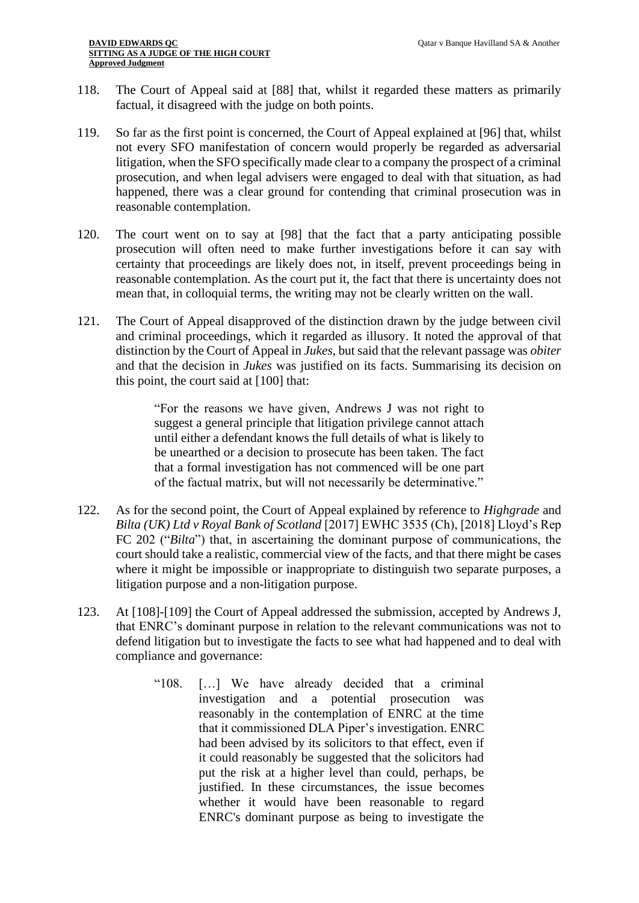- 118. The Court of Appeal said at [88] that, whilst it regarded these matters as primarily factual, it disagreed with the judge on both points.
- 119. So far as the first point is concerned, the Court of Appeal explained at [96] that, whilst not every SFO manifestation of concern would properly be regarded as adversarial litigation, when the SFO specifically made clear to a company the prospect of a criminal prosecution, and when legal advisers were engaged to deal with that situation, as had happened, there was a clear ground for contending that criminal prosecution was in reasonable contemplation.
- 120. The court went on to say at [98] that the fact that a party anticipating possible prosecution will often need to make further investigations before it can say with certainty that proceedings are likely does not, in itself, prevent proceedings being in reasonable contemplation. As the court put it, the fact that there is uncertainty does not mean that, in colloquial terms, the writing may not be clearly written on the wall.
- 121. The Court of Appeal disapproved of the distinction drawn by the judge between civil and criminal proceedings, which it regarded as illusory. It noted the approval of that distinction by the Court of Appeal in *Jukes*, but said that the relevant passage was *obiter* and that the decision in *Jukes* was justified on its facts. Summarising its decision on this point, the court said at [100] that:

"For the reasons we have given, Andrews J was not right to suggest a general principle that litigation privilege cannot attach until either a defendant knows the full details of what is likely to be unearthed or a decision to prosecute has been taken. The fact that a formal investigation has not commenced will be one part of the factual matrix, but will not necessarily be determinative."

- 122. As for the second point, the Court of Appeal explained by reference to *Highgrade* and *Bilta (UK) Ltd v Royal Bank of Scotland* [2017] EWHC 3535 (Ch), [2018] Lloyd's Rep FC 202 ("*Bilta*") that, in ascertaining the dominant purpose of communications, the court should take a realistic, commercial view of the facts, and that there might be cases where it might be impossible or inappropriate to distinguish two separate purposes, a litigation purpose and a non-litigation purpose.
- 123. At [108]-[109] the Court of Appeal addressed the submission, accepted by Andrews J, that ENRC's dominant purpose in relation to the relevant communications was not to defend litigation but to investigate the facts to see what had happened and to deal with compliance and governance:
	- "108. […] We have already decided that a criminal investigation and a potential prosecution was reasonably in the contemplation of ENRC at the time that it commissioned DLA Piper's investigation. ENRC had been advised by its solicitors to that effect, even if it could reasonably be suggested that the solicitors had put the risk at a higher level than could, perhaps, be justified. In these circumstances, the issue becomes whether it would have been reasonable to regard ENRC's dominant purpose as being to investigate the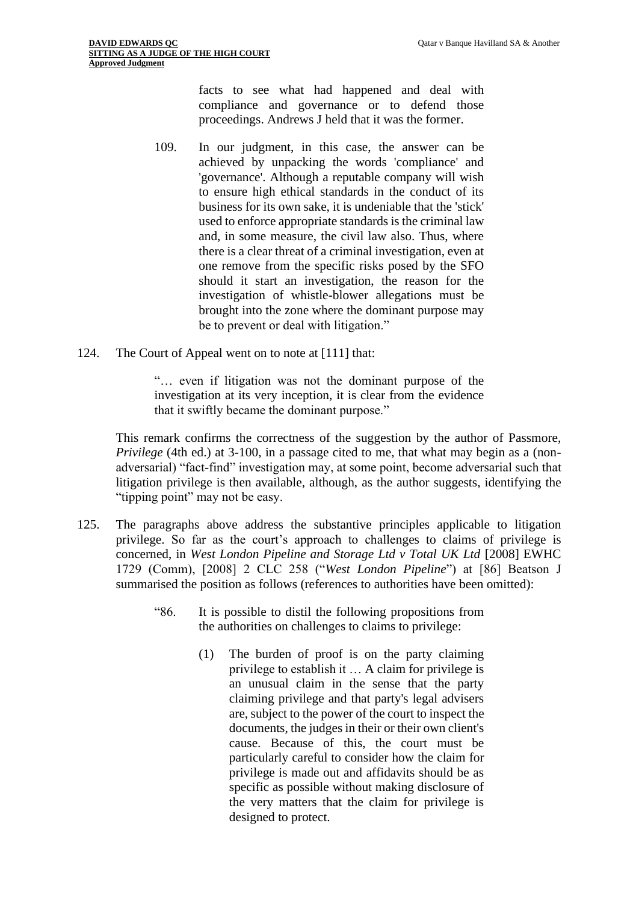facts to see what had happened and deal with compliance and governance or to defend those proceedings. Andrews J held that it was the former.

- 109. In our judgment, in this case, the answer can be achieved by unpacking the words 'compliance' and 'governance'. Although a reputable company will wish to ensure high ethical standards in the conduct of its business for its own sake, it is undeniable that the 'stick' used to enforce appropriate standards is the criminal law and, in some measure, the civil law also. Thus, where there is a clear threat of a criminal investigation, even at one remove from the specific risks posed by the SFO should it start an investigation, the reason for the investigation of whistle-blower allegations must be brought into the zone where the dominant purpose may be to prevent or deal with litigation."
- 124. The Court of Appeal went on to note at [111] that:

"… even if litigation was not the dominant purpose of the investigation at its very inception, it is clear from the evidence that it swiftly became the dominant purpose."

This remark confirms the correctness of the suggestion by the author of Passmore, *Privilege* (4th ed.) at 3-100, in a passage cited to me, that what may begin as a (nonadversarial) "fact-find" investigation may, at some point, become adversarial such that litigation privilege is then available, although, as the author suggests, identifying the "tipping point" may not be easy.

- 125. The paragraphs above address the substantive principles applicable to litigation privilege. So far as the court's approach to challenges to claims of privilege is concerned, in *West London Pipeline and Storage Ltd v Total UK Ltd* [2008] EWHC 1729 (Comm), [2008] 2 CLC 258 ("*West London Pipeline*") at [86] Beatson J summarised the position as follows (references to authorities have been omitted):
	- "86. It is possible to distil the following propositions from the authorities on challenges to claims to privilege:
		- (1) The burden of proof is on the party claiming privilege to establish it … A claim for privilege is an unusual claim in the sense that the party claiming privilege and that party's legal advisers are, subject to the power of the court to inspect the documents, the judges in their or their own client's cause. Because of this, the court must be particularly careful to consider how the claim for privilege is made out and affidavits should be as specific as possible without making disclosure of the very matters that the claim for privilege is designed to protect.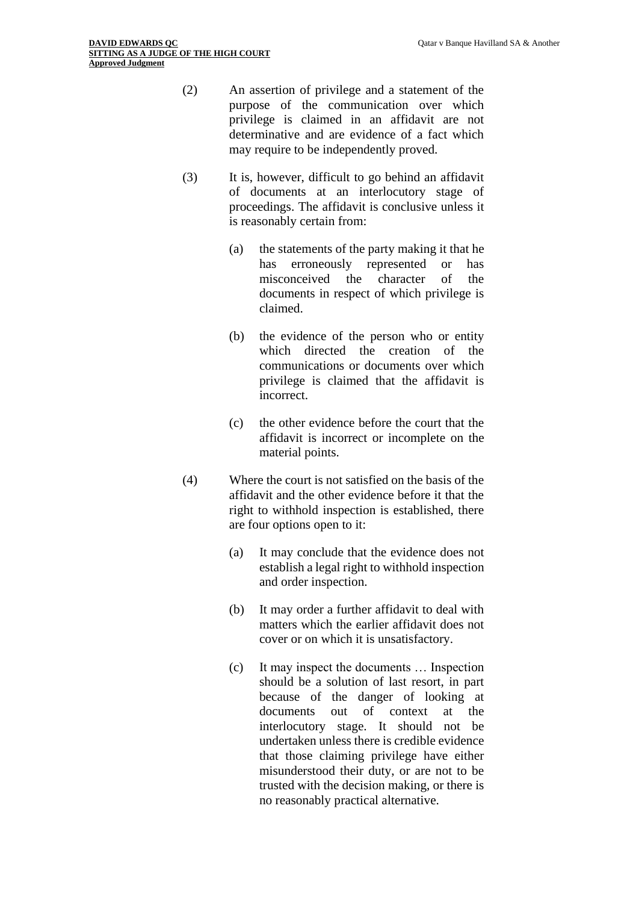- (2) An assertion of privilege and a statement of the purpose of the communication over which privilege is claimed in an affidavit are not determinative and are evidence of a fact which may require to be independently proved.
- (3) It is, however, difficult to go behind an affidavit of documents at an interlocutory stage of proceedings. The affidavit is conclusive unless it is reasonably certain from:
	- (a) the statements of the party making it that he has erroneously represented or has misconceived the character of the documents in respect of which privilege is claimed.
	- (b) the evidence of the person who or entity which directed the creation of the communications or documents over which privilege is claimed that the affidavit is incorrect.
	- (c) the other evidence before the court that the affidavit is incorrect or incomplete on the material points.
- (4) Where the court is not satisfied on the basis of the affidavit and the other evidence before it that the right to withhold inspection is established, there are four options open to it:
	- (a) It may conclude that the evidence does not establish a legal right to withhold inspection and order inspection.
	- (b) It may order a further affidavit to deal with matters which the earlier affidavit does not cover or on which it is unsatisfactory.
	- (c) It may inspect the documents … Inspection should be a solution of last resort, in part because of the danger of looking at documents out of context at the interlocutory stage. It should not be undertaken unless there is credible evidence that those claiming privilege have either misunderstood their duty, or are not to be trusted with the decision making, or there is no reasonably practical alternative.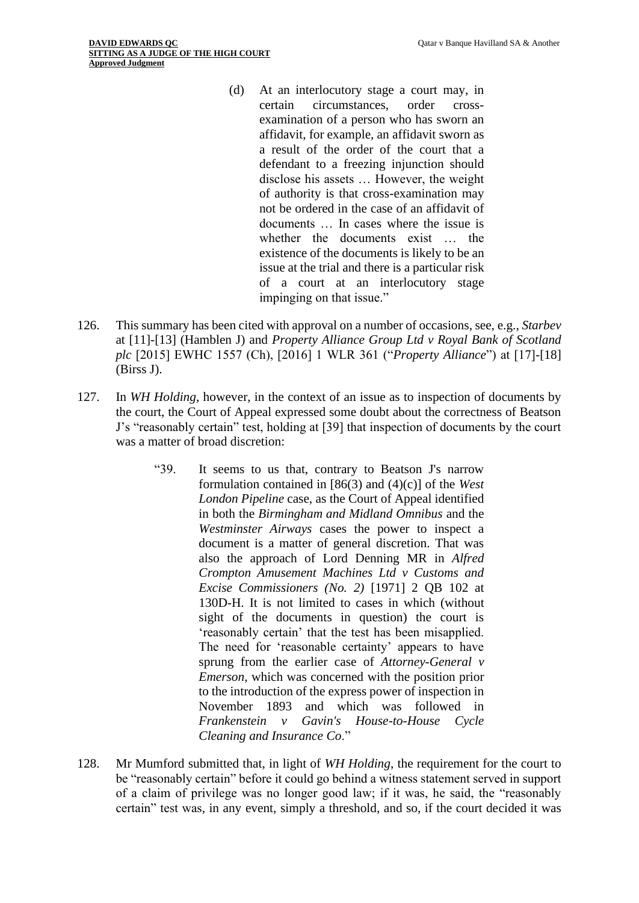- (d) At an interlocutory stage a court may, in certain circumstances, order crossexamination of a person who has sworn an affidavit, for example, an affidavit sworn as a result of the order of the court that a defendant to a freezing injunction should disclose his assets … However, the weight of authority is that cross-examination may not be ordered in the case of an affidavit of documents … In cases where the issue is whether the documents exist … the existence of the documents is likely to be an issue at the trial and there is a particular risk of a court at an interlocutory stage impinging on that issue."
- 126. This summary has been cited with approval on a number of occasions, see, e.g., *Starbev* at [11]-[13] (Hamblen J) and *Property Alliance Group Ltd v Royal Bank of Scotland plc* [2015] EWHC 1557 (Ch), [2016] 1 WLR 361 ("*Property Alliance*") at [17]-[18] (Birss J).
- 127. In *WH Holding*, however, in the context of an issue as to inspection of documents by the court, the Court of Appeal expressed some doubt about the correctness of Beatson J's "reasonably certain" test, holding at [39] that inspection of documents by the court was a matter of broad discretion:
	- "39. It seems to us that, contrary to Beatson J's narrow formulation contained in [86(3) and (4)(c)] of the *West London Pipeline* case, as the Court of Appeal identified in both the *Birmingham and Midland Omnibus* and the *Westminster Airways* cases the power to inspect a document is a matter of general discretion. That was also the approach of Lord Denning MR in *Alfred Crompton Amusement Machines Ltd v Customs and Excise Commissioners (No. 2)* [1971] 2 QB 102 at 130D-H. It is not limited to cases in which (without sight of the documents in question) the court is 'reasonably certain' that the test has been misapplied. The need for 'reasonable certainty' appears to have sprung from the earlier case of *Attorney-General v Emerson*, which was concerned with the position prior to the introduction of the express power of inspection in November 1893 and which was followed in *Frankenstein v Gavin's House-to-House Cycle Cleaning and Insurance Co*."
- 128. Mr Mumford submitted that, in light of *WH Holding*, the requirement for the court to be "reasonably certain" before it could go behind a witness statement served in support of a claim of privilege was no longer good law; if it was, he said, the "reasonably certain" test was, in any event, simply a threshold, and so, if the court decided it was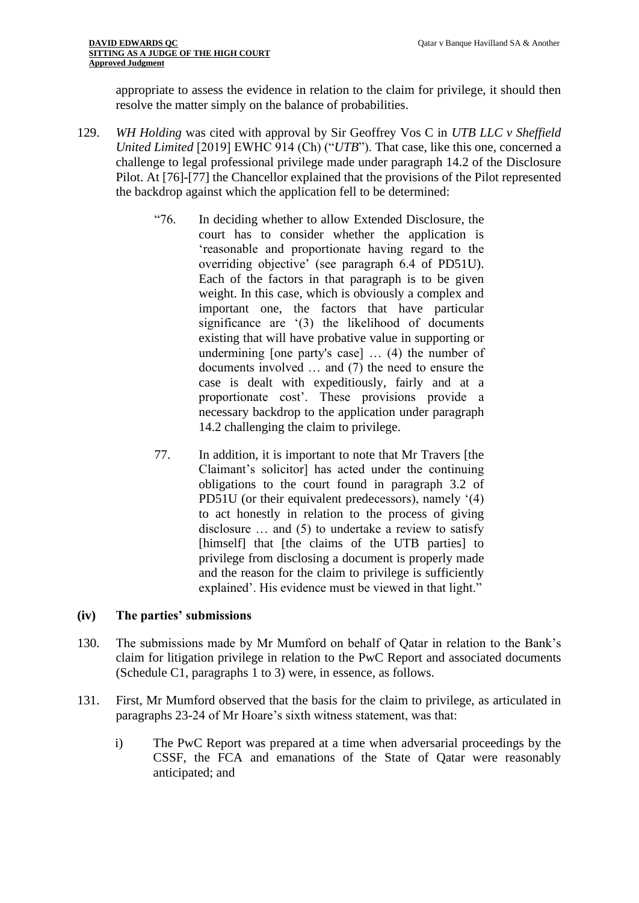appropriate to assess the evidence in relation to the claim for privilege, it should then resolve the matter simply on the balance of probabilities.

- 129. *WH Holding* was cited with approval by Sir Geoffrey Vos C in *UTB LLC v Sheffield United Limited* [2019] EWHC 914 (Ch) ("*UTB*"). That case, like this one, concerned a challenge to legal professional privilege made under paragraph 14.2 of the Disclosure Pilot. At [76]-[77] the Chancellor explained that the provisions of the Pilot represented the backdrop against which the application fell to be determined:
	- "76. In deciding whether to allow Extended Disclosure, the court has to consider whether the application is 'reasonable and proportionate having regard to the overriding objective' (see paragraph 6.4 of PD51U). Each of the factors in that paragraph is to be given weight. In this case, which is obviously a complex and important one, the factors that have particular significance are '(3) the likelihood of documents existing that will have probative value in supporting or undermining [one party's case] … (4) the number of documents involved … and (7) the need to ensure the case is dealt with expeditiously, fairly and at a proportionate cost'. These provisions provide a necessary backdrop to the application under paragraph 14.2 challenging the claim to privilege.
	- 77. In addition, it is important to note that Mr Travers [the Claimant's solicitor] has acted under the continuing obligations to the court found in paragraph 3.2 of PD51U (or their equivalent predecessors), namely '(4) to act honestly in relation to the process of giving disclosure … and (5) to undertake a review to satisfy [himself] that [the claims of the UTB parties] to privilege from disclosing a document is properly made and the reason for the claim to privilege is sufficiently explained'. His evidence must be viewed in that light."

## **(iv) The parties' submissions**

- 130. The submissions made by Mr Mumford on behalf of Qatar in relation to the Bank's claim for litigation privilege in relation to the PwC Report and associated documents (Schedule C1, paragraphs 1 to 3) were, in essence, as follows.
- 131. First, Mr Mumford observed that the basis for the claim to privilege, as articulated in paragraphs 23-24 of Mr Hoare's sixth witness statement, was that:
	- i) The PwC Report was prepared at a time when adversarial proceedings by the CSSF, the FCA and emanations of the State of Qatar were reasonably anticipated; and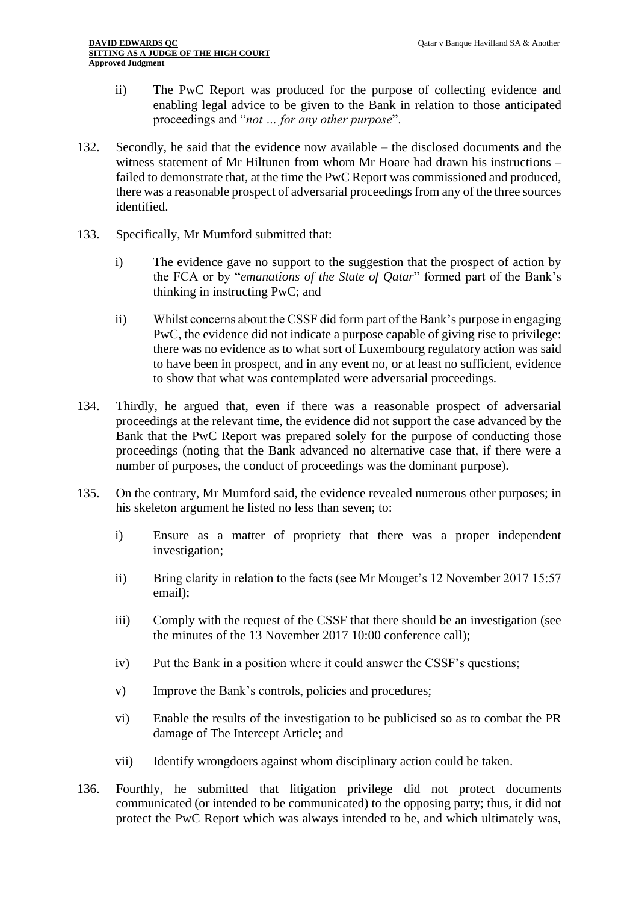- ii) The PwC Report was produced for the purpose of collecting evidence and enabling legal advice to be given to the Bank in relation to those anticipated proceedings and "*not … for any other purpose*".
- 132. Secondly, he said that the evidence now available the disclosed documents and the witness statement of Mr Hiltunen from whom Mr Hoare had drawn his instructions – failed to demonstrate that, at the time the PwC Report was commissioned and produced, there was a reasonable prospect of adversarial proceedings from any of the three sources identified.
- 133. Specifically, Mr Mumford submitted that:
	- i) The evidence gave no support to the suggestion that the prospect of action by the FCA or by "*emanations of the State of Qatar*" formed part of the Bank's thinking in instructing PwC; and
	- ii) Whilst concerns about the CSSF did form part of the Bank's purpose in engaging PwC, the evidence did not indicate a purpose capable of giving rise to privilege: there was no evidence as to what sort of Luxembourg regulatory action was said to have been in prospect, and in any event no, or at least no sufficient, evidence to show that what was contemplated were adversarial proceedings.
- 134. Thirdly, he argued that, even if there was a reasonable prospect of adversarial proceedings at the relevant time, the evidence did not support the case advanced by the Bank that the PwC Report was prepared solely for the purpose of conducting those proceedings (noting that the Bank advanced no alternative case that, if there were a number of purposes, the conduct of proceedings was the dominant purpose).
- 135. On the contrary, Mr Mumford said, the evidence revealed numerous other purposes; in his skeleton argument he listed no less than seven; to:
	- i) Ensure as a matter of propriety that there was a proper independent investigation;
	- ii) Bring clarity in relation to the facts (see Mr Mouget's 12 November 2017 15:57 email);
	- iii) Comply with the request of the CSSF that there should be an investigation (see the minutes of the 13 November 2017 10:00 conference call);
	- iv) Put the Bank in a position where it could answer the CSSF's questions;
	- v) Improve the Bank's controls, policies and procedures;
	- vi) Enable the results of the investigation to be publicised so as to combat the PR damage of The Intercept Article; and
	- vii) Identify wrongdoers against whom disciplinary action could be taken.
- 136. Fourthly, he submitted that litigation privilege did not protect documents communicated (or intended to be communicated) to the opposing party; thus, it did not protect the PwC Report which was always intended to be, and which ultimately was,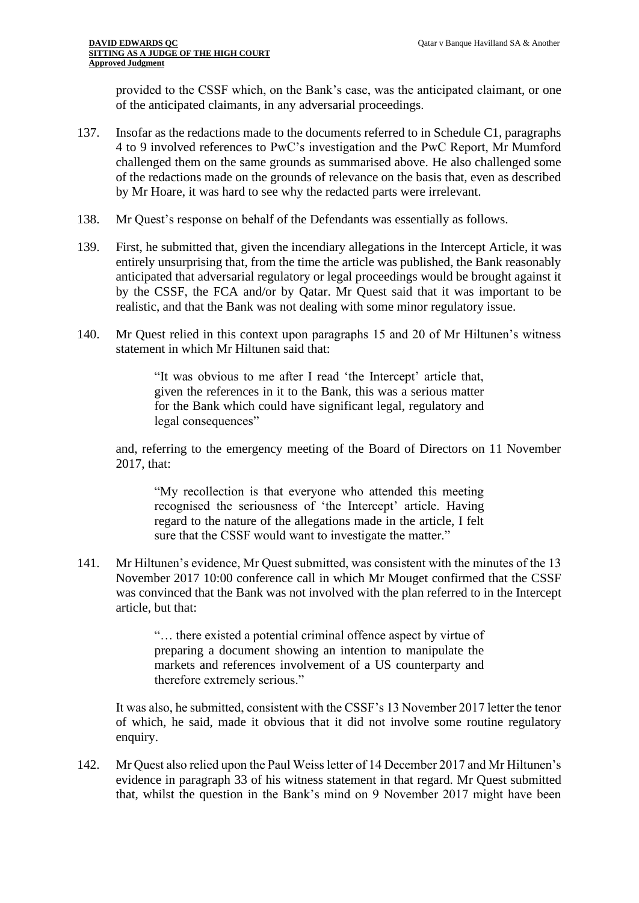provided to the CSSF which, on the Bank's case, was the anticipated claimant, or one of the anticipated claimants, in any adversarial proceedings.

- 137. Insofar as the redactions made to the documents referred to in Schedule C1, paragraphs 4 to 9 involved references to PwC's investigation and the PwC Report, Mr Mumford challenged them on the same grounds as summarised above. He also challenged some of the redactions made on the grounds of relevance on the basis that, even as described by Mr Hoare, it was hard to see why the redacted parts were irrelevant.
- 138. Mr Quest's response on behalf of the Defendants was essentially as follows.
- 139. First, he submitted that, given the incendiary allegations in the Intercept Article, it was entirely unsurprising that, from the time the article was published, the Bank reasonably anticipated that adversarial regulatory or legal proceedings would be brought against it by the CSSF, the FCA and/or by Qatar. Mr Quest said that it was important to be realistic, and that the Bank was not dealing with some minor regulatory issue.
- 140. Mr Quest relied in this context upon paragraphs 15 and 20 of Mr Hiltunen's witness statement in which Mr Hiltunen said that:

"It was obvious to me after I read 'the Intercept' article that, given the references in it to the Bank, this was a serious matter for the Bank which could have significant legal, regulatory and legal consequences"

and, referring to the emergency meeting of the Board of Directors on 11 November 2017, that:

"My recollection is that everyone who attended this meeting recognised the seriousness of 'the Intercept' article. Having regard to the nature of the allegations made in the article, I felt sure that the CSSF would want to investigate the matter."

141. Mr Hiltunen's evidence, Mr Quest submitted, was consistent with the minutes of the 13 November 2017 10:00 conference call in which Mr Mouget confirmed that the CSSF was convinced that the Bank was not involved with the plan referred to in the Intercept article, but that:

> "… there existed a potential criminal offence aspect by virtue of preparing a document showing an intention to manipulate the markets and references involvement of a US counterparty and therefore extremely serious."

It was also, he submitted, consistent with the CSSF's 13 November 2017 letter the tenor of which, he said, made it obvious that it did not involve some routine regulatory enquiry.

142. Mr Quest also relied upon the Paul Weiss letter of 14 December 2017 and Mr Hiltunen's evidence in paragraph 33 of his witness statement in that regard. Mr Quest submitted that, whilst the question in the Bank's mind on 9 November 2017 might have been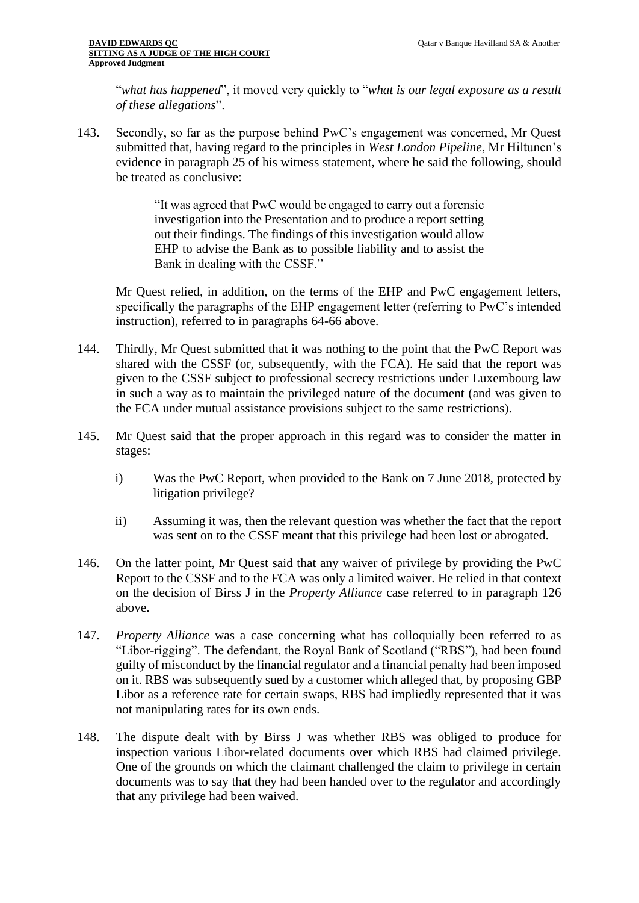"*what has happened*", it moved very quickly to "*what is our legal exposure as a result of these allegations*".

143. Secondly, so far as the purpose behind PwC's engagement was concerned, Mr Quest submitted that, having regard to the principles in *West London Pipeline*, Mr Hiltunen's evidence in paragraph 25 of his witness statement, where he said the following, should be treated as conclusive:

> "It was agreed that PwC would be engaged to carry out a forensic investigation into the Presentation and to produce a report setting out their findings. The findings of this investigation would allow EHP to advise the Bank as to possible liability and to assist the Bank in dealing with the CSSF."

Mr Quest relied, in addition, on the terms of the EHP and PwC engagement letters, specifically the paragraphs of the EHP engagement letter (referring to PwC's intended instruction), referred to in paragraphs 64-66 above.

- 144. Thirdly, Mr Quest submitted that it was nothing to the point that the PwC Report was shared with the CSSF (or, subsequently, with the FCA). He said that the report was given to the CSSF subject to professional secrecy restrictions under Luxembourg law in such a way as to maintain the privileged nature of the document (and was given to the FCA under mutual assistance provisions subject to the same restrictions).
- 145. Mr Quest said that the proper approach in this regard was to consider the matter in stages:
	- i) Was the PwC Report, when provided to the Bank on 7 June 2018, protected by litigation privilege?
	- ii) Assuming it was, then the relevant question was whether the fact that the report was sent on to the CSSF meant that this privilege had been lost or abrogated.
- 146. On the latter point, Mr Quest said that any waiver of privilege by providing the PwC Report to the CSSF and to the FCA was only a limited waiver. He relied in that context on the decision of Birss J in the *Property Alliance* case referred to in paragraph 126 above.
- 147. *Property Alliance* was a case concerning what has colloquially been referred to as "Libor-rigging". The defendant, the Royal Bank of Scotland ("RBS"), had been found guilty of misconduct by the financial regulator and a financial penalty had been imposed on it. RBS was subsequently sued by a customer which alleged that, by proposing GBP Libor as a reference rate for certain swaps, RBS had impliedly represented that it was not manipulating rates for its own ends.
- 148. The dispute dealt with by Birss J was whether RBS was obliged to produce for inspection various Libor-related documents over which RBS had claimed privilege. One of the grounds on which the claimant challenged the claim to privilege in certain documents was to say that they had been handed over to the regulator and accordingly that any privilege had been waived.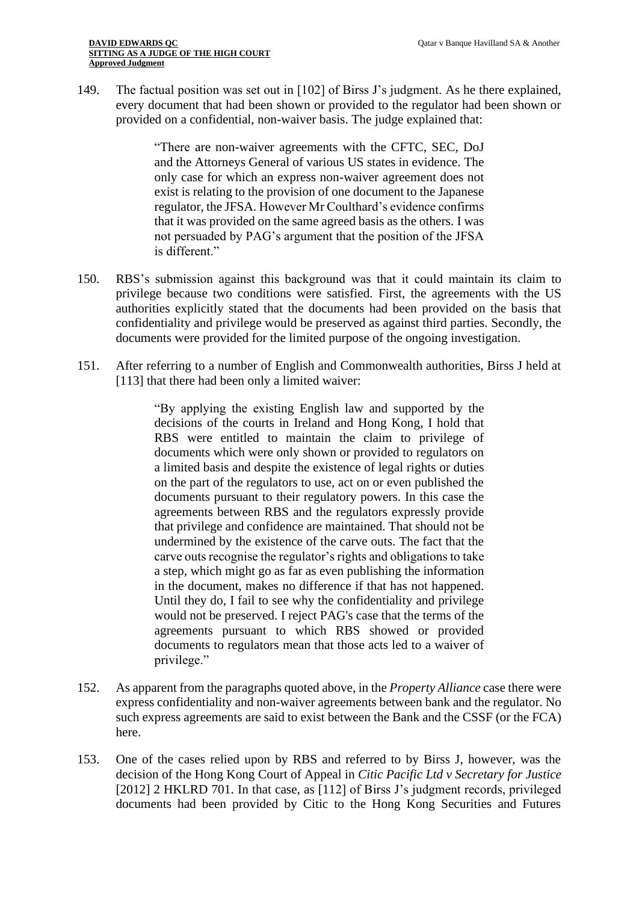149. The factual position was set out in [102] of Birss J's judgment. As he there explained, every document that had been shown or provided to the regulator had been shown or provided on a confidential, non-waiver basis. The judge explained that:

> "There are non-waiver agreements with the CFTC, SEC, DoJ and the Attorneys General of various US states in evidence. The only case for which an express non-waiver agreement does not exist is relating to the provision of one document to the Japanese regulator, the JFSA. However Mr Coulthard's evidence confirms that it was provided on the same agreed basis as the others. I was not persuaded by PAG's argument that the position of the JFSA is different."

- 150. RBS's submission against this background was that it could maintain its claim to privilege because two conditions were satisfied. First, the agreements with the US authorities explicitly stated that the documents had been provided on the basis that confidentiality and privilege would be preserved as against third parties. Secondly, the documents were provided for the limited purpose of the ongoing investigation.
- 151. After referring to a number of English and Commonwealth authorities, Birss J held at [113] that there had been only a limited waiver:

"By applying the existing English law and supported by the decisions of the courts in Ireland and Hong Kong, I hold that RBS were entitled to maintain the claim to privilege of documents which were only shown or provided to regulators on a limited basis and despite the existence of legal rights or duties on the part of the regulators to use, act on or even published the documents pursuant to their regulatory powers. In this case the agreements between RBS and the regulators expressly provide that privilege and confidence are maintained. That should not be undermined by the existence of the carve outs. The fact that the carve outs recognise the regulator's rights and obligations to take a step, which might go as far as even publishing the information in the document, makes no difference if that has not happened. Until they do, I fail to see why the confidentiality and privilege would not be preserved. I reject PAG's case that the terms of the agreements pursuant to which RBS showed or provided documents to regulators mean that those acts led to a waiver of privilege."

- 152. As apparent from the paragraphs quoted above, in the *Property Alliance* case there were express confidentiality and non-waiver agreements between bank and the regulator. No such express agreements are said to exist between the Bank and the CSSF (or the FCA) here.
- 153. One of the cases relied upon by RBS and referred to by Birss J, however, was the decision of the Hong Kong Court of Appeal in *Citic Pacific Ltd v Secretary for Justice* [2012] 2 HKLRD 701. In that case, as [112] of Birss J's judgment records, privileged documents had been provided by Citic to the Hong Kong Securities and Futures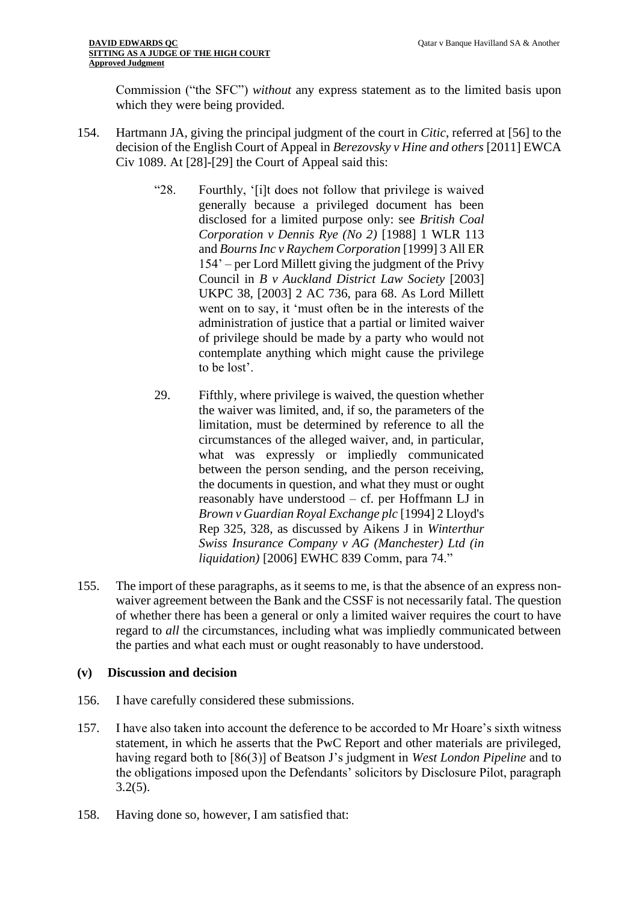Commission ("the SFC") *without* any express statement as to the limited basis upon which they were being provided.

- 154. Hartmann JA, giving the principal judgment of the court in *Citic*, referred at [56] to the decision of the English Court of Appeal in *Berezovsky v Hine and others* [2011] EWCA Civ 1089. At [28]-[29] the Court of Appeal said this:
	- "28. Fourthly, '[i]t does not follow that privilege is waived generally because a privileged document has been disclosed for a limited purpose only: see *British Coal Corporation v Dennis Rye (No 2)* [1988] 1 WLR 113 and *Bourns Inc v Raychem Corporation* [1999] 3 All ER 154' – per Lord Millett giving the judgment of the Privy Council in *B v Auckland District Law Society* [2003] UKPC 38, [2003] 2 AC 736, para 68. As Lord Millett went on to say, it 'must often be in the interests of the administration of justice that a partial or limited waiver of privilege should be made by a party who would not contemplate anything which might cause the privilege to be lost'.
	- 29. Fifthly, where privilege is waived, the question whether the waiver was limited, and, if so, the parameters of the limitation, must be determined by reference to all the circumstances of the alleged waiver, and, in particular, what was expressly or impliedly communicated between the person sending, and the person receiving, the documents in question, and what they must or ought reasonably have understood – cf. per Hoffmann LJ in *Brown v Guardian Royal Exchange plc* [1994] 2 Lloyd's Rep 325, 328, as discussed by Aikens J in *Winterthur Swiss Insurance Company v AG (Manchester) Ltd (in liquidation)* [2006] EWHC 839 Comm, para 74."
- 155. The import of these paragraphs, as it seems to me, is that the absence of an express nonwaiver agreement between the Bank and the CSSF is not necessarily fatal. The question of whether there has been a general or only a limited waiver requires the court to have regard to *all* the circumstances, including what was impliedly communicated between the parties and what each must or ought reasonably to have understood.

## **(v) Discussion and decision**

- 156. I have carefully considered these submissions.
- 157. I have also taken into account the deference to be accorded to Mr Hoare's sixth witness statement, in which he asserts that the PwC Report and other materials are privileged, having regard both to [86(3)] of Beatson J's judgment in *West London Pipeline* and to the obligations imposed upon the Defendants' solicitors by Disclosure Pilot, paragraph 3.2(5).
- 158. Having done so, however, I am satisfied that: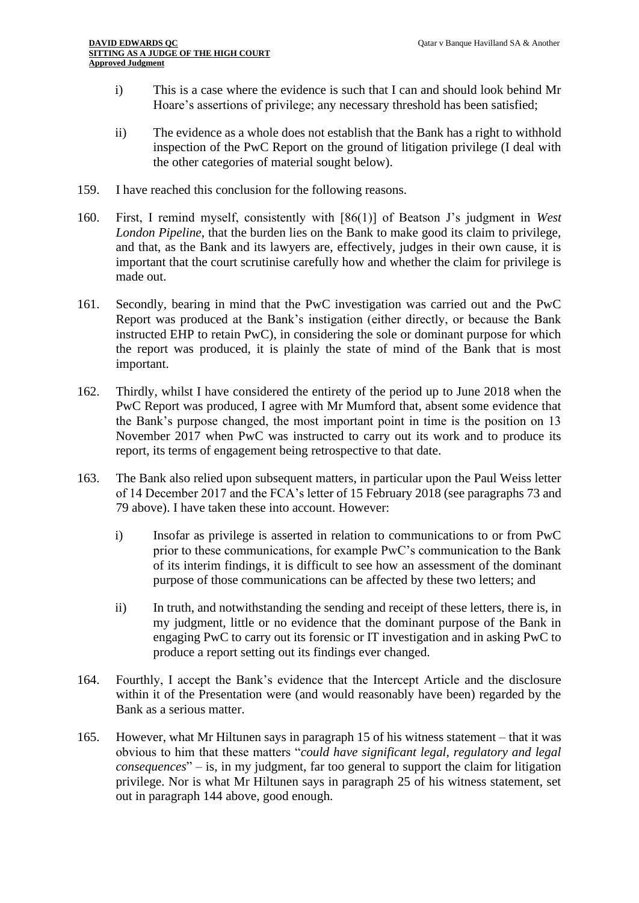- i) This is a case where the evidence is such that I can and should look behind Mr Hoare's assertions of privilege; any necessary threshold has been satisfied;
- ii) The evidence as a whole does not establish that the Bank has a right to withhold inspection of the PwC Report on the ground of litigation privilege (I deal with the other categories of material sought below).
- 159. I have reached this conclusion for the following reasons.
- 160. First, I remind myself, consistently with [86(1)] of Beatson J's judgment in *West London Pipeline*, that the burden lies on the Bank to make good its claim to privilege, and that, as the Bank and its lawyers are, effectively, judges in their own cause, it is important that the court scrutinise carefully how and whether the claim for privilege is made out.
- 161. Secondly, bearing in mind that the PwC investigation was carried out and the PwC Report was produced at the Bank's instigation (either directly, or because the Bank instructed EHP to retain PwC), in considering the sole or dominant purpose for which the report was produced, it is plainly the state of mind of the Bank that is most important.
- 162. Thirdly, whilst I have considered the entirety of the period up to June 2018 when the PwC Report was produced, I agree with Mr Mumford that, absent some evidence that the Bank's purpose changed, the most important point in time is the position on 13 November 2017 when PwC was instructed to carry out its work and to produce its report, its terms of engagement being retrospective to that date.
- 163. The Bank also relied upon subsequent matters, in particular upon the Paul Weiss letter of 14 December 2017 and the FCA's letter of 15 February 2018 (see paragraphs 73 and 79 above). I have taken these into account. However:
	- i) Insofar as privilege is asserted in relation to communications to or from PwC prior to these communications, for example PwC's communication to the Bank of its interim findings, it is difficult to see how an assessment of the dominant purpose of those communications can be affected by these two letters; and
	- ii) In truth, and notwithstanding the sending and receipt of these letters, there is, in my judgment, little or no evidence that the dominant purpose of the Bank in engaging PwC to carry out its forensic or IT investigation and in asking PwC to produce a report setting out its findings ever changed.
- 164. Fourthly, I accept the Bank's evidence that the Intercept Article and the disclosure within it of the Presentation were (and would reasonably have been) regarded by the Bank as a serious matter.
- 165. However, what Mr Hiltunen says in paragraph 15 of his witness statement that it was obvious to him that these matters "*could have significant legal, regulatory and legal consequences*" – is, in my judgment, far too general to support the claim for litigation privilege. Nor is what Mr Hiltunen says in paragraph 25 of his witness statement, set out in paragraph 144 above, good enough.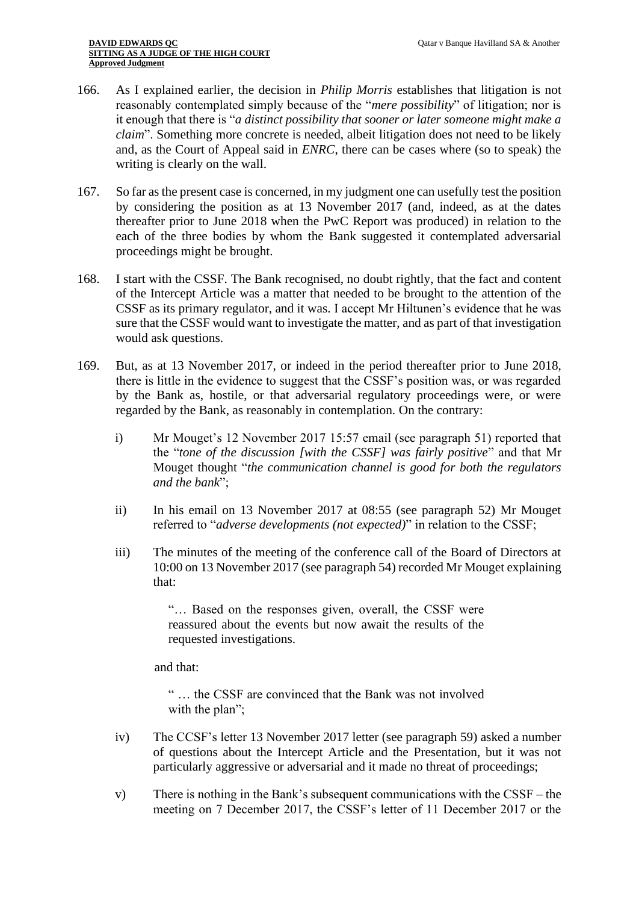- 166. As I explained earlier, the decision in *Philip Morris* establishes that litigation is not reasonably contemplated simply because of the "*mere possibility*" of litigation; nor is it enough that there is "*a distinct possibility that sooner or later someone might make a claim*". Something more concrete is needed, albeit litigation does not need to be likely and, as the Court of Appeal said in *ENRC*, there can be cases where (so to speak) the writing is clearly on the wall.
- 167. So far as the present case is concerned, in my judgment one can usefully test the position by considering the position as at 13 November 2017 (and, indeed, as at the dates thereafter prior to June 2018 when the PwC Report was produced) in relation to the each of the three bodies by whom the Bank suggested it contemplated adversarial proceedings might be brought.
- 168. I start with the CSSF. The Bank recognised, no doubt rightly, that the fact and content of the Intercept Article was a matter that needed to be brought to the attention of the CSSF as its primary regulator, and it was. I accept Mr Hiltunen's evidence that he was sure that the CSSF would want to investigate the matter, and as part of that investigation would ask questions.
- 169. But, as at 13 November 2017, or indeed in the period thereafter prior to June 2018, there is little in the evidence to suggest that the CSSF's position was, or was regarded by the Bank as, hostile, or that adversarial regulatory proceedings were, or were regarded by the Bank, as reasonably in contemplation. On the contrary:
	- i) Mr Mouget's 12 November 2017 15:57 email (see paragraph 51) reported that the "*tone of the discussion [with the CSSF] was fairly positive*" and that Mr Mouget thought "*the communication channel is good for both the regulators and the bank*";
	- ii) In his email on 13 November 2017 at 08:55 (see paragraph 52) Mr Mouget referred to "*adverse developments (not expected)*" in relation to the CSSF;
	- iii) The minutes of the meeting of the conference call of the Board of Directors at 10:00 on 13 November 2017 (see paragraph 54) recorded Mr Mouget explaining that:

"… Based on the responses given, overall, the CSSF were reassured about the events but now await the results of the requested investigations.

and that:

- " … the CSSF are convinced that the Bank was not involved with the plan";
- iv) The CCSF's letter 13 November 2017 letter (see paragraph 59) asked a number of questions about the Intercept Article and the Presentation, but it was not particularly aggressive or adversarial and it made no threat of proceedings;
- v) There is nothing in the Bank's subsequent communications with the CSSF the meeting on 7 December 2017, the CSSF's letter of 11 December 2017 or the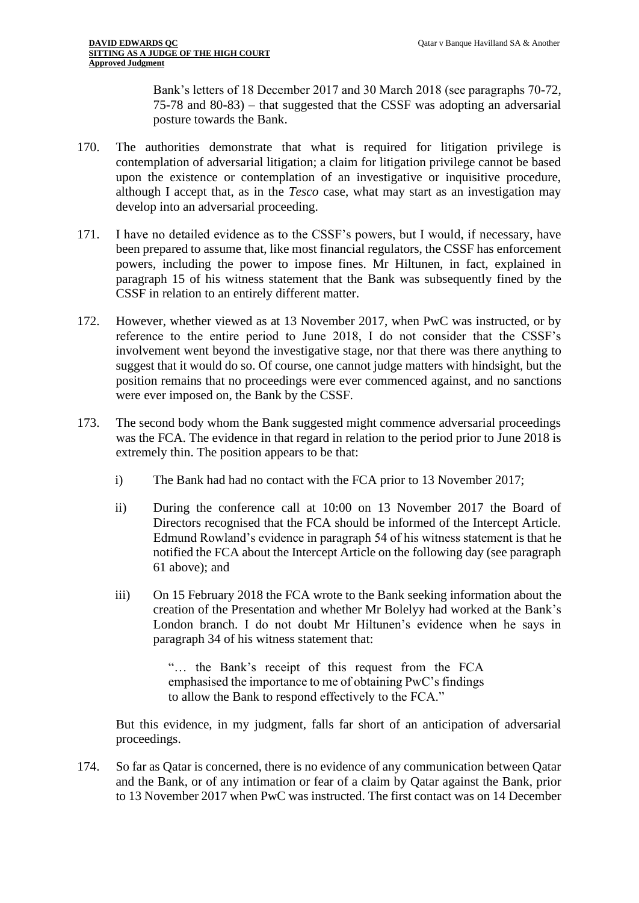Bank's letters of 18 December 2017 and 30 March 2018 (see paragraphs 70-72, 75-78 and 80-83) – that suggested that the CSSF was adopting an adversarial posture towards the Bank.

- 170. The authorities demonstrate that what is required for litigation privilege is contemplation of adversarial litigation; a claim for litigation privilege cannot be based upon the existence or contemplation of an investigative or inquisitive procedure, although I accept that, as in the *Tesco* case, what may start as an investigation may develop into an adversarial proceeding.
- 171. I have no detailed evidence as to the CSSF's powers, but I would, if necessary, have been prepared to assume that, like most financial regulators, the CSSF has enforcement powers, including the power to impose fines. Mr Hiltunen, in fact, explained in paragraph 15 of his witness statement that the Bank was subsequently fined by the CSSF in relation to an entirely different matter.
- 172. However, whether viewed as at 13 November 2017, when PwC was instructed, or by reference to the entire period to June 2018, I do not consider that the CSSF's involvement went beyond the investigative stage, nor that there was there anything to suggest that it would do so. Of course, one cannot judge matters with hindsight, but the position remains that no proceedings were ever commenced against, and no sanctions were ever imposed on, the Bank by the CSSF.
- 173. The second body whom the Bank suggested might commence adversarial proceedings was the FCA. The evidence in that regard in relation to the period prior to June 2018 is extremely thin. The position appears to be that:
	- i) The Bank had had no contact with the FCA prior to 13 November 2017;
	- ii) During the conference call at 10:00 on 13 November 2017 the Board of Directors recognised that the FCA should be informed of the Intercept Article. Edmund Rowland's evidence in paragraph 54 of his witness statement is that he notified the FCA about the Intercept Article on the following day (see paragraph 61 above); and
	- iii) On 15 February 2018 the FCA wrote to the Bank seeking information about the creation of the Presentation and whether Mr Bolelyy had worked at the Bank's London branch. I do not doubt Mr Hiltunen's evidence when he says in paragraph 34 of his witness statement that:

"… the Bank's receipt of this request from the FCA emphasised the importance to me of obtaining PwC's findings to allow the Bank to respond effectively to the FCA."

But this evidence, in my judgment, falls far short of an anticipation of adversarial proceedings.

174. So far as Qatar is concerned, there is no evidence of any communication between Qatar and the Bank, or of any intimation or fear of a claim by Qatar against the Bank, prior to 13 November 2017 when PwC was instructed. The first contact was on 14 December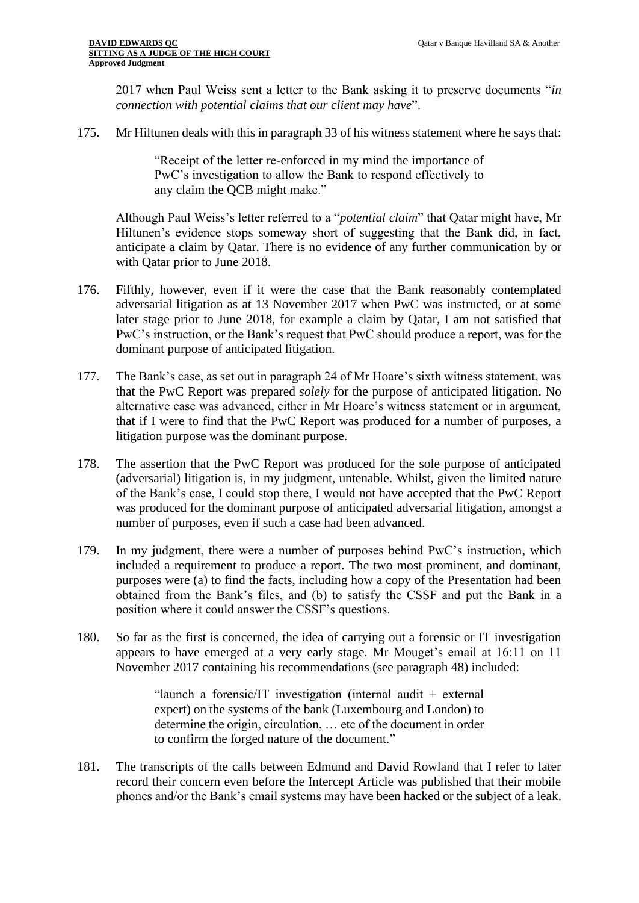2017 when Paul Weiss sent a letter to the Bank asking it to preserve documents "*in connection with potential claims that our client may have*".

175. Mr Hiltunen deals with this in paragraph 33 of his witness statement where he says that:

"Receipt of the letter re-enforced in my mind the importance of PwC's investigation to allow the Bank to respond effectively to any claim the QCB might make."

Although Paul Weiss's letter referred to a "*potential claim*" that Qatar might have, Mr Hiltunen's evidence stops someway short of suggesting that the Bank did, in fact, anticipate a claim by Qatar. There is no evidence of any further communication by or with Qatar prior to June 2018.

- 176. Fifthly, however, even if it were the case that the Bank reasonably contemplated adversarial litigation as at 13 November 2017 when PwC was instructed, or at some later stage prior to June 2018, for example a claim by Qatar, I am not satisfied that PwC's instruction, or the Bank's request that PwC should produce a report, was for the dominant purpose of anticipated litigation.
- 177. The Bank's case, as set out in paragraph 24 of Mr Hoare's sixth witness statement, was that the PwC Report was prepared *solely* for the purpose of anticipated litigation. No alternative case was advanced, either in Mr Hoare's witness statement or in argument, that if I were to find that the PwC Report was produced for a number of purposes, a litigation purpose was the dominant purpose.
- 178. The assertion that the PwC Report was produced for the sole purpose of anticipated (adversarial) litigation is, in my judgment, untenable. Whilst, given the limited nature of the Bank's case, I could stop there, I would not have accepted that the PwC Report was produced for the dominant purpose of anticipated adversarial litigation, amongst a number of purposes, even if such a case had been advanced.
- 179. In my judgment, there were a number of purposes behind PwC's instruction, which included a requirement to produce a report. The two most prominent, and dominant, purposes were (a) to find the facts, including how a copy of the Presentation had been obtained from the Bank's files, and (b) to satisfy the CSSF and put the Bank in a position where it could answer the CSSF's questions.
- 180. So far as the first is concerned, the idea of carrying out a forensic or IT investigation appears to have emerged at a very early stage. Mr Mouget's email at 16:11 on 11 November 2017 containing his recommendations (see paragraph 48) included:

"launch a forensic/IT investigation (internal audit  $+$  external expert) on the systems of the bank (Luxembourg and London) to determine the origin, circulation, … etc of the document in order to confirm the forged nature of the document."

181. The transcripts of the calls between Edmund and David Rowland that I refer to later record their concern even before the Intercept Article was published that their mobile phones and/or the Bank's email systems may have been hacked or the subject of a leak.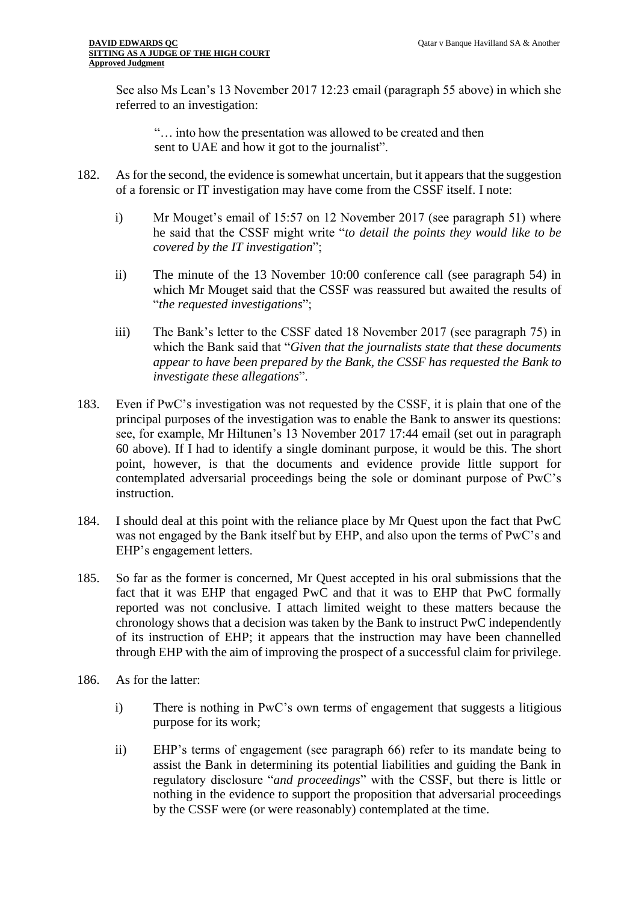See also Ms Lean's 13 November 2017 12:23 email (paragraph 55 above) in which she referred to an investigation:

"… into how the presentation was allowed to be created and then sent to UAE and how it got to the journalist".

- 182. As for the second, the evidence is somewhat uncertain, but it appears that the suggestion of a forensic or IT investigation may have come from the CSSF itself. I note:
	- i) Mr Mouget's email of 15:57 on 12 November 2017 (see paragraph 51) where he said that the CSSF might write "*to detail the points they would like to be covered by the IT investigation*";
	- ii) The minute of the 13 November 10:00 conference call (see paragraph 54) in which Mr Mouget said that the CSSF was reassured but awaited the results of "*the requested investigations*";
	- iii) The Bank's letter to the CSSF dated 18 November 2017 (see paragraph 75) in which the Bank said that "*Given that the journalists state that these documents appear to have been prepared by the Bank, the CSSF has requested the Bank to investigate these allegations*".
- 183. Even if PwC's investigation was not requested by the CSSF, it is plain that one of the principal purposes of the investigation was to enable the Bank to answer its questions: see, for example, Mr Hiltunen's 13 November 2017 17:44 email (set out in paragraph 60 above). If I had to identify a single dominant purpose, it would be this. The short point, however, is that the documents and evidence provide little support for contemplated adversarial proceedings being the sole or dominant purpose of PwC's instruction.
- 184. I should deal at this point with the reliance place by Mr Quest upon the fact that PwC was not engaged by the Bank itself but by EHP, and also upon the terms of PwC's and EHP's engagement letters.
- 185. So far as the former is concerned, Mr Quest accepted in his oral submissions that the fact that it was EHP that engaged PwC and that it was to EHP that PwC formally reported was not conclusive. I attach limited weight to these matters because the chronology shows that a decision was taken by the Bank to instruct PwC independently of its instruction of EHP; it appears that the instruction may have been channelled through EHP with the aim of improving the prospect of a successful claim for privilege.
- 186. As for the latter:
	- i) There is nothing in PwC's own terms of engagement that suggests a litigious purpose for its work;
	- ii) EHP's terms of engagement (see paragraph 66) refer to its mandate being to assist the Bank in determining its potential liabilities and guiding the Bank in regulatory disclosure "*and proceedings*" with the CSSF, but there is little or nothing in the evidence to support the proposition that adversarial proceedings by the CSSF were (or were reasonably) contemplated at the time.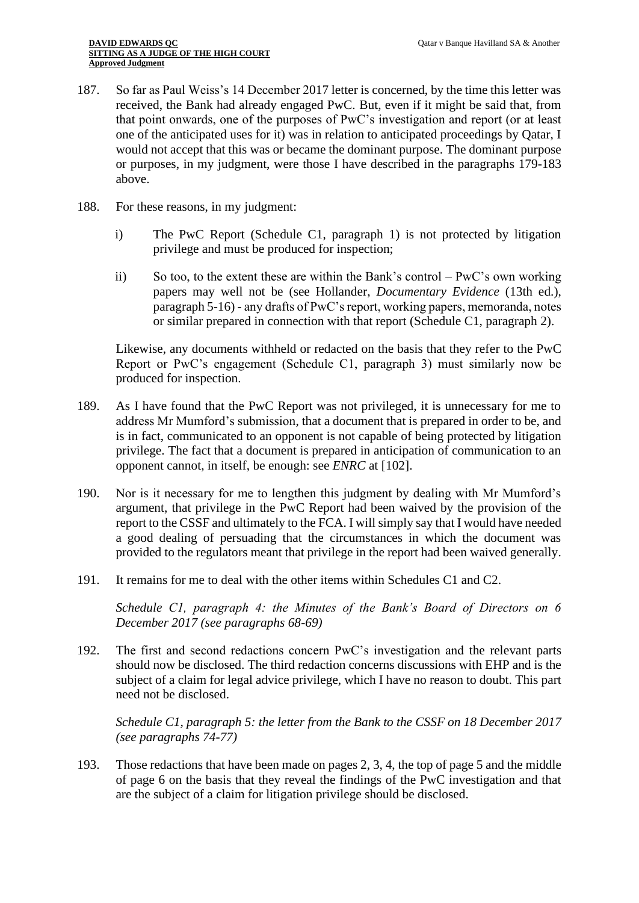- 187. So far as Paul Weiss's 14 December 2017 letter is concerned, by the time this letter was received, the Bank had already engaged PwC. But, even if it might be said that, from that point onwards, one of the purposes of PwC's investigation and report (or at least one of the anticipated uses for it) was in relation to anticipated proceedings by Qatar, I would not accept that this was or became the dominant purpose. The dominant purpose or purposes, in my judgment, were those I have described in the paragraphs 179-183 above.
- 188. For these reasons, in my judgment:
	- i) The PwC Report (Schedule C1, paragraph 1) is not protected by litigation privilege and must be produced for inspection;
	- ii) So too, to the extent these are within the Bank's control PwC's own working papers may well not be (see Hollander, *Documentary Evidence* (13th ed.), paragraph 5-16) - any drafts of PwC's report, working papers, memoranda, notes or similar prepared in connection with that report (Schedule C1, paragraph 2).

Likewise, any documents withheld or redacted on the basis that they refer to the PwC Report or PwC's engagement (Schedule C1, paragraph 3) must similarly now be produced for inspection.

- 189. As I have found that the PwC Report was not privileged, it is unnecessary for me to address Mr Mumford's submission, that a document that is prepared in order to be, and is in fact, communicated to an opponent is not capable of being protected by litigation privilege. The fact that a document is prepared in anticipation of communication to an opponent cannot, in itself, be enough: see *ENRC* at [102].
- 190. Nor is it necessary for me to lengthen this judgment by dealing with Mr Mumford's argument, that privilege in the PwC Report had been waived by the provision of the report to the CSSF and ultimately to the FCA. I will simply say that I would have needed a good dealing of persuading that the circumstances in which the document was provided to the regulators meant that privilege in the report had been waived generally.
- 191. It remains for me to deal with the other items within Schedules C1 and C2.

*Schedule C1, paragraph 4: the Minutes of the Bank's Board of Directors on 6 December 2017 (see paragraphs 68-69)*

192. The first and second redactions concern PwC's investigation and the relevant parts should now be disclosed. The third redaction concerns discussions with EHP and is the subject of a claim for legal advice privilege, which I have no reason to doubt. This part need not be disclosed.

*Schedule C1, paragraph 5: the letter from the Bank to the CSSF on 18 December 2017 (see paragraphs 74-77)*

193. Those redactions that have been made on pages 2, 3, 4, the top of page 5 and the middle of page 6 on the basis that they reveal the findings of the PwC investigation and that are the subject of a claim for litigation privilege should be disclosed.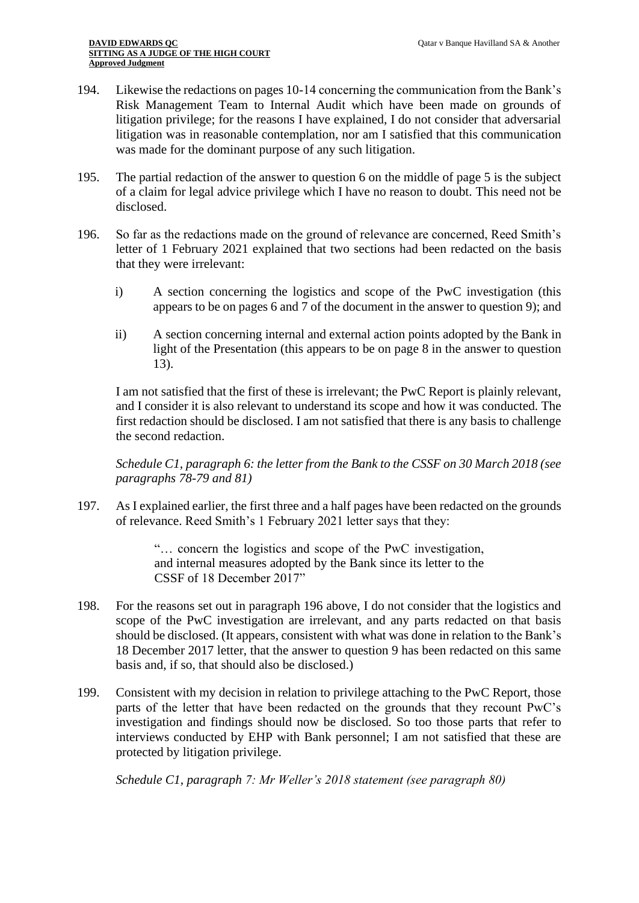- 194. Likewise the redactions on pages 10-14 concerning the communication from the Bank's Risk Management Team to Internal Audit which have been made on grounds of litigation privilege; for the reasons I have explained, I do not consider that adversarial litigation was in reasonable contemplation, nor am I satisfied that this communication was made for the dominant purpose of any such litigation.
- 195. The partial redaction of the answer to question 6 on the middle of page 5 is the subject of a claim for legal advice privilege which I have no reason to doubt. This need not be disclosed.
- 196. So far as the redactions made on the ground of relevance are concerned, Reed Smith's letter of 1 February 2021 explained that two sections had been redacted on the basis that they were irrelevant:
	- i) A section concerning the logistics and scope of the PwC investigation (this appears to be on pages 6 and 7 of the document in the answer to question 9); and
	- ii) A section concerning internal and external action points adopted by the Bank in light of the Presentation (this appears to be on page 8 in the answer to question 13).

I am not satisfied that the first of these is irrelevant; the PwC Report is plainly relevant, and I consider it is also relevant to understand its scope and how it was conducted. The first redaction should be disclosed. I am not satisfied that there is any basis to challenge the second redaction.

*Schedule C1, paragraph 6: the letter from the Bank to the CSSF on 30 March 2018 (see paragraphs 78-79 and 81)*

197. As I explained earlier, the first three and a half pages have been redacted on the grounds of relevance. Reed Smith's 1 February 2021 letter says that they:

> "… concern the logistics and scope of the PwC investigation, and internal measures adopted by the Bank since its letter to the CSSF of 18 December 2017"

- 198. For the reasons set out in paragraph 196 above, I do not consider that the logistics and scope of the PwC investigation are irrelevant, and any parts redacted on that basis should be disclosed. (It appears, consistent with what was done in relation to the Bank's 18 December 2017 letter, that the answer to question 9 has been redacted on this same basis and, if so, that should also be disclosed.)
- 199. Consistent with my decision in relation to privilege attaching to the PwC Report, those parts of the letter that have been redacted on the grounds that they recount PwC's investigation and findings should now be disclosed. So too those parts that refer to interviews conducted by EHP with Bank personnel; I am not satisfied that these are protected by litigation privilege.

*Schedule C1, paragraph 7: Mr Weller's 2018 statement (see paragraph 80)*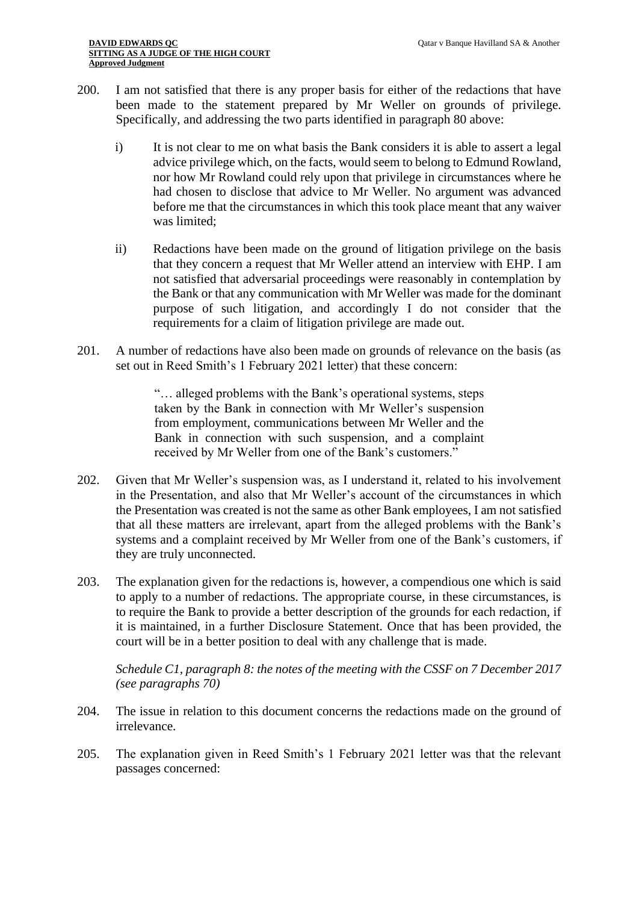- 200. I am not satisfied that there is any proper basis for either of the redactions that have been made to the statement prepared by Mr Weller on grounds of privilege. Specifically, and addressing the two parts identified in paragraph 80 above:
	- i) It is not clear to me on what basis the Bank considers it is able to assert a legal advice privilege which, on the facts, would seem to belong to Edmund Rowland, nor how Mr Rowland could rely upon that privilege in circumstances where he had chosen to disclose that advice to Mr Weller. No argument was advanced before me that the circumstances in which this took place meant that any waiver was limited;
	- ii) Redactions have been made on the ground of litigation privilege on the basis that they concern a request that Mr Weller attend an interview with EHP. I am not satisfied that adversarial proceedings were reasonably in contemplation by the Bank or that any communication with Mr Weller was made for the dominant purpose of such litigation, and accordingly I do not consider that the requirements for a claim of litigation privilege are made out.
- 201. A number of redactions have also been made on grounds of relevance on the basis (as set out in Reed Smith's 1 February 2021 letter) that these concern:

"… alleged problems with the Bank's operational systems, steps taken by the Bank in connection with Mr Weller's suspension from employment, communications between Mr Weller and the Bank in connection with such suspension, and a complaint received by Mr Weller from one of the Bank's customers."

- 202. Given that Mr Weller's suspension was, as I understand it, related to his involvement in the Presentation, and also that Mr Weller's account of the circumstances in which the Presentation was created is not the same as other Bank employees, I am not satisfied that all these matters are irrelevant, apart from the alleged problems with the Bank's systems and a complaint received by Mr Weller from one of the Bank's customers, if they are truly unconnected.
- 203. The explanation given for the redactions is, however, a compendious one which is said to apply to a number of redactions. The appropriate course, in these circumstances, is to require the Bank to provide a better description of the grounds for each redaction, if it is maintained, in a further Disclosure Statement. Once that has been provided, the court will be in a better position to deal with any challenge that is made.

*Schedule C1, paragraph 8: the notes of the meeting with the CSSF on 7 December 2017 (see paragraphs 70)*

- 204. The issue in relation to this document concerns the redactions made on the ground of irrelevance.
- 205. The explanation given in Reed Smith's 1 February 2021 letter was that the relevant passages concerned: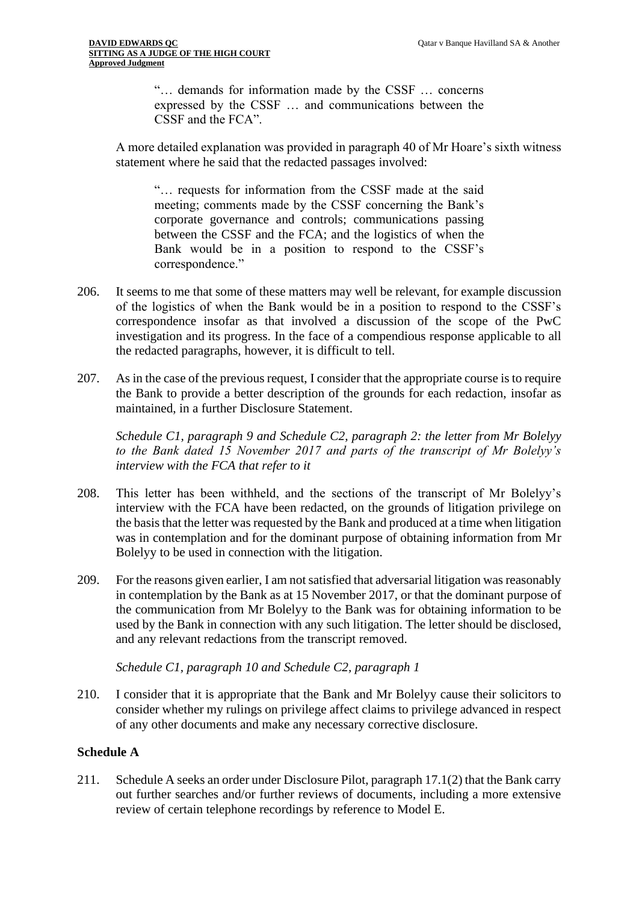"… demands for information made by the CSSF … concerns expressed by the CSSF … and communications between the CSSF and the FCA".

A more detailed explanation was provided in paragraph 40 of Mr Hoare's sixth witness statement where he said that the redacted passages involved:

"… requests for information from the CSSF made at the said meeting; comments made by the CSSF concerning the Bank's corporate governance and controls; communications passing between the CSSF and the FCA; and the logistics of when the Bank would be in a position to respond to the CSSF's correspondence."

- 206. It seems to me that some of these matters may well be relevant, for example discussion of the logistics of when the Bank would be in a position to respond to the CSSF's correspondence insofar as that involved a discussion of the scope of the PwC investigation and its progress. In the face of a compendious response applicable to all the redacted paragraphs, however, it is difficult to tell.
- 207. As in the case of the previous request, I consider that the appropriate course is to require the Bank to provide a better description of the grounds for each redaction, insofar as maintained, in a further Disclosure Statement.

*Schedule C1, paragraph 9 and Schedule C2, paragraph 2: the letter from Mr Bolelyy to the Bank dated 15 November 2017 and parts of the transcript of Mr Bolelyy's interview with the FCA that refer to it* 

- 208. This letter has been withheld, and the sections of the transcript of Mr Bolelyy's interview with the FCA have been redacted, on the grounds of litigation privilege on the basis that the letter was requested by the Bank and produced at a time when litigation was in contemplation and for the dominant purpose of obtaining information from Mr Bolelyy to be used in connection with the litigation.
- 209. For the reasons given earlier, I am not satisfied that adversarial litigation was reasonably in contemplation by the Bank as at 15 November 2017, or that the dominant purpose of the communication from Mr Bolelyy to the Bank was for obtaining information to be used by the Bank in connection with any such litigation. The letter should be disclosed, and any relevant redactions from the transcript removed.

*Schedule C1, paragraph 10 and Schedule C2, paragraph 1*

210. I consider that it is appropriate that the Bank and Mr Bolelyy cause their solicitors to consider whether my rulings on privilege affect claims to privilege advanced in respect of any other documents and make any necessary corrective disclosure.

## **Schedule A**

211. Schedule A seeks an order under Disclosure Pilot, paragraph 17.1(2) that the Bank carry out further searches and/or further reviews of documents, including a more extensive review of certain telephone recordings by reference to Model E.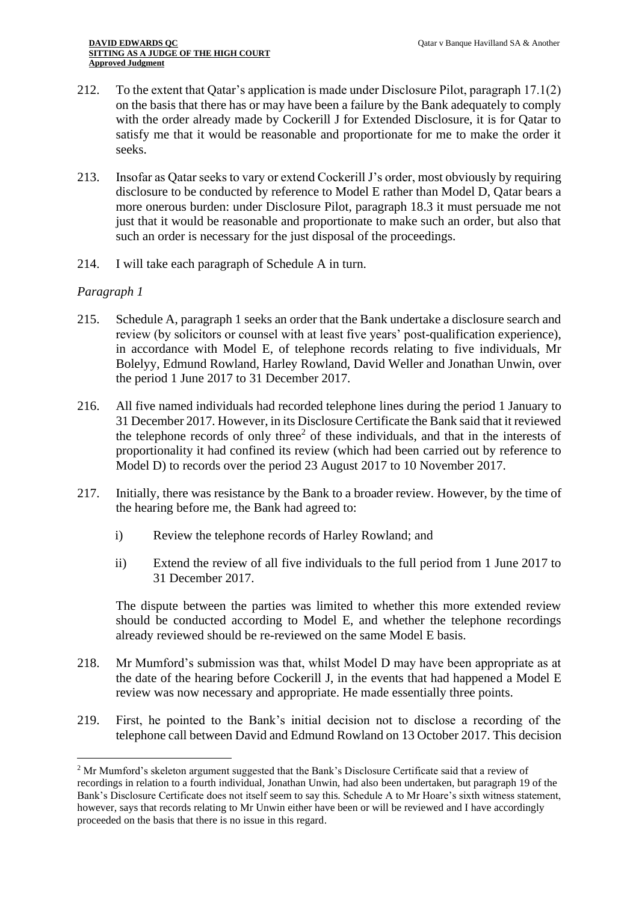- 212. To the extent that Qatar's application is made under Disclosure Pilot, paragraph 17.1(2) on the basis that there has or may have been a failure by the Bank adequately to comply with the order already made by Cockerill J for Extended Disclosure, it is for Qatar to satisfy me that it would be reasonable and proportionate for me to make the order it seeks.
- 213. Insofar as Qatar seeks to vary or extend Cockerill J's order, most obviously by requiring disclosure to be conducted by reference to Model E rather than Model D, Qatar bears a more onerous burden: under Disclosure Pilot, paragraph 18.3 it must persuade me not just that it would be reasonable and proportionate to make such an order, but also that such an order is necessary for the just disposal of the proceedings.
- 214. I will take each paragraph of Schedule A in turn.

# *Paragraph 1*

- 215. Schedule A, paragraph 1 seeks an order that the Bank undertake a disclosure search and review (by solicitors or counsel with at least five years' post-qualification experience), in accordance with Model E, of telephone records relating to five individuals, Mr Bolelyy, Edmund Rowland, Harley Rowland, David Weller and Jonathan Unwin, over the period 1 June 2017 to 31 December 2017.
- 216. All five named individuals had recorded telephone lines during the period 1 January to 31 December 2017. However, in its Disclosure Certificate the Bank said that it reviewed the telephone records of only three<sup>2</sup> of these individuals, and that in the interests of proportionality it had confined its review (which had been carried out by reference to Model D) to records over the period 23 August 2017 to 10 November 2017.
- 217. Initially, there was resistance by the Bank to a broader review. However, by the time of the hearing before me, the Bank had agreed to:
	- i) Review the telephone records of Harley Rowland; and
	- ii) Extend the review of all five individuals to the full period from 1 June 2017 to 31 December 2017.

The dispute between the parties was limited to whether this more extended review should be conducted according to Model E, and whether the telephone recordings already reviewed should be re-reviewed on the same Model E basis.

- 218. Mr Mumford's submission was that, whilst Model D may have been appropriate as at the date of the hearing before Cockerill J, in the events that had happened a Model E review was now necessary and appropriate. He made essentially three points.
- 219. First, he pointed to the Bank's initial decision not to disclose a recording of the telephone call between David and Edmund Rowland on 13 October 2017. This decision

<sup>2</sup> Mr Mumford's skeleton argument suggested that the Bank's Disclosure Certificate said that a review of recordings in relation to a fourth individual, Jonathan Unwin, had also been undertaken, but paragraph 19 of the Bank's Disclosure Certificate does not itself seem to say this. Schedule A to Mr Hoare's sixth witness statement, however, says that records relating to Mr Unwin either have been or will be reviewed and I have accordingly proceeded on the basis that there is no issue in this regard.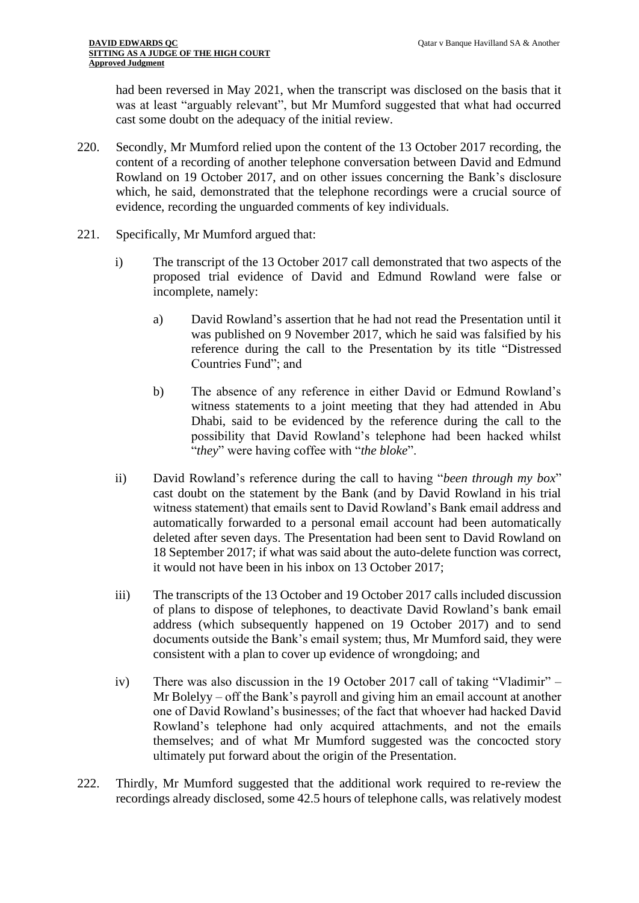had been reversed in May 2021, when the transcript was disclosed on the basis that it was at least "arguably relevant", but Mr Mumford suggested that what had occurred cast some doubt on the adequacy of the initial review.

- 220. Secondly, Mr Mumford relied upon the content of the 13 October 2017 recording, the content of a recording of another telephone conversation between David and Edmund Rowland on 19 October 2017, and on other issues concerning the Bank's disclosure which, he said, demonstrated that the telephone recordings were a crucial source of evidence, recording the unguarded comments of key individuals.
- 221. Specifically, Mr Mumford argued that:
	- i) The transcript of the 13 October 2017 call demonstrated that two aspects of the proposed trial evidence of David and Edmund Rowland were false or incomplete, namely:
		- a) David Rowland's assertion that he had not read the Presentation until it was published on 9 November 2017, which he said was falsified by his reference during the call to the Presentation by its title "Distressed Countries Fund"; and
		- b) The absence of any reference in either David or Edmund Rowland's witness statements to a joint meeting that they had attended in Abu Dhabi, said to be evidenced by the reference during the call to the possibility that David Rowland's telephone had been hacked whilst "*they*" were having coffee with "*the bloke*".
	- ii) David Rowland's reference during the call to having "*been through my box*" cast doubt on the statement by the Bank (and by David Rowland in his trial witness statement) that emails sent to David Rowland's Bank email address and automatically forwarded to a personal email account had been automatically deleted after seven days. The Presentation had been sent to David Rowland on 18 September 2017; if what was said about the auto-delete function was correct, it would not have been in his inbox on 13 October 2017;
	- iii) The transcripts of the 13 October and 19 October 2017 calls included discussion of plans to dispose of telephones, to deactivate David Rowland's bank email address (which subsequently happened on 19 October 2017) and to send documents outside the Bank's email system; thus, Mr Mumford said, they were consistent with a plan to cover up evidence of wrongdoing; and
	- iv) There was also discussion in the 19 October 2017 call of taking "Vladimir" Mr Bolelyy – off the Bank's payroll and giving him an email account at another one of David Rowland's businesses; of the fact that whoever had hacked David Rowland's telephone had only acquired attachments, and not the emails themselves; and of what Mr Mumford suggested was the concocted story ultimately put forward about the origin of the Presentation.
- 222. Thirdly, Mr Mumford suggested that the additional work required to re-review the recordings already disclosed, some 42.5 hours of telephone calls, was relatively modest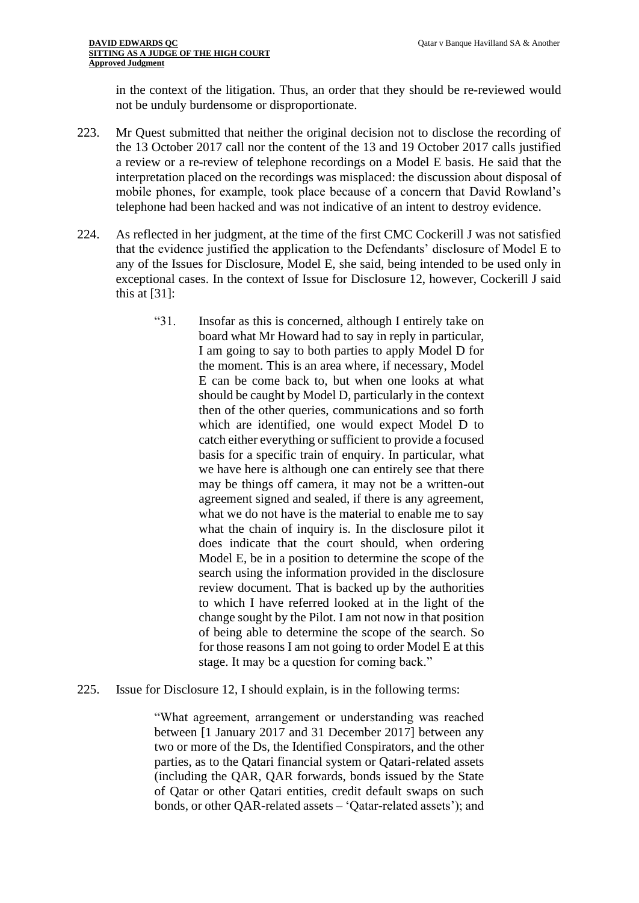in the context of the litigation. Thus, an order that they should be re-reviewed would not be unduly burdensome or disproportionate.

- 223. Mr Quest submitted that neither the original decision not to disclose the recording of the 13 October 2017 call nor the content of the 13 and 19 October 2017 calls justified a review or a re-review of telephone recordings on a Model E basis. He said that the interpretation placed on the recordings was misplaced: the discussion about disposal of mobile phones, for example, took place because of a concern that David Rowland's telephone had been hacked and was not indicative of an intent to destroy evidence.
- 224. As reflected in her judgment, at the time of the first CMC Cockerill J was not satisfied that the evidence justified the application to the Defendants' disclosure of Model E to any of the Issues for Disclosure, Model E, she said, being intended to be used only in exceptional cases. In the context of Issue for Disclosure 12, however, Cockerill J said this at [31]:
	- "31. Insofar as this is concerned, although I entirely take on board what Mr Howard had to say in reply in particular, I am going to say to both parties to apply Model D for the moment. This is an area where, if necessary, Model E can be come back to, but when one looks at what should be caught by Model D, particularly in the context then of the other queries, communications and so forth which are identified, one would expect Model D to catch either everything or sufficient to provide a focused basis for a specific train of enquiry. In particular, what we have here is although one can entirely see that there may be things off camera, it may not be a written-out agreement signed and sealed, if there is any agreement, what we do not have is the material to enable me to say what the chain of inquiry is. In the disclosure pilot it does indicate that the court should, when ordering Model E, be in a position to determine the scope of the search using the information provided in the disclosure review document. That is backed up by the authorities to which I have referred looked at in the light of the change sought by the Pilot. I am not now in that position of being able to determine the scope of the search. So for those reasons I am not going to order Model E at this stage. It may be a question for coming back."
- 225. Issue for Disclosure 12, I should explain, is in the following terms:

"What agreement, arrangement or understanding was reached between [1 January 2017 and 31 December 2017] between any two or more of the Ds, the Identified Conspirators, and the other parties, as to the Qatari financial system or Qatari-related assets (including the QAR, QAR forwards, bonds issued by the State of Qatar or other Qatari entities, credit default swaps on such bonds, or other QAR-related assets – 'Qatar-related assets'); and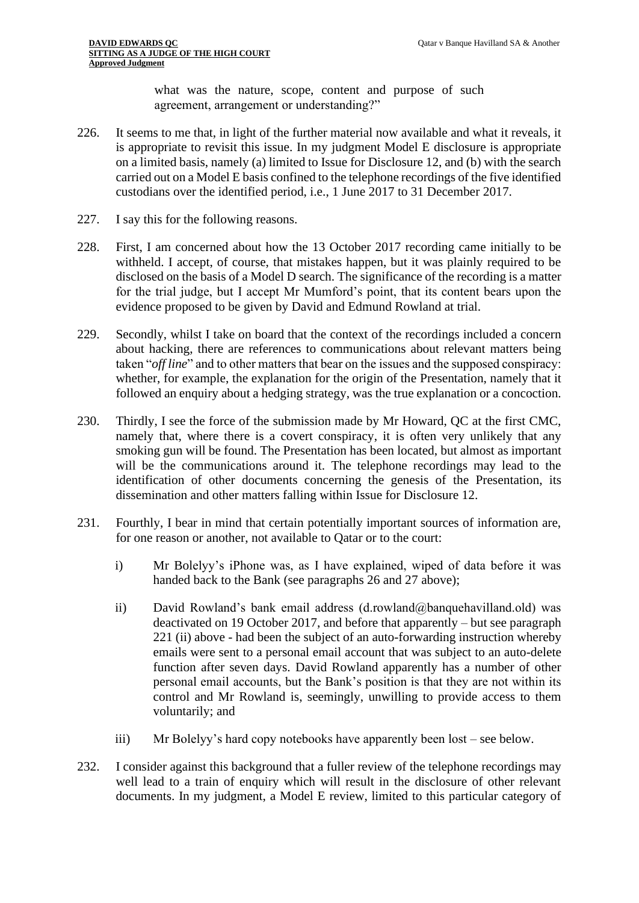what was the nature, scope, content and purpose of such agreement, arrangement or understanding?"

- 226. It seems to me that, in light of the further material now available and what it reveals, it is appropriate to revisit this issue. In my judgment Model E disclosure is appropriate on a limited basis, namely (a) limited to Issue for Disclosure 12, and (b) with the search carried out on a Model E basis confined to the telephone recordings of the five identified custodians over the identified period, i.e., 1 June 2017 to 31 December 2017.
- 227. I say this for the following reasons.
- 228. First, I am concerned about how the 13 October 2017 recording came initially to be withheld. I accept, of course, that mistakes happen, but it was plainly required to be disclosed on the basis of a Model D search. The significance of the recording is a matter for the trial judge, but I accept Mr Mumford's point, that its content bears upon the evidence proposed to be given by David and Edmund Rowland at trial.
- 229. Secondly, whilst I take on board that the context of the recordings included a concern about hacking, there are references to communications about relevant matters being taken "*off line*" and to other matters that bear on the issues and the supposed conspiracy: whether, for example, the explanation for the origin of the Presentation, namely that it followed an enquiry about a hedging strategy, was the true explanation or a concoction.
- 230. Thirdly, I see the force of the submission made by Mr Howard, QC at the first CMC, namely that, where there is a covert conspiracy, it is often very unlikely that any smoking gun will be found. The Presentation has been located, but almost as important will be the communications around it. The telephone recordings may lead to the identification of other documents concerning the genesis of the Presentation, its dissemination and other matters falling within Issue for Disclosure 12.
- 231. Fourthly, I bear in mind that certain potentially important sources of information are, for one reason or another, not available to Qatar or to the court:
	- i) Mr Bolelyy's iPhone was, as I have explained, wiped of data before it was handed back to the Bank (see paragraphs 26 and 27 above);
	- ii) David Rowland's bank email address (d.rowland@banquehavilland.old) was deactivated on 19 October 2017, and before that apparently – but see paragraph 221 (ii) above - had been the subject of an auto-forwarding instruction whereby emails were sent to a personal email account that was subject to an auto-delete function after seven days. David Rowland apparently has a number of other personal email accounts, but the Bank's position is that they are not within its control and Mr Rowland is, seemingly, unwilling to provide access to them voluntarily; and
	- iii) Mr Bolelyy's hard copy notebooks have apparently been lost see below.
- 232. I consider against this background that a fuller review of the telephone recordings may well lead to a train of enquiry which will result in the disclosure of other relevant documents. In my judgment, a Model E review, limited to this particular category of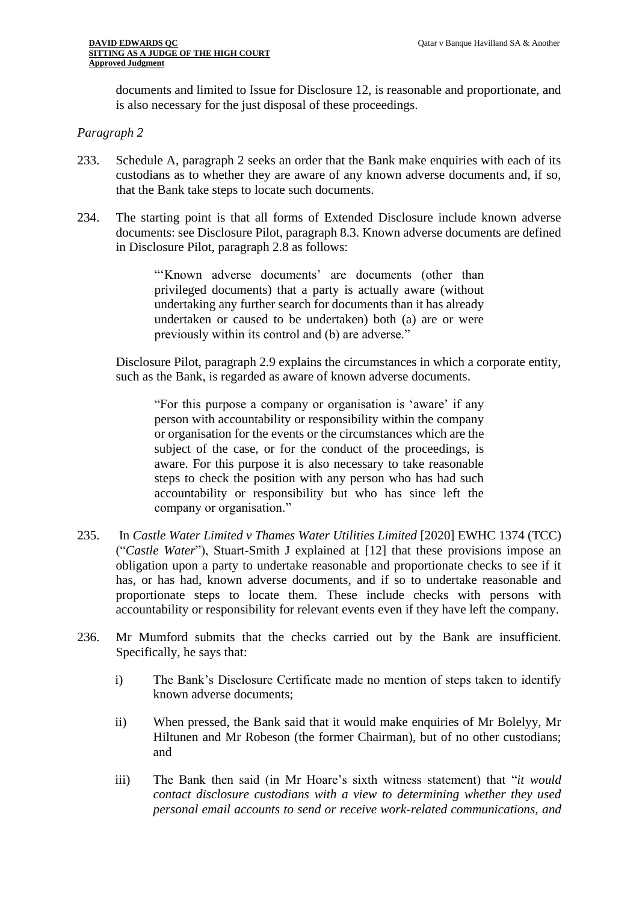documents and limited to Issue for Disclosure 12, is reasonable and proportionate, and is also necessary for the just disposal of these proceedings.

#### *Paragraph 2*

- 233. Schedule A, paragraph 2 seeks an order that the Bank make enquiries with each of its custodians as to whether they are aware of any known adverse documents and, if so, that the Bank take steps to locate such documents.
- 234. The starting point is that all forms of Extended Disclosure include known adverse documents: see Disclosure Pilot, paragraph 8.3. Known adverse documents are defined in Disclosure Pilot, paragraph 2.8 as follows:

"'Known adverse documents' are documents (other than privileged documents) that a party is actually aware (without undertaking any further search for documents than it has already undertaken or caused to be undertaken) both (a) are or were previously within its control and (b) are adverse."

Disclosure Pilot, paragraph 2.9 explains the circumstances in which a corporate entity, such as the Bank, is regarded as aware of known adverse documents.

"For this purpose a company or organisation is 'aware' if any person with accountability or responsibility within the company or organisation for the events or the circumstances which are the subject of the case, or for the conduct of the proceedings, is aware. For this purpose it is also necessary to take reasonable steps to check the position with any person who has had such accountability or responsibility but who has since left the company or organisation."

- 235. In *Castle Water Limited v Thames Water Utilities Limited* [2020] EWHC 1374 (TCC) ("*Castle Water*"), Stuart-Smith J explained at [12] that these provisions impose an obligation upon a party to undertake reasonable and proportionate checks to see if it has, or has had, known adverse documents, and if so to undertake reasonable and proportionate steps to locate them. These include checks with persons with accountability or responsibility for relevant events even if they have left the company.
- 236. Mr Mumford submits that the checks carried out by the Bank are insufficient. Specifically, he says that:
	- i) The Bank's Disclosure Certificate made no mention of steps taken to identify known adverse documents;
	- ii) When pressed, the Bank said that it would make enquiries of Mr Bolelyy, Mr Hiltunen and Mr Robeson (the former Chairman), but of no other custodians; and
	- iii) The Bank then said (in Mr Hoare's sixth witness statement) that "*it would contact disclosure custodians with a view to determining whether they used personal email accounts to send or receive work-related communications, and*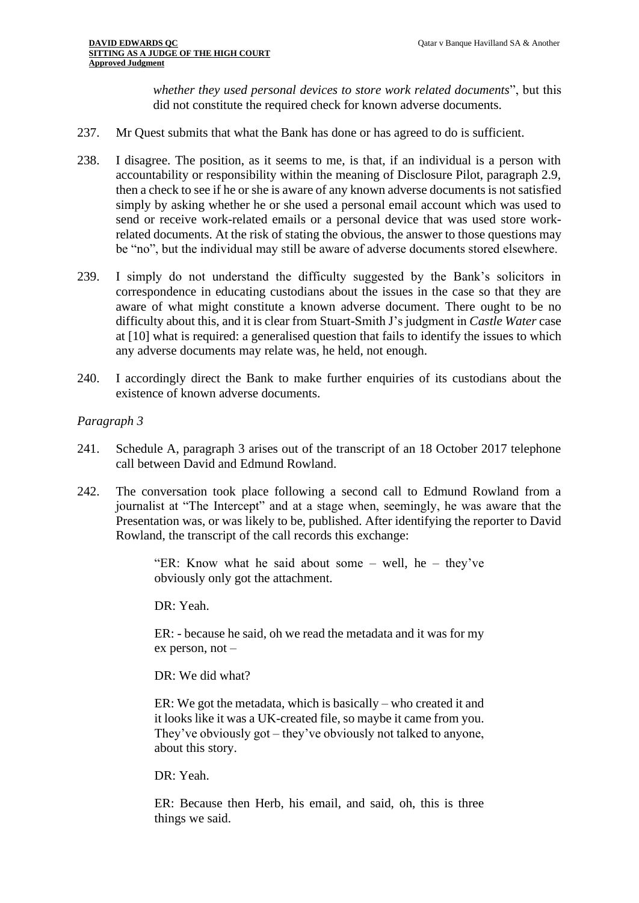*whether they used personal devices to store work related documents*", but this did not constitute the required check for known adverse documents.

- 237. Mr Quest submits that what the Bank has done or has agreed to do is sufficient.
- 238. I disagree. The position, as it seems to me, is that, if an individual is a person with accountability or responsibility within the meaning of Disclosure Pilot, paragraph 2.9, then a check to see if he or she is aware of any known adverse documents is not satisfied simply by asking whether he or she used a personal email account which was used to send or receive work-related emails or a personal device that was used store workrelated documents. At the risk of stating the obvious, the answer to those questions may be "no", but the individual may still be aware of adverse documents stored elsewhere.
- 239. I simply do not understand the difficulty suggested by the Bank's solicitors in correspondence in educating custodians about the issues in the case so that they are aware of what might constitute a known adverse document. There ought to be no difficulty about this, and it is clear from Stuart-Smith J's judgment in *Castle Water* case at [10] what is required: a generalised question that fails to identify the issues to which any adverse documents may relate was, he held, not enough.
- 240. I accordingly direct the Bank to make further enquiries of its custodians about the existence of known adverse documents.

## *Paragraph 3*

- 241. Schedule A, paragraph 3 arises out of the transcript of an 18 October 2017 telephone call between David and Edmund Rowland.
- 242. The conversation took place following a second call to Edmund Rowland from a journalist at "The Intercept" and at a stage when, seemingly, he was aware that the Presentation was, or was likely to be, published. After identifying the reporter to David Rowland, the transcript of the call records this exchange:

"ER: Know what he said about some – well, he – they've obviously only got the attachment.

DR: Yeah.

ER: - because he said, oh we read the metadata and it was for my ex person, not –

DR: We did what?

ER: We got the metadata, which is basically – who created it and it looks like it was a UK-created file, so maybe it came from you. They've obviously got – they've obviously not talked to anyone, about this story.

DR: Yeah.

ER: Because then Herb, his email, and said, oh, this is three things we said.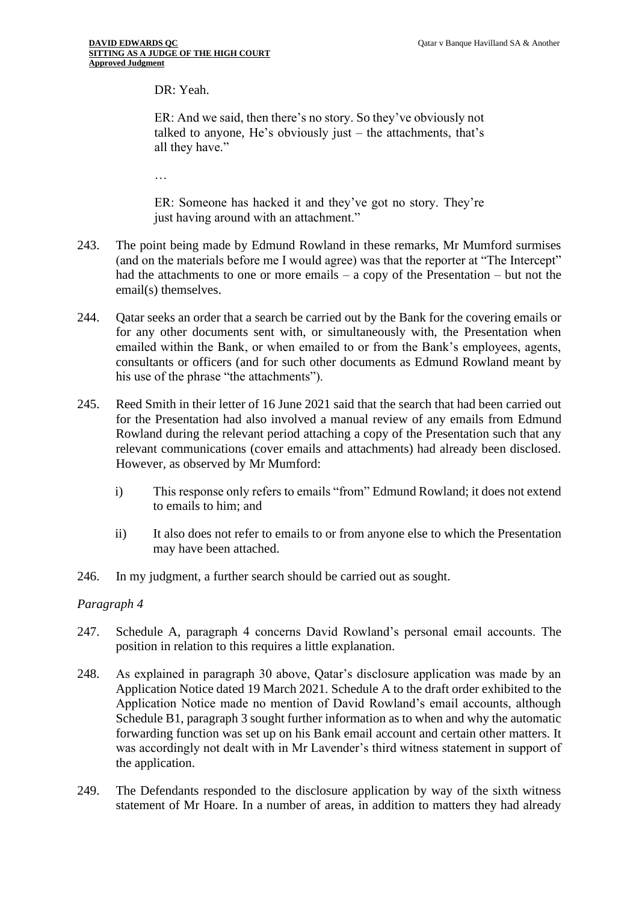DR: Yeah.

ER: And we said, then there's no story. So they've obviously not talked to anyone, He's obviously just – the attachments, that's all they have."

…

ER: Someone has hacked it and they've got no story. They're just having around with an attachment."

- 243. The point being made by Edmund Rowland in these remarks, Mr Mumford surmises (and on the materials before me I would agree) was that the reporter at "The Intercept" had the attachments to one or more emails – a copy of the Presentation – but not the email(s) themselves.
- 244. Qatar seeks an order that a search be carried out by the Bank for the covering emails or for any other documents sent with, or simultaneously with, the Presentation when emailed within the Bank, or when emailed to or from the Bank's employees, agents, consultants or officers (and for such other documents as Edmund Rowland meant by his use of the phrase "the attachments").
- 245. Reed Smith in their letter of 16 June 2021 said that the search that had been carried out for the Presentation had also involved a manual review of any emails from Edmund Rowland during the relevant period attaching a copy of the Presentation such that any relevant communications (cover emails and attachments) had already been disclosed. However, as observed by Mr Mumford:
	- i) This response only refers to emails "from" Edmund Rowland; it does not extend to emails to him; and
	- ii) It also does not refer to emails to or from anyone else to which the Presentation may have been attached.
- 246. In my judgment, a further search should be carried out as sought.

# *Paragraph 4*

- 247. Schedule A, paragraph 4 concerns David Rowland's personal email accounts. The position in relation to this requires a little explanation.
- 248. As explained in paragraph 30 above, Qatar's disclosure application was made by an Application Notice dated 19 March 2021. Schedule A to the draft order exhibited to the Application Notice made no mention of David Rowland's email accounts, although Schedule B1, paragraph 3 sought further information as to when and why the automatic forwarding function was set up on his Bank email account and certain other matters. It was accordingly not dealt with in Mr Lavender's third witness statement in support of the application.
- 249. The Defendants responded to the disclosure application by way of the sixth witness statement of Mr Hoare. In a number of areas, in addition to matters they had already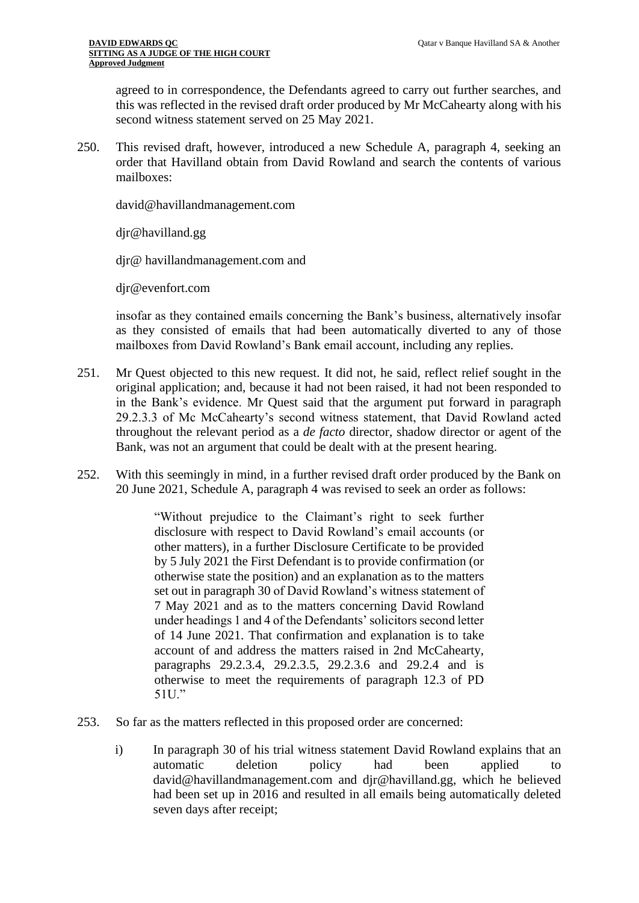agreed to in correspondence, the Defendants agreed to carry out further searches, and this was reflected in the revised draft order produced by Mr McCahearty along with his second witness statement served on 25 May 2021.

250. This revised draft, however, introduced a new Schedule A, paragraph 4, seeking an order that Havilland obtain from David Rowland and search the contents of various mailboxes:

david@havillandmanagement.com

djr@havilland.gg

djr@ havillandmanagement.com and

djr@evenfort.com

insofar as they contained emails concerning the Bank's business, alternatively insofar as they consisted of emails that had been automatically diverted to any of those mailboxes from David Rowland's Bank email account, including any replies.

- 251. Mr Quest objected to this new request. It did not, he said, reflect relief sought in the original application; and, because it had not been raised, it had not been responded to in the Bank's evidence. Mr Quest said that the argument put forward in paragraph 29.2.3.3 of Mc McCahearty's second witness statement, that David Rowland acted throughout the relevant period as a *de facto* director, shadow director or agent of the Bank, was not an argument that could be dealt with at the present hearing.
- 252. With this seemingly in mind, in a further revised draft order produced by the Bank on 20 June 2021, Schedule A, paragraph 4 was revised to seek an order as follows:

"Without prejudice to the Claimant's right to seek further disclosure with respect to David Rowland's email accounts (or other matters), in a further Disclosure Certificate to be provided by 5 July 2021 the First Defendant is to provide confirmation (or otherwise state the position) and an explanation as to the matters set out in paragraph 30 of David Rowland's witness statement of 7 May 2021 and as to the matters concerning David Rowland under headings 1 and 4 of the Defendants' solicitors second letter of 14 June 2021. That confirmation and explanation is to take account of and address the matters raised in 2nd McCahearty, paragraphs 29.2.3.4, 29.2.3.5, 29.2.3.6 and 29.2.4 and is otherwise to meet the requirements of paragraph 12.3 of PD 51U."

- 253. So far as the matters reflected in this proposed order are concerned:
	- i) In paragraph 30 of his trial witness statement David Rowland explains that an automatic deletion policy had been applied to david@havillandmanagement.com and djr@havilland.gg, which he believed had been set up in 2016 and resulted in all emails being automatically deleted seven days after receipt;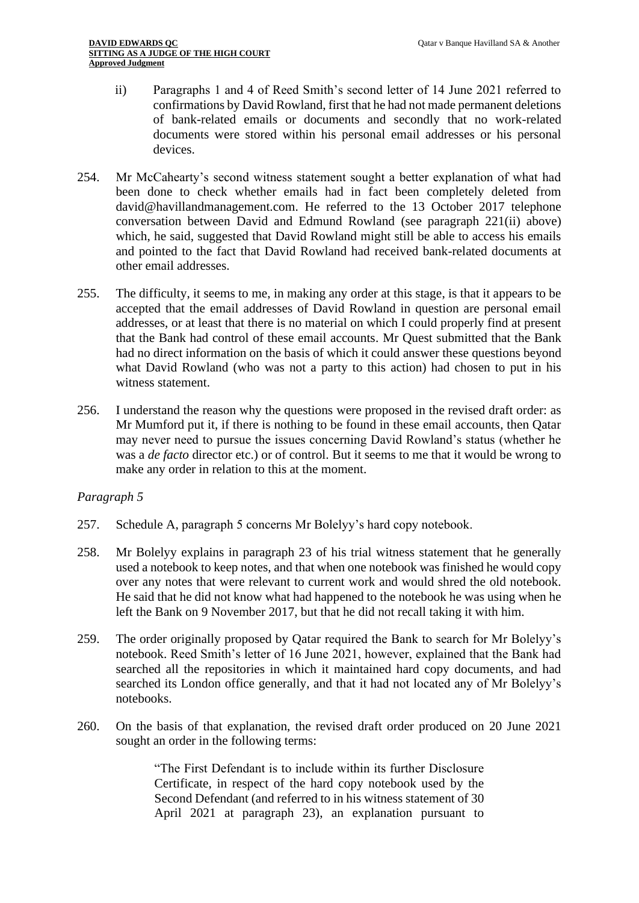- ii) Paragraphs 1 and 4 of Reed Smith's second letter of 14 June 2021 referred to confirmations by David Rowland, first that he had not made permanent deletions of bank-related emails or documents and secondly that no work-related documents were stored within his personal email addresses or his personal devices.
- 254. Mr McCahearty's second witness statement sought a better explanation of what had been done to check whether emails had in fact been completely deleted from david@havillandmanagement.com. He referred to the 13 October 2017 telephone conversation between David and Edmund Rowland (see paragraph 221(ii) above) which, he said, suggested that David Rowland might still be able to access his emails and pointed to the fact that David Rowland had received bank-related documents at other email addresses.
- 255. The difficulty, it seems to me, in making any order at this stage, is that it appears to be accepted that the email addresses of David Rowland in question are personal email addresses, or at least that there is no material on which I could properly find at present that the Bank had control of these email accounts. Mr Quest submitted that the Bank had no direct information on the basis of which it could answer these questions beyond what David Rowland (who was not a party to this action) had chosen to put in his witness statement.
- 256. I understand the reason why the questions were proposed in the revised draft order: as Mr Mumford put it, if there is nothing to be found in these email accounts, then Qatar may never need to pursue the issues concerning David Rowland's status (whether he was a *de facto* director etc.) or of control. But it seems to me that it would be wrong to make any order in relation to this at the moment.

## *Paragraph 5*

- 257. Schedule A, paragraph 5 concerns Mr Bolelyy's hard copy notebook.
- 258. Mr Bolelyy explains in paragraph 23 of his trial witness statement that he generally used a notebook to keep notes, and that when one notebook was finished he would copy over any notes that were relevant to current work and would shred the old notebook. He said that he did not know what had happened to the notebook he was using when he left the Bank on 9 November 2017, but that he did not recall taking it with him.
- 259. The order originally proposed by Qatar required the Bank to search for Mr Bolelyy's notebook. Reed Smith's letter of 16 June 2021, however, explained that the Bank had searched all the repositories in which it maintained hard copy documents, and had searched its London office generally, and that it had not located any of Mr Bolelyy's notebooks.
- 260. On the basis of that explanation, the revised draft order produced on 20 June 2021 sought an order in the following terms:

"The First Defendant is to include within its further Disclosure Certificate, in respect of the hard copy notebook used by the Second Defendant (and referred to in his witness statement of 30 April 2021 at paragraph 23), an explanation pursuant to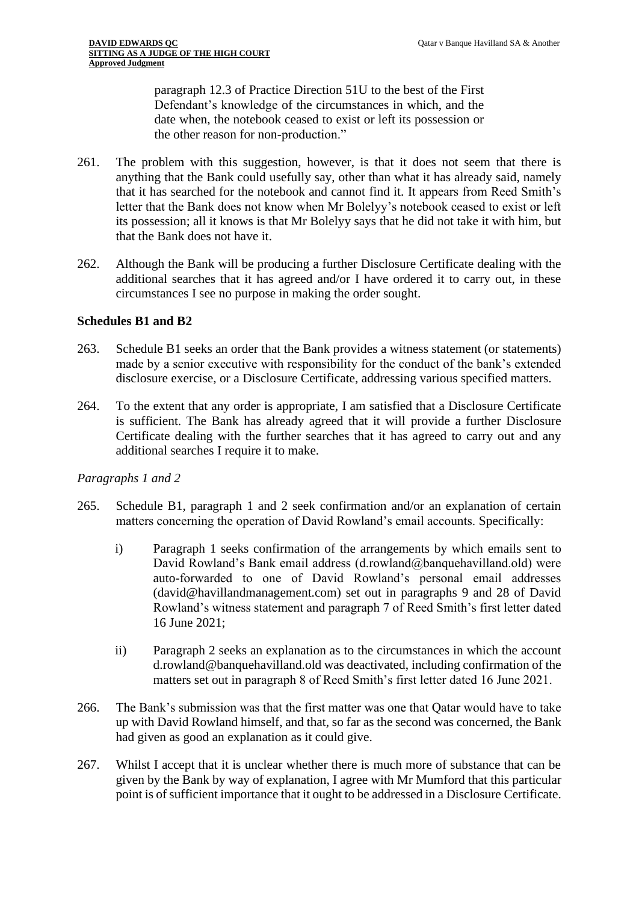paragraph 12.3 of Practice Direction 51U to the best of the First Defendant's knowledge of the circumstances in which, and the date when, the notebook ceased to exist or left its possession or the other reason for non-production."

- 261. The problem with this suggestion, however, is that it does not seem that there is anything that the Bank could usefully say, other than what it has already said, namely that it has searched for the notebook and cannot find it. It appears from Reed Smith's letter that the Bank does not know when Mr Bolelyy's notebook ceased to exist or left its possession; all it knows is that Mr Bolelyy says that he did not take it with him, but that the Bank does not have it.
- 262. Although the Bank will be producing a further Disclosure Certificate dealing with the additional searches that it has agreed and/or I have ordered it to carry out, in these circumstances I see no purpose in making the order sought.

## **Schedules B1 and B2**

- 263. Schedule B1 seeks an order that the Bank provides a witness statement (or statements) made by a senior executive with responsibility for the conduct of the bank's extended disclosure exercise, or a Disclosure Certificate, addressing various specified matters.
- 264. To the extent that any order is appropriate, I am satisfied that a Disclosure Certificate is sufficient. The Bank has already agreed that it will provide a further Disclosure Certificate dealing with the further searches that it has agreed to carry out and any additional searches I require it to make.

#### *Paragraphs 1 and 2*

- 265. Schedule B1, paragraph 1 and 2 seek confirmation and/or an explanation of certain matters concerning the operation of David Rowland's email accounts. Specifically:
	- i) Paragraph 1 seeks confirmation of the arrangements by which emails sent to David Rowland's Bank email address (d.rowland@banquehavilland.old) were auto-forwarded to one of David Rowland's personal email addresses (david@havillandmanagement.com) set out in paragraphs 9 and 28 of David Rowland's witness statement and paragraph 7 of Reed Smith's first letter dated 16 June 2021;
	- ii) Paragraph 2 seeks an explanation as to the circumstances in which the account d.rowland@banquehavilland.old was deactivated, including confirmation of the matters set out in paragraph 8 of Reed Smith's first letter dated 16 June 2021.
- 266. The Bank's submission was that the first matter was one that Qatar would have to take up with David Rowland himself, and that, so far as the second was concerned, the Bank had given as good an explanation as it could give.
- 267. Whilst I accept that it is unclear whether there is much more of substance that can be given by the Bank by way of explanation, I agree with Mr Mumford that this particular point is of sufficient importance that it ought to be addressed in a Disclosure Certificate.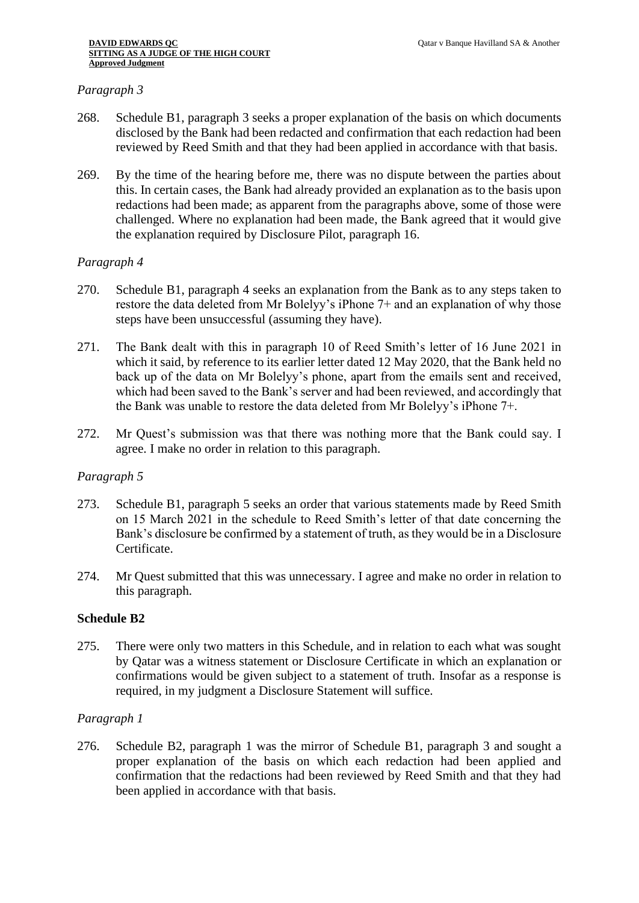## *Paragraph 3*

- 268. Schedule B1, paragraph 3 seeks a proper explanation of the basis on which documents disclosed by the Bank had been redacted and confirmation that each redaction had been reviewed by Reed Smith and that they had been applied in accordance with that basis.
- 269. By the time of the hearing before me, there was no dispute between the parties about this. In certain cases, the Bank had already provided an explanation as to the basis upon redactions had been made; as apparent from the paragraphs above, some of those were challenged. Where no explanation had been made, the Bank agreed that it would give the explanation required by Disclosure Pilot, paragraph 16.

## *Paragraph 4*

- 270. Schedule B1, paragraph 4 seeks an explanation from the Bank as to any steps taken to restore the data deleted from Mr Bolelyy's iPhone 7+ and an explanation of why those steps have been unsuccessful (assuming they have).
- 271. The Bank dealt with this in paragraph 10 of Reed Smith's letter of 16 June 2021 in which it said, by reference to its earlier letter dated 12 May 2020, that the Bank held no back up of the data on Mr Bolelyy's phone, apart from the emails sent and received, which had been saved to the Bank's server and had been reviewed, and accordingly that the Bank was unable to restore the data deleted from Mr Bolelyy's iPhone 7+.
- 272. Mr Quest's submission was that there was nothing more that the Bank could say. I agree. I make no order in relation to this paragraph.

#### *Paragraph 5*

- 273. Schedule B1, paragraph 5 seeks an order that various statements made by Reed Smith on 15 March 2021 in the schedule to Reed Smith's letter of that date concerning the Bank's disclosure be confirmed by a statement of truth, as they would be in a Disclosure Certificate.
- 274. Mr Quest submitted that this was unnecessary. I agree and make no order in relation to this paragraph.

## **Schedule B2**

275. There were only two matters in this Schedule, and in relation to each what was sought by Qatar was a witness statement or Disclosure Certificate in which an explanation or confirmations would be given subject to a statement of truth. Insofar as a response is required, in my judgment a Disclosure Statement will suffice.

## *Paragraph 1*

276. Schedule B2, paragraph 1 was the mirror of Schedule B1, paragraph 3 and sought a proper explanation of the basis on which each redaction had been applied and confirmation that the redactions had been reviewed by Reed Smith and that they had been applied in accordance with that basis.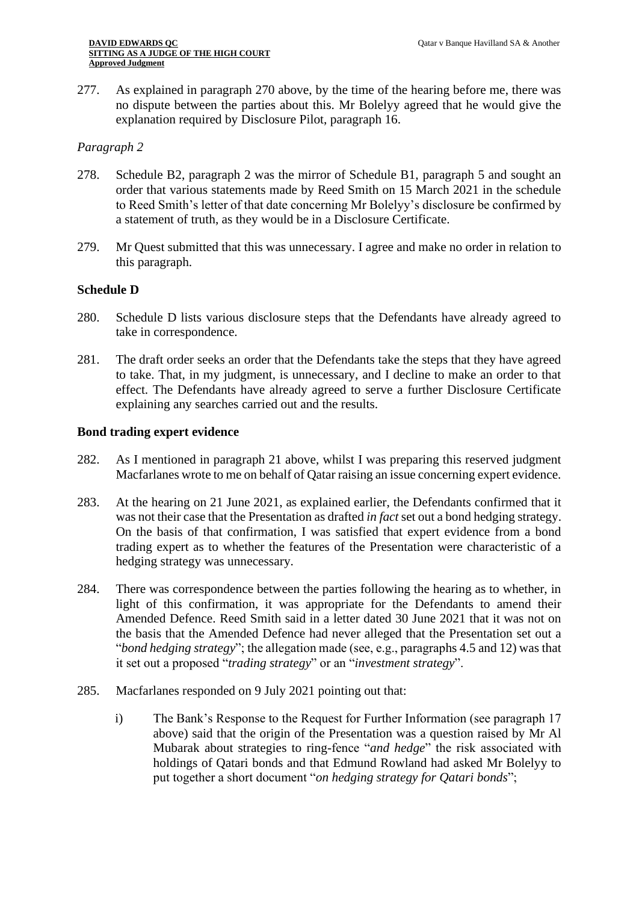277. As explained in paragraph 270 above, by the time of the hearing before me, there was no dispute between the parties about this. Mr Bolelyy agreed that he would give the explanation required by Disclosure Pilot, paragraph 16.

#### *Paragraph 2*

- 278. Schedule B2, paragraph 2 was the mirror of Schedule B1, paragraph 5 and sought an order that various statements made by Reed Smith on 15 March 2021 in the schedule to Reed Smith's letter of that date concerning Mr Bolelyy's disclosure be confirmed by a statement of truth, as they would be in a Disclosure Certificate.
- 279. Mr Quest submitted that this was unnecessary. I agree and make no order in relation to this paragraph.

#### **Schedule D**

- 280. Schedule D lists various disclosure steps that the Defendants have already agreed to take in correspondence.
- 281. The draft order seeks an order that the Defendants take the steps that they have agreed to take. That, in my judgment, is unnecessary, and I decline to make an order to that effect. The Defendants have already agreed to serve a further Disclosure Certificate explaining any searches carried out and the results.

#### **Bond trading expert evidence**

- 282. As I mentioned in paragraph 21 above, whilst I was preparing this reserved judgment Macfarlanes wrote to me on behalf of Qatar raising an issue concerning expert evidence.
- 283. At the hearing on 21 June 2021, as explained earlier, the Defendants confirmed that it was not their case that the Presentation as drafted *in fact* set out a bond hedging strategy. On the basis of that confirmation, I was satisfied that expert evidence from a bond trading expert as to whether the features of the Presentation were characteristic of a hedging strategy was unnecessary.
- 284. There was correspondence between the parties following the hearing as to whether, in light of this confirmation, it was appropriate for the Defendants to amend their Amended Defence. Reed Smith said in a letter dated 30 June 2021 that it was not on the basis that the Amended Defence had never alleged that the Presentation set out a "*bond hedging strategy*"; the allegation made (see, e.g., paragraphs 4.5 and 12) was that it set out a proposed "*trading strategy*" or an "*investment strategy*".
- 285. Macfarlanes responded on 9 July 2021 pointing out that:
	- i) The Bank's Response to the Request for Further Information (see paragraph 17 above) said that the origin of the Presentation was a question raised by Mr Al Mubarak about strategies to ring-fence "*and hedge*" the risk associated with holdings of Qatari bonds and that Edmund Rowland had asked Mr Bolelyy to put together a short document "*on hedging strategy for Qatari bonds*";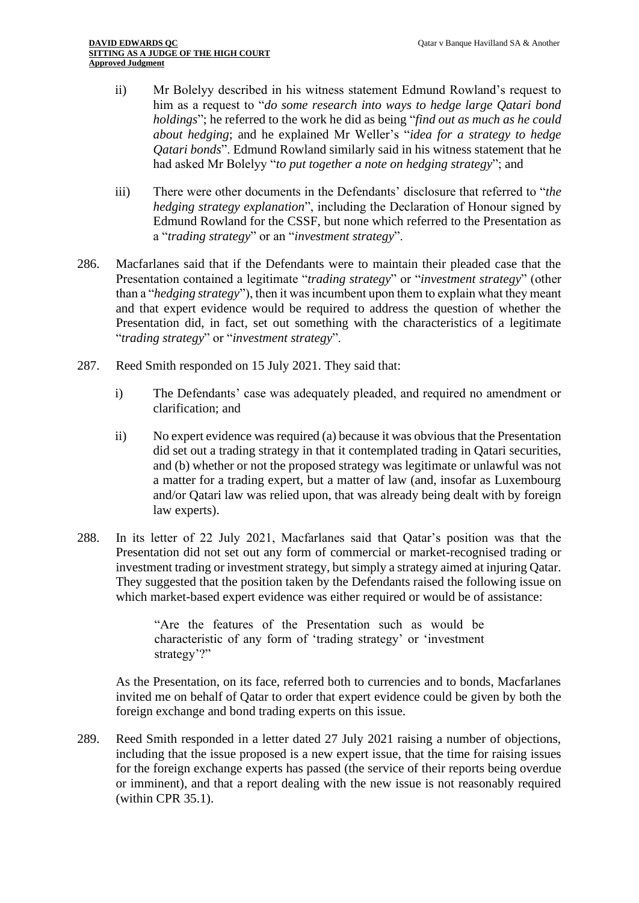- ii) Mr Bolelyy described in his witness statement Edmund Rowland's request to him as a request to "*do some research into ways to hedge large Qatari bond holdings*"; he referred to the work he did as being "*find out as much as he could about hedging*; and he explained Mr Weller's "*idea for a strategy to hedge Qatari bonds*". Edmund Rowland similarly said in his witness statement that he had asked Mr Bolelyy "*to put together a note on hedging strategy*"; and
- iii) There were other documents in the Defendants' disclosure that referred to "*the hedging strategy explanation*", including the Declaration of Honour signed by Edmund Rowland for the CSSF, but none which referred to the Presentation as a "*trading strategy*" or an "*investment strategy*".
- 286. Macfarlanes said that if the Defendants were to maintain their pleaded case that the Presentation contained a legitimate "*trading strategy*" or "*investment strategy*" (other than a "*hedging strategy*"), then it was incumbent upon them to explain what they meant and that expert evidence would be required to address the question of whether the Presentation did, in fact, set out something with the characteristics of a legitimate "*trading strategy*" or "*investment strategy*".
- 287. Reed Smith responded on 15 July 2021. They said that:
	- i) The Defendants' case was adequately pleaded, and required no amendment or clarification; and
	- ii) No expert evidence was required (a) because it was obvious that the Presentation did set out a trading strategy in that it contemplated trading in Qatari securities, and (b) whether or not the proposed strategy was legitimate or unlawful was not a matter for a trading expert, but a matter of law (and, insofar as Luxembourg and/or Qatari law was relied upon, that was already being dealt with by foreign law experts).
- 288. In its letter of 22 July 2021, Macfarlanes said that Qatar's position was that the Presentation did not set out any form of commercial or market-recognised trading or investment trading or investment strategy, but simply a strategy aimed at injuring Qatar. They suggested that the position taken by the Defendants raised the following issue on which market-based expert evidence was either required or would be of assistance:

"Are the features of the Presentation such as would be characteristic of any form of 'trading strategy' or 'investment strategy'?"

As the Presentation, on its face, referred both to currencies and to bonds, Macfarlanes invited me on behalf of Qatar to order that expert evidence could be given by both the foreign exchange and bond trading experts on this issue.

289. Reed Smith responded in a letter dated 27 July 2021 raising a number of objections, including that the issue proposed is a new expert issue, that the time for raising issues for the foreign exchange experts has passed (the service of their reports being overdue or imminent), and that a report dealing with the new issue is not reasonably required (within CPR 35.1).